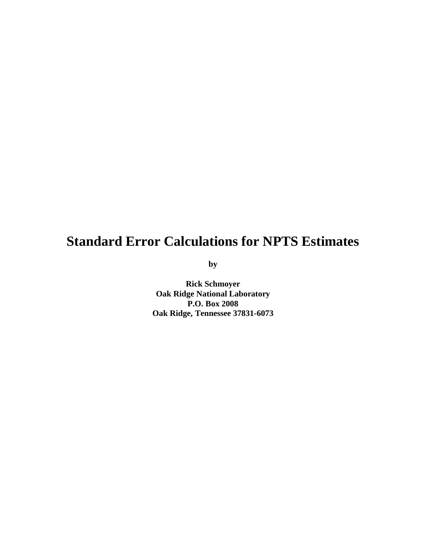# **Standard Error Calculations for NPTS Estimates**

**by**

**Rick Schmoyer Oak Ridge National Laboratory P.O. Box 2008 Oak Ridge, Tennessee 37831-6073**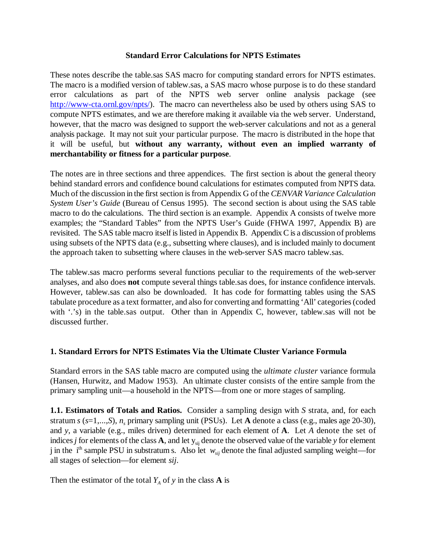#### **Standard Error Calculations for NPTS Estimates**

These notes describe the table.sas SAS macro for computing standard errors for NPTS estimates. The macro is a modified version of tablew.sas, a SAS macro whose purpose is to do these standard error calculations as part of the NPTS web server online analysis package (see http://www-cta.ornl.gov/npts/). The macro can nevertheless also be used by others using SAS to compute NPTS estimates, and we are therefore making it available via the web server. Understand, however, that the macro was designed to support the web-server calculations and not as a general analysis package. It may not suit your particular purpose. The macro is distributed in the hope that it will be useful, but **without any warranty, without even an implied warranty of merchantability or fitness for a particular purpose**.

The notes are in three sections and three appendices. The first section is about the general theory behind standard errors and confidence bound calculations for estimates computed from NPTS data. Much of the discussion in the first section is from Appendix G of the *CENVAR Variance Calculation System User's Guide* (Bureau of Census 1995). The second section is about using the SAS table macro to do the calculations. The third section is an example. Appendix A consists of twelve more examples; the "Standard Tables" from the NPTS User's Guide (FHWA 1997, Appendix B) are revisited. The SAS table macro itself is listed in Appendix B. Appendix C is a discussion of problems using subsets of the NPTS data (e.g., subsetting where clauses), and is included mainly to document the approach taken to subsetting where clauses in the web-server SAS macro tablew.sas.

The tablew.sas macro performs several functions peculiar to the requirements of the web-server analyses, and also does **not** compute several things table.sas does, for instance confidence intervals. However, tablew.sas can also be downloaded. It has code for formatting tables using the SAS tabulate procedure as a text formatter, and also for converting and formatting 'All' categories (coded with '.'s) in the table.sas output. Other than in Appendix C, however, tablew.sas will not be discussed further.

#### **1. Standard Errors for NPTS Estimates Via the Ultimate Cluster Variance Formula**

Standard errors in the SAS table macro are computed using the *ultimate cluster* variance formula (Hansen, Hurwitz, and Madow 1953). An ultimate cluster consists of the entire sample from the primary sampling unit—a household in the NPTS—from one or more stages of sampling.

**1.1. Estimators of Totals and Ratios.** Consider a sampling design with *S* strata, and, for each stratum  $s$  ( $s=1,...,S$ ),  $n_s$  primary sampling unit (PSUs). Let **A** denote a class (e.g., males age 20-30), and *y*, a variable (e.g., miles driven) determined for each element of **A**. Let *A* denote the set of indices *j* for elements of the class **A**, and let  $y_{si}$  denote the observed value of the variable *y* for element j in the i<sup>th</sup> sample PSU in substratum s. Also let  $w_{sij}$  denote the final adjusted sampling weight—for all stages of selection—for element *sij*.

Then the estimator of the total  $Y_A$  of y in the class **A** is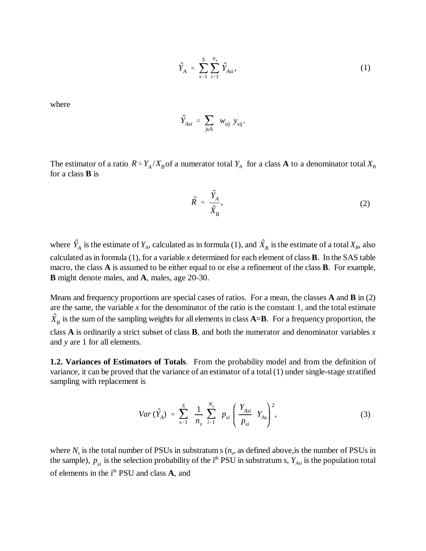$$
\hat{Y}_A = \sum_{s=1}^S \sum_{i=1}^{n_s} \hat{Y}_{Asi}, \tag{1}
$$

where

$$
\hat{Y}_{Asi} = \sum_{j\in A} w_{sij} y_{sij}.
$$

The estimator of a ratio  $R = Y_A/X_B$  of a numerator total  $Y_A$  for a class **A** to a denominator total  $X_B$ for a class **B** is

$$
\hat{R} = \frac{\hat{Y}_A}{\hat{X}_B},\tag{2}
$$

where  $\hat{Y}_A$  is the estimate of  $Y_A$ , calculated as in formula (1), and  $\hat{X}_B$  is the estimate of a total  $X_B$ , also calculated as in formula (1), for a variable *x* determined for each element of class **B**. In the SAS table macro, the class **A** is assumed to be either equal to or else a refinement of the class **B**. For example, **B** might denote males, and **A**, males, age 20-30.

Means and frequency proportions are special cases of ratios. For a mean, the classes **A** and **B** in (2) are the same, the variable *x* for the denominator of the ratio is the constant 1, and the total estimate  $\hat{X}_B$  is the sum of the sampling weights for all elements in class **A=B**. For a frequency proportion, the class **A** is ordinarily a strict subset of class **B**, and both the numerator and denominator variables *x* and *y* are 1 for all elements.

**1.2. Variances of Estimators of Totals**. From the probability model and from the definition of variance, it can be proved that the variance of an estimator of a total (1) under single-stage stratified sampling with replacement is

$$
Var\left(\hat{Y}_A\right) \ = \ \sum_{s=1}^S \ \frac{1}{n_s} \ \sum_{i=1}^{N_s} \ p_{si} \left(\frac{Y_{Asi}}{p_{si}} \ Y_{As}\right)^2, \tag{3}
$$

where  $N_s$  is the total number of PSUs in substratum s  $(n_s)$ , as defined above, is the number of PSUs in the sample),  $p_{si}$  is the selection probability of the i<sup>th</sup> PSU in substratum s,  $Y_{Asi}$  is the population total of elements in the i<sup>th</sup> PSU and class **A**, and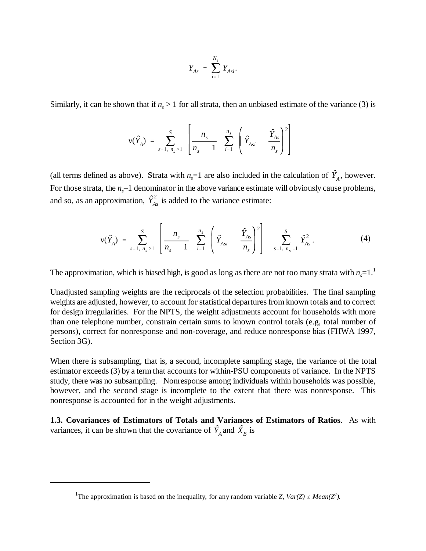$$
Y_{As} = \sum_{i=1}^{N_s} Y_{Asi}.
$$

Similarly, it can be shown that if  $n_s > 1$  for all strata, then an unbiased estimate of the variance (3) is

$$
v(\hat{Y}_A) = \sum_{s=1, n_s > 1}^{S} \left[ \frac{n_s}{n_s - 1} \sum_{i=1}^{n_s} \left( \hat{Y}_{Asi} - \frac{\hat{Y}_{As}}{n_s} \right)^2 \right]
$$

(all terms defined as above). Strata with  $n_s=1$  are also included in the calculation of  $\hat{Y}_A$ , however. For those strata, the  $n<sub>s</sub>$ –1 denominator in the above variance estimate will obviously cause problems, and so, as an approximation,  $\hat{Y}_{As}^2$  is added to the variance estimate:

$$
\nu(\hat{Y}_A) = \sum_{s=1, n_s > 1}^{S} \left[ \frac{n_s}{n_s - 1} \sum_{i=1}^{n_s} \left( \hat{Y}_{Asi} - \frac{\hat{Y}_{As}}{n_s} \right)^2 \right] \sum_{s=1, n_s = 1}^{S} \hat{Y}_{As}^2.
$$
 (4)

The approximation, which is biased high, is good as long as there are not too many strata with  $n=1$ .<sup>1</sup>

Unadjusted sampling weights are the reciprocals of the selection probabilities. The final sampling weights are adjusted, however, to account for statistical departures from known totals and to correct for design irregularities. For the NPTS, the weight adjustments account for households with more than one telephone number, constrain certain sums to known control totals (e.g, total number of persons), correct for nonresponse and non-coverage, and reduce nonresponse bias (FHWA 1997, Section 3G).

When there is subsampling, that is, a second, incomplete sampling stage, the variance of the total estimator exceeds (3) by a term that accounts for within-PSU components of variance. In the NPTS study, there was no subsampling. Nonresponse among individuals within households was possible, however, and the second stage is incomplete to the extent that there was nonresponse. This nonresponse is accounted for in the weight adjustments.

**1.3. Covariances of Estimators of Totals and Variances of Estimators of Ratios**. As with variances, it can be shown that the covariance of  $\hat{Y}_A$  and  $\hat{X}_B$  is

<sup>&</sup>lt;sup>1</sup>The approximation is based on the inequality, for any random variable *Z*,  $Var(Z) \leq Mean(Z^2)$ .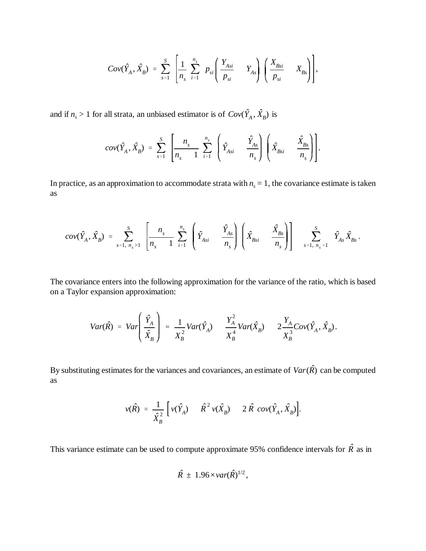$$
Cov(\hat{Y}_A, \hat{X}_B) = \sum_{s=1}^S \left[ \frac{1}{n_s} \sum_{i=1}^{n_s} p_{si} \left( \frac{Y_{Asi}}{p_{si}} - Y_{As} \right) \left( \frac{X_{Bsi}}{p_{si}} - X_{Bs} \right) \right],
$$

and if  $n_s > 1$  for all strata, an unbiased estimator is of  $Cov(\hat{Y}_A, \hat{X}_B)$  is

$$
cov(\hat{Y}_A, \hat{X}_B) = \sum_{s=1}^S \left[ \frac{n_s}{n_s - 1} \sum_{i=1}^{n_s} \left( \hat{Y}_{Asi} - \frac{\hat{Y}_{As}}{n_s} \right) \left( \hat{X}_{Bsi} - \frac{\hat{X}_{Bs}}{n_s} \right) \right].
$$

In practice, as an approximation to accommodate strata with  $n<sub>s</sub> = 1$ , the covariance estimate is taken as

$$
cov(\hat{Y}_A, \hat{X}_B) = \sum_{s=1, n_s>1}^{S} \left[ \frac{n_s}{n_s - 1} \sum_{i=1}^{n_s} \left( \hat{Y}_{Asi} - \frac{\hat{Y}_{As}}{n_s} \right) \left( \hat{X}_{Bsi} - \frac{\hat{X}_{Bs}}{n_s} \right) \right] - \sum_{s=1, n_s=1}^{S} \hat{Y}_{As} \hat{X}_{Bs}.
$$

The covariance enters into the following approximation for the variance of the ratio, which is based on a Taylor expansion approximation:

$$
Var(\hat{R}) = Var\left(\frac{\hat{Y}_A}{\hat{X}_B}\right) \approx \frac{1}{X_B^2} Var(\hat{Y}_A) \frac{Y_A^2}{X_B^4} Var(\hat{X}_B) \frac{Y_A}{X_B^3} Cov(\hat{Y}_A, \hat{X}_B).
$$

By substituting estimates for the variances and covariances, an estimate of  $Var(\hat{R})$  can be computed as

$$
v(\hat{R}) = \frac{1}{\hat{X}_{B}^{2}} \left[ v(\hat{Y}_{A}) - \hat{R}^{2} v(\hat{X}_{B}) - 2 \hat{R} cov(\hat{Y}_{A}, \hat{X}_{B}) \right].
$$

This variance estimate can be used to compute approximate 95% confidence intervals for  $\hat{R}$  as in

$$
\hat{R} \pm 1.96 \times var(\hat{R})^{1/2},
$$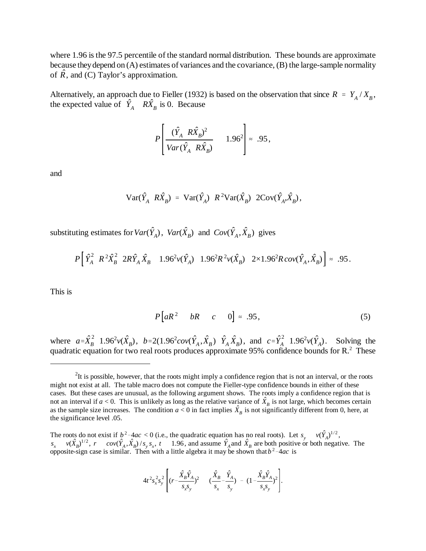where 1.96 is the 97.5 percentile of the standard normal distribution. These bounds are approximate because they depend on (A) estimates of variances and the covariance, (B) the large-sample normality of  $\hat{R}$ , and (C) Taylor's approximation.

Alternatively, an approach due to Fieller (1932) is based on the observation that since  $R = Y_A/X_B$ , the expected value of  $\hat{Y}_A$   $R\hat{X}_B$  is 0. Because

$$
P\left[\frac{(\hat{Y}_A \ R\hat{X}_B)^2}{Var(\hat{Y}_A \ R\hat{X}_B)} \quad 1.96^2\right] \approx .95,
$$

and

$$
\text{Var}(\hat{Y}_A \, R\hat{X}_B) = \text{Var}(\hat{Y}_A) \, R^2 \text{Var}(\hat{X}_B) \, 2\text{Cov}(\hat{Y}_A, \hat{X}_B),
$$

substituting estimates for  $Var(\hat{Y}_A)$ ,  $Var(\hat{X}_B)$  and  $Cov(\hat{Y}_A, \hat{X}_B)$  gives

$$
P\left[\hat{Y}_A^2 \ R^2 \hat{X}_B^2 \ 2R\hat{Y}_A \hat{X}_B \ 1.96^2 v(\hat{Y}_A) \ 1.96^2 R^2 v(\hat{X}_B) \ 2 \times 1.96^2 R \, cov(\hat{Y}_A, \hat{X}_B)\right] \approx .95.
$$

This is

$$
P[aR^2 \quad bR \quad c \quad 0] \approx .95, \tag{5}
$$

where  $a = \hat{X}_B^2$  1.96<sup>2</sup> $v(\hat{X}_B)$ ,  $b = 2(1.96^2 cov(\hat{Y}_A, \hat{X}_B) \hat{Y}_A \hat{X}_B)$ , and  $c = \hat{Y}_A^2$  1.96<sup>2</sup> $v(\hat{Y}_A)$ . Solving the quadratic equation for two real roots produces approximate 95% confidence bounds for  $R<sup>2</sup>$ . These

$$
4t^2 s_x^2 s_y^2 \left[ (r - \frac{\hat{X}_B \hat{Y}_A}{s_x s_y})^2 - (\frac{\hat{X}_B}{s_x} - \frac{\hat{Y}_A}{s_y}) - (1 - \frac{\hat{X}_B \hat{Y}_A}{s_x s_y})^2 \right].
$$

 $2$ It is possible, however, that the roots might imply a confidence region that is not an interval, or the roots might not exist at all. The table macro does not compute the Fieller-type confidence bounds in either of these cases. But these cases are unusual, as the following argument shows. The roots imply a confidence region that is not an interval if  $a < 0$ . This is unlikely as long as the relative variance of  $\hat{X}_B$  is not large, which becomes certain as the sample size increases. The condition  $a < 0$  in fact implies  $\hat{X}_B$  is not significantly different from 0, here, at the significance level .05.

The roots do not exist if  $b^2-4ac < 0$  (i.e., the quadratic equation has no real roots). Let  $s_y = v(\hat{Y}_A)^{1/2}$ ,  $s_x$   $v(\hat{X}_B)^{1/2}$ ,  $r$   $cov(\hat{Y}_A, \hat{X}_B)/s_y s_x$ ,  $t$  1.96, and assume  $\hat{Y}_A$  and  $\hat{X}_B$  are both positive or both negative. The opposite-sign case is similar. Then with a little algebra it may be shown that  $b^2$ -4*ac*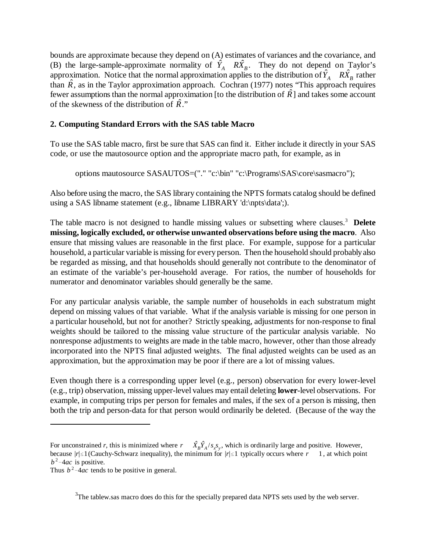bounds are approximate because they depend on (A) estimates of variances and the covariance, and (B) the large-sample-approximate normality of  $\hat{Y}_A$   $R\hat{X}_B$ . They do not depend on Taylor's approximation. Notice that the normal approximation applies to the distribution of  $\hat{Y}_A$   $R\hat{X}_B$  rather than  $\hat{R}$ , as in the Taylor approximation approach. Cochran (1977) notes "This approach requires fewer assumptions than the normal approximation [to the distribution of  $\hat{R}$ ] and takes some account of the skewness of the distribution of  $\hat{R}$ <sup>\*</sup>

### **2. Computing Standard Errors with the SAS table Macro**

To use the SAS table macro, first be sure that SAS can find it. Either include it directly in your SAS code, or use the mautosource option and the appropriate macro path, for example, as in

options mautosource SASAUTOS=("." "c:\bin" "c:\Programs\SAS\core\sasmacro");

Also before using the macro, the SAS library containing the NPTS formats catalog should be defined using a SAS libname statement (e.g., libname LIBRARY 'd:\npts\data';).

The table macro is not designed to handle missing values or subsetting where clauses.3 **Delete missing, logically excluded, or otherwise unwanted observations before using the macro**. Also ensure that missing values are reasonable in the first place. For example, suppose for a particular household, a particular variable is missing for every person. Then the household should probably also be regarded as missing, and that households should generally not contribute to the denominator of an estimate of the variable's per-household average. For ratios, the number of households for numerator and denominator variables should generally be the same.

For any particular analysis variable, the sample number of households in each substratum might depend on missing values of that variable. What if the analysis variable is missing for one person in a particular household, but not for another? Strictly speaking, adjustments for non-response to final weights should be tailored to the missing value structure of the particular analysis variable. No nonresponse adjustments to weights are made in the table macro, however, other than those already incorporated into the NPTS final adjusted weights. The final adjusted weights can be used as an approximation, but the approximation may be poor if there are a lot of missing values.

Even though there is a corresponding upper level (e.g., person) observation for every lower-level (e.g., trip) observation, missing upper-level values may entail deleting **lower**-level observations. For example, in computing trips per person for females and males, if the sex of a person is missing, then both the trip and person-data for that person would ordinarily be deleted. (Because of the way the

 $3$ The tablew.sas macro does do this for the specially prepared data NPTS sets used by the web server.

For unconstrained *r*, this is minimized where  $r = \hat{X}_B \hat{Y}_A / s_x s_y$ , which is ordinarily large and positive. However, because  $|r| \leq 1$  (Cauchy-Schwarz inequality), the minimum for  $|r| \leq 1$  typically occurs where  $r = 1$ , at which point  $b^2$ -4*ac* is positive.

Thus  $b^2$ -4*ac* tends to be positive in general.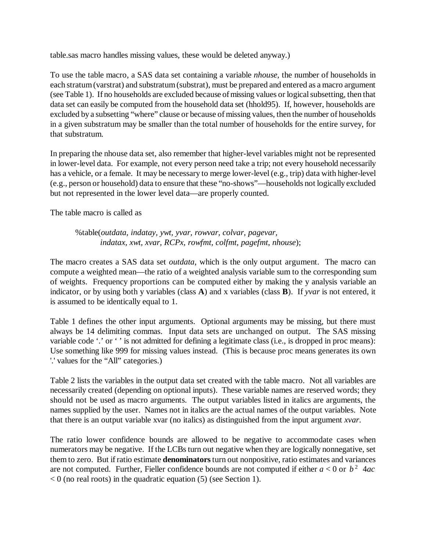table.sas macro handles missing values, these would be deleted anyway.)

To use the table macro, a SAS data set containing a variable *nhouse*, the number of households in each stratum (varstrat) and substratum (substrat), must be prepared and entered as a macro argument (see Table 1). If no households are excluded because of missing values or logical subsetting, then that data set can easily be computed from the household data set (hhold95). If, however, households are excluded by a subsetting "where" clause or because of missing values, then the number of households in a given substratum may be smaller than the total number of households for the entire survey, for that substratum.

In preparing the nhouse data set, also remember that higher-level variables might not be represented in lower-level data. For example, not every person need take a trip; not every household necessarily has a vehicle, or a female. It may be necessary to merge lower-level (e.g., trip) data with higher-level (e.g., person or household) data to ensure that these "no-shows"—households not logically excluded but not represented in the lower level data—are properly counted.

The table macro is called as

%table(*outdata, indatay, ywt, yvar, rowvar, colvar, pagevar, indatax, xwt, xvar, RCPx, rowfmt, colfmt, pagefmt*, *nhouse*);

The macro creates a SAS data set *outdata*, which is the only output argument. The macro can compute a weighted mean—the ratio of a weighted analysis variable sum to the corresponding sum of weights. Frequency proportions can be computed either by making the y analysis variable an indicator, or by using both y variables (class **A**) and x variables (class **B**). If *yvar* is not entered, it is assumed to be identically equal to 1.

Table 1 defines the other input arguments. Optional arguments may be missing, but there must always be 14 delimiting commas. Input data sets are unchanged on output. The SAS missing variable code '.' or ' ' is not admitted for defining a legitimate class (i.e., is dropped in proc means): Use something like 999 for missing values instead. (This is because proc means generates its own '.' values for the "All" categories.)

Table 2 lists the variables in the output data set created with the table macro. Not all variables are necessarily created (depending on optional inputs). These variable names are reserved words; they should not be used as macro arguments. The output variables listed in italics are arguments, the names supplied by the user. Names not in italics are the actual names of the output variables. Note that there is an output variable xvar (no italics) as distinguished from the input argument *xvar*.

The ratio lower confidence bounds are allowed to be negative to accommodate cases when numerators may be negative. If the LCBs turn out negative when they are logically nonnegative, set them to zero. But if ratio estimate **denominators**turn out nonpositive, ratio estimates and variances are not computed. Further, Fieller confidence bounds are not computed if either  $a < 0$  or  $b<sup>2</sup>$  4*ac*  $< 0$  (no real roots) in the quadratic equation (5) (see Section 1).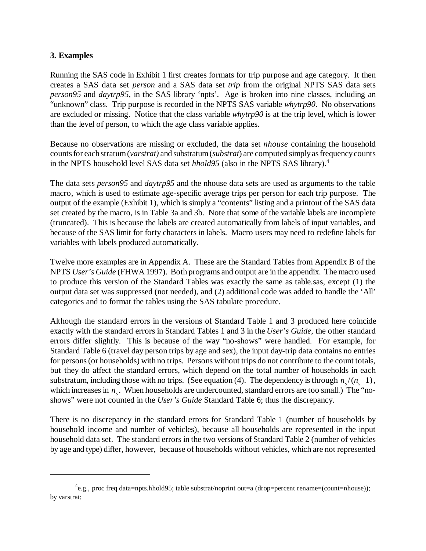#### **3. Examples**

Running the SAS code in Exhibit 1 first creates formats for trip purpose and age category. It then creates a SAS data set *person* and a SAS data set *trip* from the original NPTS SAS data sets *person95* and *daytrp95*, in the SAS library 'npts'. Age is broken into nine classes, including an "unknown" class. Trip purpose is recorded in the NPTS SAS variable *whytrp90*. No observations are excluded or missing. Notice that the class variable *whytrp90* is at the trip level, which is lower than the level of person, to which the age class variable applies.

Because no observations are missing or excluded, the data set *nhouse* containing the household counts for each stratum (*varstrat)* and substratum (*substrat*) are computed simply as frequency counts in the NPTS household level SAS data set *hhold95* (also in the NPTS SAS library).4

The data sets *person95* and *daytrp95* and the nhouse data sets are used as arguments to the table macro, which is used to estimate age-specific average trips per person for each trip purpose. The output of the example (Exhibit 1), which is simply a "contents" listing and a printout of the SAS data set created by the macro, is in Table 3a and 3b. Note that some of the variable labels are incomplete (truncated). This is because the labels are created automatically from labels of input variables, and because of the SAS limit for forty characters in labels. Macro users may need to redefine labels for variables with labels produced automatically.

Twelve more examples are in Appendix A. These are the Standard Tables from Appendix B of the NPTS *User's Guide* (FHWA 1997). Both programs and output are in the appendix. The macro used to produce this version of the Standard Tables was exactly the same as table.sas, except (1) the output data set was suppressed (not needed), and (2) additional code was added to handle the 'All' categories and to format the tables using the SAS tabulate procedure.

Although the standard errors in the versions of Standard Table 1 and 3 produced here coincide exactly with the standard errors in Standard Tables 1 and 3 in the *User's Guide*, the other standard errors differ slightly. This is because of the way "no-shows" were handled. For example, for Standard Table 6 (travel day person trips by age and sex), the input day-trip data contains no entries for persons (or households) with no trips. Persons without trips do not contribute to the count totals, but they do affect the standard errors, which depend on the total number of households in each substratum, including those with no trips. (See equation (4). The dependency is through  $n/(n-1)$ , which increases in  $n_{s}$ . When households are undercounted, standard errors are too small.) The "noshows" were not counted in the *User's Guide* Standard Table 6; thus the discrepancy.

There is no discrepancy in the standard errors for Standard Table 1 (number of households by household income and number of vehicles), because all households are represented in the input household data set. The standard errors in the two versions of Standard Table 2 (number of vehicles by age and type) differ, however, because of households without vehicles, which are not represented

 ${}^{4}$ e.g., proc freq data=npts.hhold95; table substrat/noprint out=a (drop=percent rename=(count=nhouse)); by varstrat;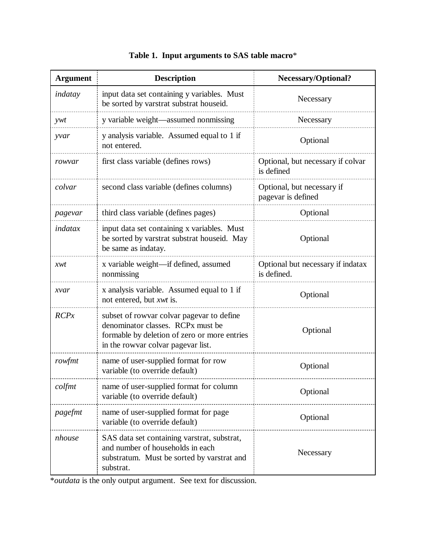| <b>Argument</b> | <b>Description</b>                                                                                                                                                                   | <b>Necessary/Optional?</b>                       |
|-----------------|--------------------------------------------------------------------------------------------------------------------------------------------------------------------------------------|--------------------------------------------------|
| indatay         | input data set containing y variables. Must<br>be sorted by varstrat substrat houseid.                                                                                               | Necessary                                        |
| ywt             | y variable weight-assumed nonmissing                                                                                                                                                 | Necessary                                        |
| yvar            | y analysis variable. Assumed equal to 1 if<br>not entered.                                                                                                                           | Optional                                         |
| rowyar          | first class variable (defines rows)                                                                                                                                                  | Optional, but necessary if colvar<br>is defined  |
| colvar          | second class variable (defines columns)                                                                                                                                              | Optional, but necessary if<br>pagevar is defined |
| pagevar         | third class variable (defines pages)                                                                                                                                                 | Optional                                         |
| indatax         | input data set containing x variables. Must<br>be sorted by varstrat substrat houseid. May<br>be same as indatay.                                                                    | Optional                                         |
| xwt             | x variable weight—if defined, assumed<br>nonmissing                                                                                                                                  | Optional but necessary if indatax<br>is defined. |
| xvar            | x analysis variable. Assumed equal to 1 if<br>not entered, but <i>xwt</i> is.                                                                                                        | Optional                                         |
| RCPx            | subset of row are colvared page var to define<br>denominator classes. RCP <sub>x</sub> must be<br>formable by deletion of zero or more entries<br>in the rowvar colvar pagevar list. | Optional                                         |
| rowfmt          | name of user-supplied format for row<br>variable (to override default)                                                                                                               | Optional                                         |
| colfmt          | name of user-supplied format for column<br>variable (to override default)                                                                                                            | Optional                                         |
| pagefmt         | name of user-supplied format for page<br>variable (to override default)                                                                                                              | Optional                                         |
| nhouse          | SAS data set containing varstrat, substrat,<br>and number of households in each<br>substratum. Must be sorted by varstrat and<br>substrat.                                           | Necessary                                        |

# **Table 1. Input arguments to SAS table macro**\*

\**outdata* is the only output argument. See text for discussion.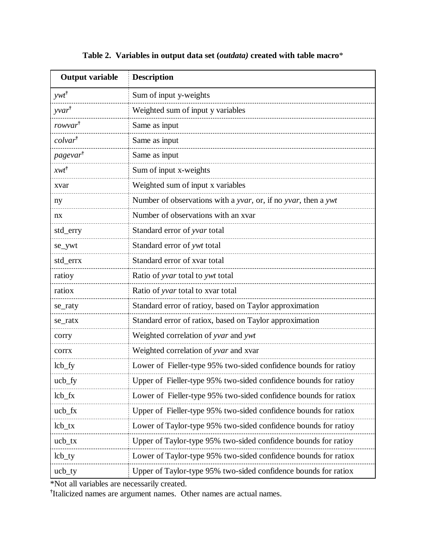| <b>Output variable</b> | <b>Description</b>                                               |
|------------------------|------------------------------------------------------------------|
| $ywt^{\dagger}$        | Sum of input y-weights                                           |
| $yvar^{\dagger}$       | Weighted sum of input y variables                                |
| rowvar <sup>†</sup>    | Same as input                                                    |
| colvar                 | Same as input                                                    |
| pagevar <sup>†</sup>   | Same as input                                                    |
| $xwt^{\dagger}$        | Sum of input x-weights                                           |
| xvar                   | Weighted sum of input x variables                                |
| ny                     | Number of observations with a yvar, or, if no yvar, then a ywt   |
| nx                     | Number of observations with an xvar                              |
| std_erry               | Standard error of yvar total                                     |
| se_ywt                 | Standard error of ywt total                                      |
| std_errx               | Standard error of xvar total                                     |
| ratioy                 | Ratio of yvar total to ywt total                                 |
| ratiox                 | Ratio of yvar total to xvar total                                |
| se_raty                | Standard error of ratioy, based on Taylor approximation          |
| se_ratx                | Standard error of ratiox, based on Taylor approximation          |
| corry                  | Weighted correlation of yvar and ywt                             |
| corrx                  | Weighted correlation of yvar and xvar                            |
| $\text{lcb\_fy}$       | Lower of Fieller-type 95% two-sided confidence bounds for ratioy |
| $ucb_f$                | Upper of Fieller-type 95% two-sided confidence bounds for ratioy |
| $\mathbf{lcb\_fx}$     | Lower of Fieller-type 95% two-sided confidence bounds for ratiox |
| $ucb_{K}$              | Upper of Fieller-type 95% two-sided confidence bounds for ratiox |
| $\text{lb\_tx}$        | Lower of Taylor-type 95% two-sided confidence bounds for ratioy  |
| $ucb_{tx}$             | Upper of Taylor-type 95% two-sided confidence bounds for ratioy  |
| $\text{ltb\_ty}$       | Lower of Taylor-type 95% two-sided confidence bounds for ratiox  |
| $ucb_t$                | Upper of Taylor-type 95% two-sided confidence bounds for ratiox  |

## **Table 2. Variables in output data set (***outdata)* **created with table macro**\*

\*Not all variables are necessarily created.

**†** Italicized names are argument names. Other names are actual names.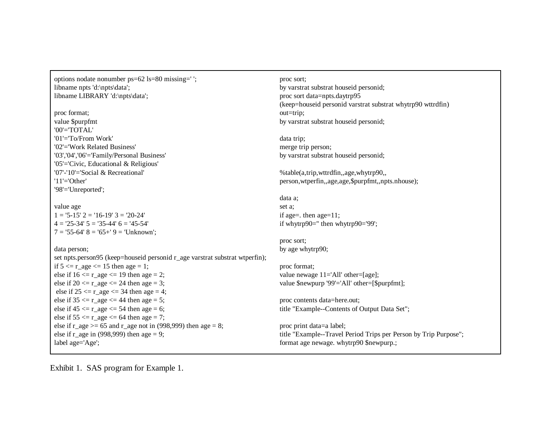options nodate nonumber ps=62 ls=80 missing=' '; libname npts 'd:\npts\data'; libname LIBRARY 'd:\npts\data';

proc format; value \$purpfmt '00'='TOTAL' '01'='To/From Work''02'='Work Related Business''03','04','06'='Family/Personal Business' '05'='Civic, Educational & Religious' '07'-'10'='Social & Recreational''11'='Other' '98'='Unreported';

value age  $1 = 5-15'$   $2 = 16-19'$   $3 = 20-24'$  $4 = 25 - 34'$   $5 = 35 - 44'$   $6 = 45 - 54'$  $7 = 55-64'$   $8 = 65+9 = 70$  Unknown';

#### data person;

set npts.person95 (keep=houseid personid r\_age varstrat substrat wtperfin); if  $5 \le r \_age \le 15$  then age = 1; else if  $16 \le r$  age  $\le 19$  then age = 2; else if  $20 \le r$  age  $\le 24$  then age = 3; else if  $25 \le r \_age \le 34$  then age = 4; else if  $35 \le r\_\text{age} \le 44$  then age = 5; else if  $45 \le r \_age \le 54$  then age = 6; else if  $55 \le r \_age \le 64$  then age = 7; else if  $r_{\text{age}} \geq 65$  and  $r_{\text{age}}$  not in (998,999) then age = 8; else if r\_age in (998,999) then age = 9; label age='Age';

proc sort; by varstrat substrat houseid personid; proc sort data=npts.daytrp95 (keep=houseid personid varstrat substrat whytrp90 wttrdfin) out=trip; by varstrat substrat houseid personid;

data trip; merge trip person; by varstrat substrat houseid personid;

%table(a,trip,wttrdfin,,age,whytrp90,, person,wtperfin,,age,age,\$purpfmt,,npts.nhouse);

data a; set a; if age=. then age=11; if whytrp90='' then whytrp90='99';

proc sort; by age whytrp90;

proc format; value newage 11='All' other=[age]; value \$newpurp '99'='All' other=[\$purpfmt];

proc contents data=here.out; title "Example--Contents of Output Data Set";

proc print data=a label; title "Example--Travel Period Trips per Person by Trip Purpose"; format age newage. whytrp90 \$newpurp.;

Exhibit 1. SAS program for Example 1.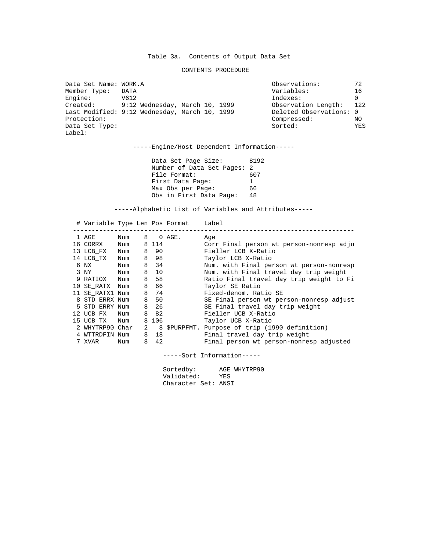#### CONTENTS PROCEDURE

| Data Set Name: WORK.A    |                                               | Observations:           | 72  |
|--------------------------|-----------------------------------------------|-------------------------|-----|
| Member Type:             | DATA                                          | Variables:              | 16  |
| Engine:                  | V612                                          | Indexes:                | 0   |
| Created:                 | 9:12 Wednesday, March 10, 1999                | Observation Length:     | 122 |
|                          | Last Modified: 9:12 Wednesday, March 10, 1999 | Deleted Observations: 0 |     |
| Protection:              |                                               | Compressed:             | NO. |
| Data Set Type:<br>Label: |                                               | Sorted:                 | YES |
|                          |                                               |                         |     |

-----Engine/Host Dependent Information-----

Data Set Page Size: 8192 Number of Data Set Pages: 2<br>File Format: 607 File Format: First Data Page: 1<br>Max Obs per Page: 66 Max Obs per Page: Obs in First Data Page: 48

-----Alphabetic List of Variables and Attributes-----

| # Variable Type Len Pos Format |     |   |         |        | Label                                          |
|--------------------------------|-----|---|---------|--------|------------------------------------------------|
| 1 AGE                          | Num | 8 |         | 0 AGE. | Aqe                                            |
| 16 CORRX                       | Num |   | 8 1 1 4 |        | Corr Final person wt person-nonresp adju       |
| 13 LCB FX                      | Num |   | 8 90    |        | Fieller LCB X-Ratio                            |
| 14 LCB TX                      | Num |   | 8 98    |        | Taylor LCB X-Ratio                             |
| 6 NX                           | Num |   | 8 34    |        | Num. with Final person wt person-nonresp       |
| 3 NY                           | Num |   | 8 10    |        | Num, with Final travel day trip weight         |
| 9 RATIOX Num                   |     |   | 8 58    |        | Ratio Final travel day trip weight to Fi       |
| 10 SE RATX Num                 |     | 8 | - 66    |        | Taylor SE Ratio                                |
| 11 SE RATX1 Num                |     |   | 8 74    |        | Fixed-denom. Ratio SE                          |
| 8 STD ERRX Num                 |     |   | 8 50    |        | SE Final person wt person-nonresp adjust       |
| 5 STD ERRY Num                 |     |   | 8 26    |        | SE Final travel day trip weight                |
| 12 UCB FX Num                  |     |   | 8 82    |        | Fieller UCB X-Ratio                            |
| 15 UCB_TX Num                  |     |   | 8 106   |        | Taylor UCB X-Ratio                             |
| 2 WHYTRP90 Char                |     | 2 |         |        | 8 \$PURPFMT. Purpose of trip (1990 definition) |
| 4 WTTRDFIN Num                 |     | 8 | 18      |        | Final travel day trip weight                   |
| 7 XVAR                         | Num | 8 | 42      |        | Final person wt person-nonresp adjusted        |

-----Sort Information-----

Sortedby: AGE WHYTRP90 Validated: YES Character Set: ANSI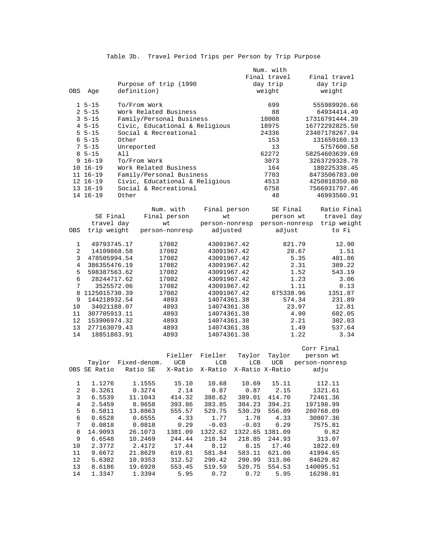|                |                        |                                      |                                |                |            | Num. with          |        |                |
|----------------|------------------------|--------------------------------------|--------------------------------|----------------|------------|--------------------|--------|----------------|
|                |                        |                                      |                                |                |            | Final travel       |        | Final travel   |
|                |                        |                                      | Purpose of trip (1990          |                |            | day trip           |        | day trip       |
| OBS            | Age                    | definition)                          |                                |                |            | weight             |        | weight         |
|                |                        |                                      |                                |                |            |                    |        |                |
|                | $1 5 - 15$             | To/From Work                         |                                |                |            | 699                |        | 555989926.66   |
|                | $25 - 15$              |                                      | Work Related Business          |                |            | 88                 |        | 64934414.49    |
|                | $35 - 15$              |                                      | Family/Personal Business       |                |            |                    |        | 17316791444.39 |
|                |                        |                                      |                                |                |            | 18008              |        |                |
|                | $45 - 15$              |                                      | Civic, Educational & Religious |                |            | 18975              |        | 16772292825.50 |
|                | $55 - 15$              |                                      | Social & Recreational          |                |            | 24336              |        | 23407178267.94 |
|                | $65 - 15$              | Other                                |                                |                |            | 153                |        | 131659160.13   |
|                | $75 - 15$              | Unreported                           |                                |                |            | 13                 |        | 5757600.58     |
|                | $85 - 15$              | All                                  |                                |                |            | 62272              |        | 58254603639.69 |
|                | $9 16 - 19$            | To/From Work                         |                                |                |            | 3073               |        | 3263729328.78  |
|                | 10 16-19               |                                      | Work Related Business          |                |            | 164                |        | 180225338.45   |
|                | 11 16-19               |                                      | Family/Personal Business       |                |            | 7703               |        | 8473506783.00  |
|                | 12 16-19               |                                      | Civic, Educational & Religious |                |            | 4513               |        | 4250818350.80  |
|                | 13 16-19               |                                      | Social & Recreational          |                |            | 6758               |        | 7566931797.46  |
|                |                        |                                      |                                |                |            |                    |        |                |
|                | 14 16-19               | Other                                |                                |                |            | 48                 |        | 46993560.91    |
|                |                        |                                      |                                |                |            |                    |        |                |
|                |                        |                                      | Num. with                      | Final person   |            | SE Final           |        | Ratio Final    |
|                | SE Final               |                                      | Final person                   | wt             |            | person wt          |        | travel day     |
|                | travel day             |                                      | wt                             | person-nonresp |            | person-nonresp     |        | trip weight    |
| OBS            | trip weight            |                                      | person-nonresp                 | adjusted       |            | adjust             |        | to Fi          |
|                |                        |                                      |                                |                |            |                    |        |                |
| 1              | 49793745.17            |                                      | 17082                          | 43091967.42    |            |                    | 821.79 | 12.90          |
| 2              | 14109868.58            |                                      | 17082                          | 43091967.42    |            |                    | 28.67  | 1.51           |
| 3              | 478505994.54           |                                      | 17082                          | 43091967.42    |            |                    | 5.35   | 401.86         |
| 4              |                        |                                      | 17082                          | 43091967.42    |            |                    | 2.31   | 389.22         |
| 5              | 386355476.19           |                                      |                                |                |            | 1.52               | 543.19 |                |
|                |                        | 598387563.62<br>17082<br>28244717.62 |                                | 43091967.42    |            |                    |        |                |
| 6              |                        |                                      | 17082                          | 43091967.42    |            |                    | 1.23   | 3.06           |
| 7              | 3525572.06             |                                      | 17082                          | 43091967.42    |            |                    | 1.11   | 0.13           |
| 8              | 1125015730.39          |                                      | 17082                          | 43091967.42    |            | 675338.96          |        | 1351.87        |
| 9              | 144218932.54           |                                      | 4893                           | 14074361.38    |            |                    | 574.34 | 231.89         |
| 10             | 34021188.07            |                                      | 4893                           | 14074361.38    |            | 23.97              |        | 12.81          |
| 11             | 307705913.11           |                                      | 4893                           | 14074361.38    |            |                    | 4.90   | 602.05         |
| 12             | 153906974.32           |                                      | 4893                           | 14074361.38    |            |                    | 2.21   | 302.03         |
| 13             | 277163079.43           |                                      | 4893                           | 14074361.38    |            | 1.49               |        | 537.64         |
| 14             | 18851863.91            |                                      | 4893                           | 14074361.38    |            |                    | 1.22   | 3.34           |
|                |                        |                                      |                                |                |            |                    |        |                |
|                |                        |                                      |                                |                |            |                    |        | Corr Final     |
|                |                        |                                      | Fieller                        | Fieller        | Taylor     | Taylor             |        | person wt      |
|                |                        | Fixed-denom.                         | <b>UCB</b>                     | <b>LCB</b>     | <b>LCB</b> | <b>UCB</b>         |        | person-nonresp |
|                | Taylor<br>OBS SE Ratio |                                      |                                |                |            |                    |        |                |
|                |                        | Ratio SE                             | X-Ratio                        | X-Ratio        |            | X-Ratio X-Ratio    |        | adju           |
|                |                        |                                      |                                |                |            |                    |        |                |
| 1              | 1.1276                 | 1.1555                               | 15.10                          | 10.68          | 10.69      | 15.11              |        | 112.11         |
| 2              | 0.3261                 | 0.3274                               | 2.14                           | 0.87           | 0.87       | 2.15               |        | 1321.61        |
| $\mathsf 3$    |                        | 6.5539<br>11.1043<br>414.32          |                                | 388.62         | 389.01     | 72461.36<br>414.70 |        |                |
| $\overline{4}$ | 2.5459                 | 8.9658                               | 393.86                         | 383.85         | 384.23     | 394.21             |        | 197198.99      |
| 5              | 6.5811                 | 13.8863                              | 555.57                         | 529.75         | 530.29     | 556.09             |        | 280768.09      |
| $\epsilon$     | 0.6528                 | 0.6555                               | 4.33                           | 1.77           | 1.78       | 4.33               |        | 30807.36       |
| $\overline{7}$ | 0.0818                 | 0.0818                               | 0.29                           | $-0.03$        | $-0.03$    | 0.29               |        | 7575.81        |
| 8              | 14.9093                | 26.1073                              | 1381.09                        | 1322.62        |            | 1322.65 1381.09    |        | 0.82           |
| $\mathsf 9$    | 6.6548                 | 10.2469                              | 244.44                         | 218.34         | 218.85     | 244.93             |        | 313.07         |
|                | 2.3772                 | 2.4172                               | 17.44                          |                |            |                    |        | 1822.69        |
| 10             |                        |                                      |                                | 8.12           | 8.15       | 17.46              |        |                |
| 11             | 9.6672                 | 21.8629                              | 619.81                         | 581.84         | 583.11     | 621.00             |        | 41994.65       |
| 12             | 5.6302                 | 10.9353                              | 312.52                         | 290.42         | 290.99     | 313.06             |        | 84629.82       |
| 13             | 8.6186                 | 19.6928                              | 553.45                         | 519.59         | 520.75     | 554.53             |        | 140095.51      |
| 14             | 1.3347                 | 1.3394                               | 5.95                           | 0.72           | 0.72       | 5.95               |        | 16298.81       |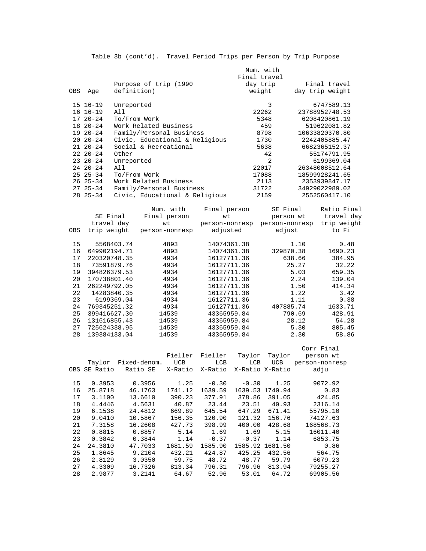|     |                |                                | Num, with      |                 |
|-----|----------------|--------------------------------|----------------|-----------------|
|     |                |                                | Final travel   |                 |
|     |                | Purpose of trip (1990          | day trip       | Final travel    |
| OBS | Aqe            | definition)                    | weight         | day trip weight |
|     | 15 16-19       | Unreported                     | 3              | 6747589.13      |
|     | $16 \t16 - 19$ | All                            | 22262          | 23788952748.53  |
|     | $1720 - 24$    | To/From Work                   | 5348           | 6208420861.19   |
|     | $1820 - -24$   | Work Related Business          | 459            | 519622081.82    |
|     | $1920 - 24$    | Family/Personal Business       | 8798           | 10633820370.80  |
|     | $2020 - 24$    | Civic, Educational & Religious | 1730           | 2242405885.47   |
|     | $2120 - 24$    | Social & Recreational          | 5638           | 6682365152.37   |
|     | $2220 - 24$    | Other                          | 42             | 55174791.95     |
|     | $23 \t20 - 24$ | Unreported                     | $\mathfrak{D}$ | 6199369.04      |
|     | $2420 - -24$   | All                            | 22017          | 26348008512.64  |
|     | $2525-34$      | To/From Work                   | 17088          | 18599928241.65  |
|     | $26 \t25 - 34$ | Work Related Business          | 2113           | 2353939847.17   |
|     | $2725 - 34$    | Family/Personal Business       | 31722          | 34929022989.02  |
|     | $28$ $25 - 34$ | Civic, Educational & Religious | 2159           | 2552560417.10   |

| OBS | SE Final<br>travel day<br>trip weight | Num. with<br>Final person<br>wt<br>person-nonresp | Final person<br>wt<br>person-nonresp<br>adjusted | SE Final<br>person wt<br>person-nonresp<br>adjust | Ratio Final<br>travel day<br>trip weight<br>to Fi |
|-----|---------------------------------------|---------------------------------------------------|--------------------------------------------------|---------------------------------------------------|---------------------------------------------------|
| 15  | 5568403.74                            | 4893                                              | 14074361.38                                      | 1.10                                              | 0.48                                              |
| 16  | 649902194.71                          | 4893                                              | 14074361.38                                      | 329870.38                                         | 1690.23                                           |
| 17  | 220320748.35                          | 4934                                              | 16127711.36                                      | 638.66                                            | 384.95                                            |
| 18  | 73591879.76                           | 4934                                              | 16127711.36                                      | 25.27                                             | 32.22                                             |
| 19  | 394826379.53                          | 4934                                              | 16127711.36                                      | 5.03                                              | 659.35                                            |
| 20  | 170738801.40                          | 4934                                              | 16127711.36                                      | 2.24                                              | 139.04                                            |
| 21  | 262249792.05                          | 4934                                              | 16127711.36                                      | 1.50                                              | 414.34                                            |
| 22  | 14283840.35                           | 4934                                              | 16127711.36                                      | 1.22                                              | 3.42                                              |
| 23  | 6199369.04                            | 4934                                              | 16127711.36                                      | 1.11                                              | 0.38                                              |
| 24  | 769345251.32                          | 4934                                              | 16127711.36                                      | 407885.74                                         | 1633.71                                           |
| 25  | 399416627.30                          | 14539                                             | 43365959.84                                      | 790.69                                            | 428.91                                            |
| 26  | 131616855.43                          | 14539                                             | 43365959.84                                      | 28.12                                             | 54.28                                             |
| 27  | 725624338.95                          | 14539                                             | 43365959.84                                      | 5.30                                              | 805.45                                            |
| 28  | 139384133.04                          | 14539                                             | 43365959.84                                      | 2.30                                              | 58.86                                             |

|    |              |              |         |                 |         |                 | Corr Final     |
|----|--------------|--------------|---------|-----------------|---------|-----------------|----------------|
|    |              |              | Fieller | Fieller         | Taylor  | Taylor          | person wt      |
|    | Taylor       | Fixed-denom. | UCB     | LCB             | LCB     | UCB             | person-nonresp |
|    | OBS SE Ratio | Ratio SE     |         | X-Ratio X-Ratio |         | X-Ratio X-Ratio | adju           |
| 15 | 0.3953       | 0.3956       | 1.25    | $-0.30$         | $-0.30$ | 1.25            | 9072.92        |
| 16 | 25.8718      | 46.1763      | 1741.12 | 1639.59         |         | 1639.53 1740.94 | 0.83           |
| 17 | 3.1100       | 13.6610      | 390.23  | 377.91          | 378.86  | 391.05          | 424.85         |
| 18 | 4.4446       | 4.5631       | 40.87   | 23.44           | 23.51   | 40.93           | 2316.14        |
| 19 | 6.1538       | 24.4812      | 669.89  | 645.54          | 647.29  | 671.41          | 55795.10       |
| 20 | 9.0410       | 10.5867      | 156.35  | 120.90          | 121.32  | 156.76          | 74127.63       |
| 21 | 7.3158       | 16.2608      | 427.73  | 398.99          | 400.00  | 428.68          | 168568.73      |
| 22 | 0.8815       | 0.8857       | 5.14    | 1.69            | 1.69    | 5.15            | 16011.40       |
| 23 | 0.3842       | 0.3844       | 1.14    | $-0.37$         | $-0.37$ | 1.14            | 6853.75        |
| 24 | 24.3810      | 47.7033      | 1681.59 | 1585.90         | 1585.92 | 1681.50         | 0.86           |
| 25 | 1.8645       | 9.2104       | 432.21  | 424.87          | 425.25  | 432.56          | 564.75         |
| 26 | 2.8129       | 3.0350       | 59.75   | 48.72           | 48.77   | 59.79           | 6079.23        |
| 27 | 4.3309       | 16.7326      | 813.34  | 796.31          | 796.96  | 813.94          | 79255.27       |
| 28 | 2.9877       | 3.2141       | 64.67   | 52.96           | 53.01   | 64.72           | 69905.56       |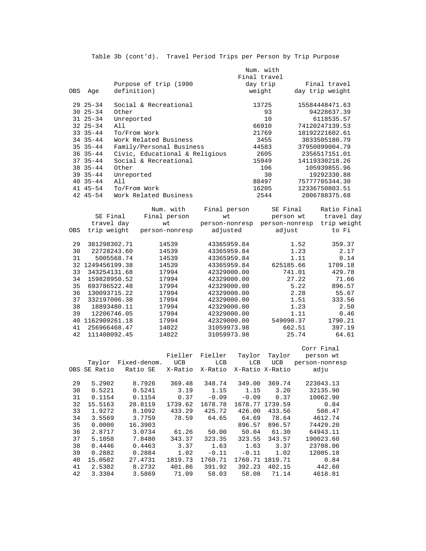|     |                    |                                | Num. with    |                 |
|-----|--------------------|--------------------------------|--------------|-----------------|
|     |                    |                                | Final travel |                 |
|     |                    | Purpose of trip (1990          | day trip     | Final travel    |
| OBS | Aqe                | definition)                    | weight       | day trip weight |
|     | $29 \t25 - 34$     | Social & Recreational          | 13725        | 15584448471.63  |
|     | $30 \t25 - 34$     | Other                          | 93           | 94228637.39     |
|     | $31 \t25 - 34$     | Unreported                     | 10           | 6118535.57      |
|     | $32 \t25 - 34$     | All                            | 66910        | 74120247139.53  |
|     | $33 \t35 - 44$     | To/From Work                   | 21769        | 18192221602.61  |
|     | $34$ $35 - 44$     | Work Related Business          | 3455         | 3033505180.79   |
|     | $35 \t35 - 44$     | Family/Personal Business       | 44583        | 37950899004.79  |
|     | $36 \t35 - 44$     | Civic, Educational & Religious | 2605         | 2356517151.01   |
|     | $37 \quad 35 - 44$ | Social & Recreational          | 15949        | 14119330218.26  |
|     | $38$ $35 - 44$     | Other                          | 106          | 105939855.96    |
|     | $39 \t35 - 44$     | Unreported                     | 30           | 19292330.88     |
|     | $40.35 - 44$       | All                            | 88497        | 75777705344.30  |
|     | 41 45-54           | To/From Work                   | 16205        | 12336750803.51  |
|     | $4245 - 54$        | Work Related Business          | 2544         | 2006788375.68   |

| OBS | SE Final<br>travel day<br>trip weight | Num. with<br>Final person<br>wt<br>person-nonresp | Final person<br>wt<br>person-nonresp<br>adjusted | SE Final<br>person wt<br>person-nonresp<br>adjust | Ratio Final<br>travel day<br>trip weight<br>to Fi |
|-----|---------------------------------------|---------------------------------------------------|--------------------------------------------------|---------------------------------------------------|---------------------------------------------------|
| 29  | 381298302.71                          | 14539                                             | 43365959.84                                      | 1.52                                              | 359.37                                            |
| 30  | 22728243.60                           | 14539                                             | 43365959.84                                      | 1.23                                              | 2.17                                              |
| 31  | 5005568.74                            | 14539                                             | 43365959.84                                      | 1.11                                              | 0.14                                              |
| 32  | 1249456199.38                         | 14539                                             | 43365959.84                                      | 625185.66                                         | 1709.18                                           |
| 33  | 343254131.68                          | 17994                                             | 42329000.00                                      | 741.01                                            | 429.78                                            |
| 34  | 159828950.52                          | 17994                                             | 42329000.00                                      | 27.22                                             | 71.66                                             |
| 35  | 693786522.48                          | 17994                                             | 42329000.00                                      | 5.22                                              | 896.57                                            |
| 36  | 130093715.22                          | 17994                                             | 42329000.00                                      | 2.28                                              | 55.67                                             |
| 37  | 332197006.38                          | 17994                                             | 42329000.00                                      | 1.51                                              | 333.56                                            |
| 38  | 18893480.11                           | 17994                                             | 42329000.00                                      | 1.23                                              | 2.50                                              |
| 39  | 12206746.05                           | 17994                                             | 42329000.00                                      | 1.11                                              | 0.46                                              |
| 40  | 1162909261.18                         | 17994                                             | 42329000.00                                      | 549090.37                                         | 1790.21                                           |
| 41  | 256966468.47                          | 14022                                             | 31059973.98                                      | 662.51                                            | 397.19                                            |
| 42  | 111408092.45                          | 14022                                             | 31059973.98                                      | 25.74                                             | 64.61                                             |

|    |              |              |         |         |                 |                 | Corr Final     |
|----|--------------|--------------|---------|---------|-----------------|-----------------|----------------|
|    |              |              | Fieller | Fieller | Taylor          | Taylor          | person wt      |
|    | Taylor       | Fixed-denom. | UCB     | LCB     | LCB             | <b>UCB</b>      | person-nonresp |
|    | OBS SE Ratio | Ratio SE     | X-Ratio | X-Ratio | X-Ratio X-Ratio |                 | adju           |
|    |              |              |         |         |                 |                 |                |
| 29 | 5.2902       | 8.7926       | 369.48  | 348.74  | 349.00          | 369.74          | 223043.13      |
| 30 | 0.5221       | 0.5241       | 3.19    | 1.15    | 1.15            | 3.20            | 32135.90       |
| 31 | 0.1154       | 0.1154       | 0.37    | $-0.09$ | $-0.09$         | 0.37            | 10062.90       |
| 32 | 15.5163      | 28.8119      | 1739.62 | 1678.78 |                 | 1678.77 1739.59 | 0.84           |
| 33 | 1.9272       | 8.1092       | 433.29  | 425.72  | 426.00          | 433.56          | 508.47         |
| 34 | 3.5569       | 3.7759       | 78.59   | 64.65   | 64.69           | 78.64           | 4612.74        |
| 35 | 0.0000       | 16.3903      |         |         | 896.57          | 896.57          | 74429.20       |
| 36 | 2.8717       | 3.0734       | 61.26   | 50.00   | 50.04           | 61.30           | 64943.11       |
| 37 | 5.1058       | 7.8480       | 343.37  | 323.35  | 323.55          | 343.57          | 190023.60      |
| 38 | 0.4446       | 0.4463       | 3.37    | 1.63    | 1.63            | 3.37            | 23708.06       |
| 39 | 0.2882       | 0.2884       | 1.02    | $-0.11$ | $-0.11$         | 1.02            | 12005.18       |
| 40 | 15.0502      | 27.4731      | 1819.73 | 1760.71 | 1760.71         | 1819.71         | 0.84           |
| 41 | 2.5302       | 8.2732       | 401.86  | 391.92  | 392.23          | 402.15          | 442.60         |
| 42 | 3.3304       | 3.5869       | 71.09   | 58.03   | 58.08           | 71.14           | 4618.81        |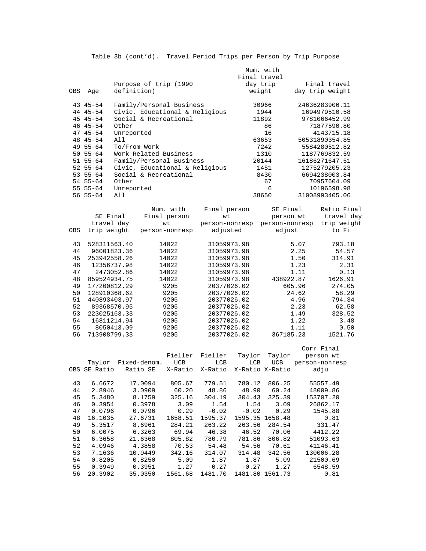|     |                |             |              |                                |                |              | Num. with            |                |                 |
|-----|----------------|-------------|--------------|--------------------------------|----------------|--------------|----------------------|----------------|-----------------|
|     |                |             |              |                                |                | Final travel |                      |                |                 |
|     |                |             |              | Purpose of trip (1990          |                | day trip     |                      |                | Final travel    |
| OBS | Age            | definition) |              |                                |                | weight       |                      |                | day trip weight |
|     |                |             |              |                                |                |              |                      |                |                 |
|     | $43$ $45 - 54$ |             |              |                                |                |              |                      |                | 24636283906.11  |
|     |                |             |              | Family/Personal Business       |                |              | 30966                |                |                 |
|     | 44 45-54       |             |              | Civic, Educational & Religious |                |              | 1944                 |                | 1694979510.58   |
|     | $4545-54$      |             |              | Social & Recreational          |                |              | 11892                |                | 9781066452.99   |
|     | 46 45-54       | Other       |              |                                |                |              | 86                   |                | 71877590.80     |
|     | $4745 - 54$    | Unreported  |              |                                |                |              | 16                   |                | 4143715.18      |
|     | 48 45-54       | All         |              |                                |                |              | 63653                |                | 50531890354.85  |
|     | $4955 - 64$    |             | To/From Work |                                |                |              | 7242                 |                | 5584280512.82   |
|     | $50 55 - 64$   |             |              | Work Related Business          |                |              | 1310                 |                | 1187769832.59   |
|     |                |             |              |                                |                |              |                      |                | 16186271647.51  |
|     | 51 55-64       |             |              | Family/Personal Business       |                |              | 20144                |                |                 |
|     | $52 55 - 64$   |             |              | Civic, Educational & Religious |                |              | 1451                 |                | 1275279205.23   |
|     | 53 55-64       |             |              | Social & Recreational          |                |              | 8430                 |                | 6694238003.84   |
|     | 54 55-64       | Other       |              |                                |                |              | 67                   |                | 70957604.09     |
|     | $55 55 - 64$   | Unreported  |              |                                |                |              | 6                    |                | 10196598.98     |
|     | $5655-64$      | All         |              |                                |                |              | 38650                |                | 31008993405.06  |
|     |                |             |              |                                |                |              |                      |                |                 |
|     |                |             |              | Num. with                      |                |              | SE Final             |                | Ratio Final     |
|     |                |             |              |                                | Final person   |              |                      |                |                 |
|     | SE Final       |             |              | Final person                   | wt             |              | person wt            |                | travel day      |
|     | travel day     |             |              | wt                             | person-nonresp |              | person-nonresp       |                | trip weight     |
| OBS | trip weight    |             |              | person-nonresp                 | adjusted       |              | adjust               |                | to Fi           |
|     |                |             |              |                                |                |              |                      |                |                 |
| 43  | 528311563.40   |             |              | 14022                          | 31059973.98    |              |                      | 5.07           | 793.18          |
| 44  |                | 96001823.36 |              | 14022                          | 31059973.98    |              |                      | 2.25           | 54.57           |
| 45  | 253942558.26   |             |              | 14022                          | 31059973.98    |              |                      | 1.50           | 314.91          |
| 46  | 12356737.98    |             | 14022        | 31059973.98                    |                |              | 1.23                 | 2.31           |                 |
|     |                |             |              |                                |                |              |                      |                |                 |
| 47  |                | 2473052.86  |              | 14022                          | 31059973.98    |              |                      | 1.11           | 0.13            |
| 48  | 859524934.75   |             |              | 14022                          | 31059973.98    |              | 438922.87            |                | 1626.91         |
| 49  | 177200812.29   |             |              | 9205                           | 20377026.02    |              |                      | 605.96         | 274.05          |
| 50  | 128910368.62   |             |              | 9205                           | 20377026.02    |              |                      | 24.62          | 58.29           |
| 51  | 440893403.97   |             |              | 9205                           | 20377026.02    |              |                      | 4.96           | 794.34          |
| 52  |                | 89368570.95 |              | 9205                           | 20377026.02    |              |                      | 2.23           | 62.58           |
| 53  | 223025163.33   |             |              | 9205                           | 20377026.02    |              |                      | 328.52         |                 |
| 54  |                | 16811214.94 |              | 9205                           |                |              | 1.49<br>1.22<br>3.48 |                |                 |
|     |                |             |              |                                | 20377026.02    |              |                      |                |                 |
| 55  |                | 8050413.09  |              | 9205                           | 20377026.02    |              |                      | 1.11           | 0.50            |
| 56  | 713908799.33   |             |              | 9205                           | 20377026.02    |              | 367185.23            |                | 1521.76         |
|     |                |             |              |                                |                |              |                      |                |                 |
|     |                |             |              |                                |                |              |                      | Corr Final     |                 |
|     |                |             |              | Fieller                        | Fieller        | Taylor       | Taylor               |                | person wt       |
|     | Taylor         |             | Fixed-denom. | <b>UCB</b>                     | <b>LCB</b>     | <b>LCB</b>   | <b>UCB</b>           | person-nonresp |                 |
|     | OBS SE Ratio   |             | Ratio SE     | X-Ratio                        | X-Ratio        |              | X-Ratio X-Ratio      |                | adju            |
|     |                |             |              |                                |                |              |                      |                |                 |
|     |                |             |              |                                |                |              |                      |                |                 |
| 43  | 6.6672         |             | 17.0094      | 805.67                         | 779.51         | 780.12       | 806.25               |                | 55557.49        |
| 44  | 2.8946         |             | 3.0909       | 60.20                          | 48.86          | 48.90        | 60.24                |                | 48009.86        |
| 45  | 5.3480         |             | 8.1759       | 325.16                         | 304.19         | 304.43       | 325.39               |                | 153707.20       |
| 46  | 0.3954         |             | 0.3978       | 3.09                           | 1.54           | 1.54         | 3.09                 |                | 26862.17        |
| 47  | 0.0796         |             | 0.0796       | 0.29                           | $-0.02$        | $-0.02$      | 0.29                 |                | 1545.88         |
| 48  | 16.1035        |             | 27.6731      | 1658.51                        | 1595.37        |              | 1595.35 1658.48      |                | 0.81            |
| 49  | 5.3517         |             | 8.6961       | 284.21                         | 263.22         | 263.56       | 284.54               |                | 331.47          |
|     |                |             |              |                                |                |              |                      |                |                 |
| 50  | 6.0075         |             | 6.3263       | 69.94                          | 46.38          | 46.52        | 70.06                |                | 4412.22         |
| 51  | 6.3658         |             | 21.6368      | 805.82                         | 780.79         | 781.86       | 806.82               |                | 51093.63        |
| 52  | 4.0946         |             | 4.3858       | 70.53                          | 54.48          | 54.56        | 70.61                |                | 41146.41        |
| 53  | 7.1636         |             | 10.9449      | 342.16                         | 314.07         | 314.48       | 342.56               |                | 130006.28       |
| 54  | 0.8205         |             | 0.8250       | 5.09                           | 1.87           | 1.87         | 5.09                 |                | 21500.69        |

 55 0.3949 0.3951 1.27 -0.27 -0.27 1.27 6548.59 56 20.3902 35.0350 1561.68 1481.70 1481.80 1561.73 0.81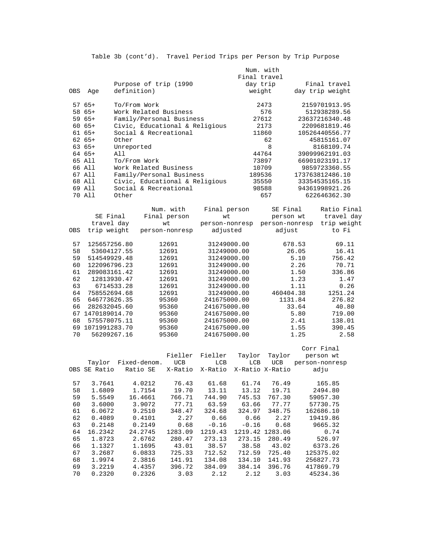|            |                  |              |                                |                | Num. with      |         |                 |
|------------|------------------|--------------|--------------------------------|----------------|----------------|---------|-----------------|
|            |                  |              |                                |                | Final travel   |         |                 |
|            |                  |              | Purpose of trip (1990          |                | day trip       |         | Final travel    |
| <b>OBS</b> | Age              | definition)  |                                |                | weight         |         | day trip weight |
|            | $5765+$          | To/From Work |                                |                | 2473           |         | 2159701913.95   |
|            | 58 65+           |              | Work Related Business          |                | 576            |         | 512938289.56    |
|            | $5965+$          |              | Family/Personal Business       |                | 27612          |         | 23637216340.48  |
|            | $6065+$          |              | Civic, Educational & Religious |                | 2173           |         | 2209681819.46   |
|            | $6165+$          |              | Social & Recreational          |                | 11860          |         | 10526440556.77  |
|            | $6265+$          | Other        |                                |                | 62             |         | 45815161.07     |
|            | $6365+$          | Unreported   |                                |                | 8              |         | 8168109.74      |
|            | 64 65+           | All          |                                |                | 44764          |         | 39099962191.03  |
|            | 65 All           | To/From Work |                                |                | 73897          |         | 66901023191.17  |
|            | 66 All           |              | Work Related Business          |                | 10709          |         | 9859723360.55   |
|            | 67 All           |              | Family/Personal Business       |                | 189536         |         | 173763812486.10 |
|            | 68 All           |              | Civic, Educational & Religious |                | 35550          |         | 33354535165.15  |
|            | 69 All           |              | Social & Recreational          |                | 98588          |         | 94361998921.26  |
|            | 70 All           | Other        |                                |                | 657            |         | 622646362.30    |
|            |                  |              | Num. with                      | Final person   | SE Final       |         | Ratio Final     |
|            | SE Final         |              | Final person                   | wt             | person wt      |         | travel day      |
|            | travel day       |              | wt                             | person-nonresp | person-nonresp |         | trip weight     |
| <b>OBS</b> | trip weight      |              | person-nonresp                 | adjusted       | adjust         |         | to Fi           |
| 57         | 125657256.80     |              | 12691                          | 31249000.00    |                | 678.53  | 69.11           |
| 58         |                  | 53604127.55  | 12691                          | 31249000.00    |                | 26.05   | 16.41           |
| 59         | 514549929.48     |              | 12691                          | 31249000.00    |                | 5.10    | 756.42          |
| 60         | 122096796.23     |              | 12691                          | 31249000.00    |                | 2.26    | 70.71           |
| 61         | 289083161.42     |              | 12691                          | 31249000.00    |                | 1.50    | 336.86          |
| 62         |                  | 12813930.47  | 12691                          | 31249000.00    |                | 1.23    | 1.47            |
| 63         |                  | 6714533.28   | 12691                          | 31249000.00    |                | 1.11    | 0.26            |
| 64         | 758552694.68     |              | 12691                          | 31249000.00    | 460404.38      |         | 1251.24         |
| 65         | 646773626.35     |              | 95360                          | 241675000.00   |                | 1131.84 | 276.82          |
| 66         | 282632045.60     |              | 95360                          | 241675000.00   |                | 33.64   | 40.80           |
|            | 67 1470189014.70 |              | 95360                          | 241675000.00   |                | 5.80    | 719.00          |
| 68         | 575578075.11     |              | 95360                          | 241675000.00   |                | 2.41    | 138.01          |
|            | 69 1071991283.70 |              | 95360                          | 241675000.00   |                | 1.55    | 390.45          |
| 70         |                  | 56209267.16  | 95360                          | 241675000.00   |                | 1.25    | 2.58            |
|            |                  |              |                                |                |                |         | Corr Final      |

 Fieller Fieller Taylor Taylor person wt Taylor Fixed-denom. UCB LCB LCB UCB person-nonresp OBS SE Ratio Ratio SE X-Ratio X-Ratio X-Ratio X-Ratio adju 57 3.7641 4.0212 76.43 61.68 61.74 76.49 165.85 58 1.6809 1.7154 19.70 13.11 13.12 19.71 2494.80 5.5549 16.4661 766.71 744.90 745.53 767.30<br>3.6000 3.9072 77.71 63.59 63.66 77.77 60 3.6000 3.9072 77.71 63.59 63.66 77.77 57730.75  $\begin{array}{cccccccc} 61 & 6.0672 & 9.2510 & 348.47 & 324.68 & 324.97 & 348.75 \\ 62 & 0.4089 & 0.4101 & 2.27 & 0.66 & 0.66 & 2.27 \end{array}$  $\begin{array}{cccccccc} 62 & 0.4089 & 0.4101 & 2.27 & 0.66 & 0.66 & 2.27 & 19419.86 \\ 63 & 0.2148 & 0.2149 & 0.68 & -0.16 & -0.16 & 0.68 & 9665.32 \end{array}$  63 0.2148 0.2149 0.68 -0.16 -0.16 0.68 9665.32 1283.09 1219.43 1219.42 1283.06 65 1.8723 2.6762 280.47 273.13 273.15 280.49 526.97 66 1.1327 1.1695 43.01 38.57 38.58 43.02 6373.26 67 3.2687 6.0833 725.33 712.52 712.59 725.40 125375.02  $\begin{array}{cccccccc} 68 & 1.9974 & 2.3816 & 141.91 & 134.08 & 134.10 & 141.93 \\ 69 & 3.2219 & 4.4357 & 396.72 & 384.09 & 384.14 & 396.76 \\ 70 & 0.2320 & 0.2326 & 3.03 & 2.12 & 2.12 & 3.03 \end{array}$  69 3.2219 4.4357 396.72 384.09 384.14 396.76 417869.79  $3.03$   $2.12$   $2.12$   $3.03$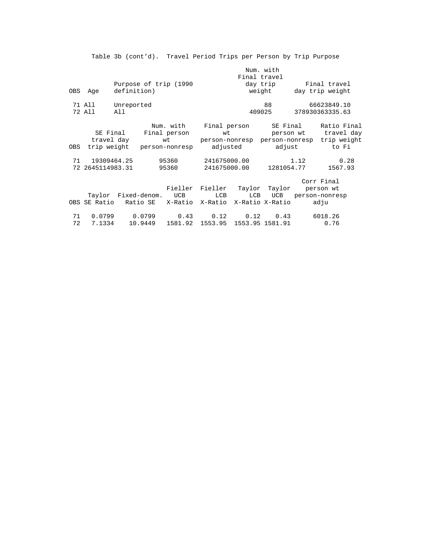|     |                  |             |         |                                            |                               |              | Num. with       |           |                                           |
|-----|------------------|-------------|---------|--------------------------------------------|-------------------------------|--------------|-----------------|-----------|-------------------------------------------|
|     |                  |             |         |                                            |                               |              | Final travel    |           |                                           |
|     |                  |             |         | Purpose of trip (1990                      |                               |              | day trip        |           | Final travel                              |
|     | OBS Age          | definition) |         |                                            |                               |              | weight          |           | day trip weight                           |
|     | 71 All           | Unreported  |         |                                            |                               |              | 88              |           | 66623849.10                               |
|     | 72 All           | All         |         |                                            |                               |              | 409025          |           | 378930363335.63                           |
|     |                  |             |         | Num. with Final person                     |                               |              |                 | SE Final  | Ratio Final                               |
|     |                  |             |         | SE Final Final person                      |                               | wt           |                 |           | person wt travel day                      |
|     |                  | travel day  |         | wt                                         |                               |              |                 |           | person-nonresp person-nonresp trip weight |
| OBS |                  |             |         | trip weight person-nonresp adjusted adjust |                               |              |                 |           | to Fi                                     |
|     | 71 19309464.25   |             |         | 95360                                      | 241675000.00                  |              |                 | 1.12      | 0.28                                      |
|     | 72 2645114983.31 |             |         | 95360                                      |                               | 241675000.00 | 1281054.77      |           | 1567.93                                   |
|     |                  |             |         |                                            |                               |              |                 |           | Corr Final                                |
|     |                  |             |         |                                            | Fieller Fieller Taylor Taylor |              |                 | person wt |                                           |
|     |                  |             |         | Taylor Fixed-denom. UCB                    | LCB                           | LCB          | UCB             |           | person-nonresp                            |
|     | OBS SE Ratio     |             |         | Ratio SE X-Ratio X-Ratio X-Ratio X-Ratio   |                               |              |                 |           | adju                                      |
| 71  | 0.0799           |             | 0.0799  | 0.43                                       | 0.12                          | 0.12         | 0.43            |           | 6018.26                                   |
| 72  | 7.1334           |             | 10.9449 | 1581.92                                    | 1553.95                       |              | 1553.95 1581.91 |           | 0.76                                      |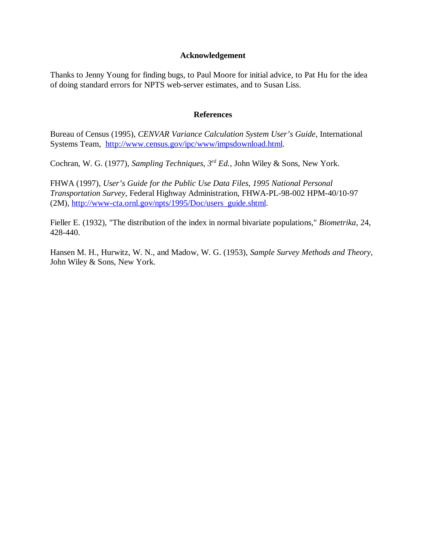#### **Acknowledgement**

Thanks to Jenny Young for finding bugs, to Paul Moore for initial advice, to Pat Hu for the idea of doing standard errors for NPTS web-server estimates, and to Susan Liss.

#### **References**

Bureau of Census (1995), *CENVAR Variance Calculation System User's Guide*, International Systems Team, http://www.census.gov/ipc/www/impsdownload.html.

Cochran, W. G. (1977), *Sampling Techniques*, *3rd Ed.,* John Wiley & Sons, New York.

FHWA (1997), *User's Guide for the Public Use Data Files, 1995 National Personal Transportation Survey*, Federal Highway Administration, FHWA-PL-98-002 HPM-40/10-97 (2M), http://www-cta.ornl.gov/npts/1995/Doc/users\_guide.shtml.

Fieller E. (1932), "The distribution of the index in normal bivariate populations," *Biometrika*, 24, 428-440.

Hansen M. H., Hurwitz, W. N., and Madow, W. G. (1953), *Sample Survey Methods and Theory*, John Wiley & Sons, New York.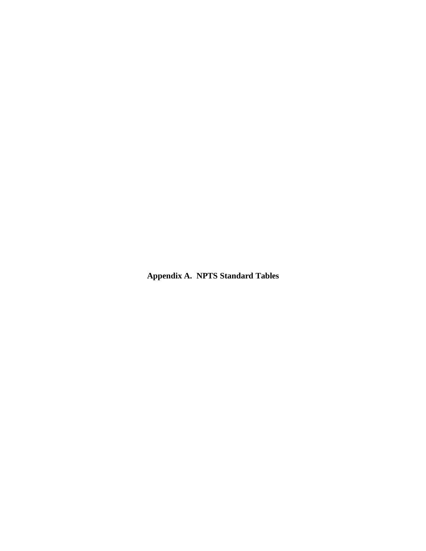**Appendix A. NPTS Standard Tables**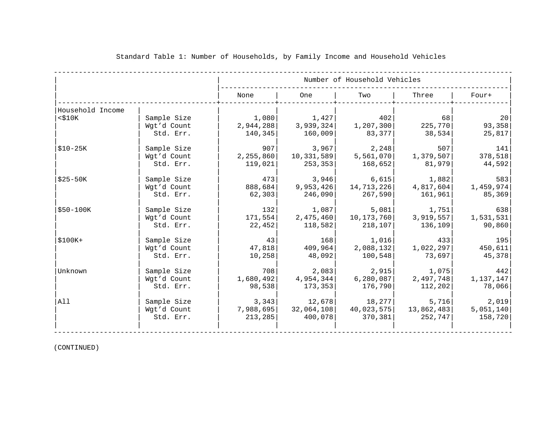|                  |             |             |            | Number of Household Vehicles |            |           |
|------------------|-------------|-------------|------------|------------------------------|------------|-----------|
|                  |             | None        | <b>One</b> | Two                          | Three      | Four+     |
| Household Income |             |             |            |                              |            |           |
| $<$ \$10 $K$     | Sample Size | 1,080       | 1,427      | 402                          | 68         | 20        |
|                  | Wgt'd Count | 2,944,288   | 3,939,324  | 1,207,300                    | 225,770    | 93,358    |
|                  | Std. Err.   | 140,345     | 160,009    | 83,377                       | 38,534     | 25,817    |
| \$10-25K         | Sample Size | 907         | 3,967      | 2,248                        | 507        | 141       |
|                  | Wgt'd Count | 2, 255, 860 | 10,331,589 | 5,561,070                    | 1,379,507  | 378,518   |
|                  | Std. Err.   | 119,021     | 253, 353   | 168,652                      | 81,979     | 44,592    |
| $$25-50K$        | Sample Size | 473         | 3,946      | 6,615                        | 1,882      | 583       |
|                  | Wgt'd Count | 888,684     | 9,953,426  | 14,713,226                   | 4,817,604  | 1,459,974 |
|                  | Std. Err.   | 62,303      | 246,090    | 267,590                      | 161,961    | 85,369    |
| $$50-100K$       | Sample Size | 132         | 1,087      | 5,081                        | 1,751      | 638       |
|                  | Wgt'd Count | 171,554     | 2,475,460  | 10,173,760                   | 3,919,557  | 1,531,531 |
|                  | Std. Err.   | 22,452      | 118,582    | 218,107                      | 136,109    | 90,860    |
| $$100K+$         | Sample Size | 43          | 168        | 1,016                        | 433        | 195       |
|                  | Wgt'd Count | 47,818      | 409,964    | 2,088,132                    | 1,022,297  | 450,611   |
|                  | Std. Err.   | 10,258      | 48,092     | 100,548                      | 73,697     | 45,378    |
| Unknown          | Sample Size | 708         | 2,083      | 2,915                        | 1,075      | 442       |
|                  | Wgt'd Count | 1,680,492   | 4,954,344  | 6,280,087                    | 2,497,748  | 1,137,147 |
|                  | Std. Err.   | 98,538      | 173, 353   | 176,790                      | 112,202    | 78,066    |
| All              | Sample Size | 3,343       | 12,678     | 18,277                       | 5,716      | 2,019     |
|                  | Wgt'd Count | 7,988,695   | 32,064,108 | 40,023,575                   | 13,862,483 | 5,051,140 |
|                  | Std. Err.   | 213,285     | 400,078    | 370,381                      | 252,747    | 158,720   |

#### Standard Table 1: Number of Households, by Family Income and Household Vehicles

(CONTINUED)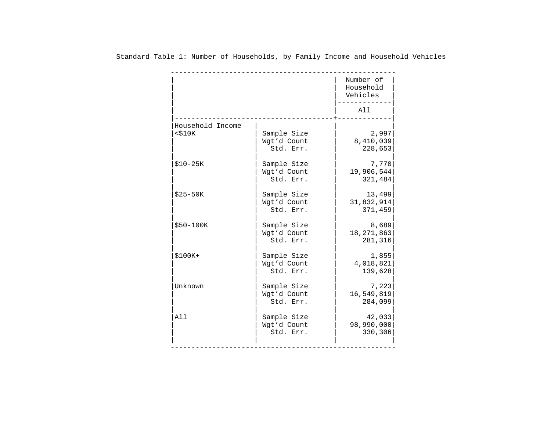|                  |                                         | Number of<br>Household<br>Vehicles |
|------------------|-----------------------------------------|------------------------------------|
|                  |                                         | All                                |
| Household Income |                                         |                                    |
| $<$ \$10 $K$     | Sample Size<br>Wgt'd Count<br>Std. Err. | 2,997<br>8,410,039<br>228,653      |
| $$10-25K$        | Sample Size<br>Wgt'd Count<br>Std. Err. | 7,770<br>19,906,544<br>321,484     |
| $$25-50K$        | Sample Size<br>Wgt'd Count<br>Std. Err. | 13,499<br>31,832,914<br>371,459    |
| $$50-100K$       | Sample Size<br>Wgt'd Count<br>Std. Err. | 8,689<br>18, 271, 863<br>281,316   |
| $$100K+$         | Sample Size<br>Wgt'd Count<br>Std. Err. | 1,855<br>4,018,821<br>139,628      |
| Unknown          | Sample Size<br>Wgt'd Count<br>Std. Err. | 7,223<br>16,549,819<br>284,099     |
| All              | Sample Size<br>Wgt'd Count<br>Std. Err. | 42,033<br>98,990,000<br>330,306    |

Standard Table 1: Number of Households, by Family Income and Household Vehicles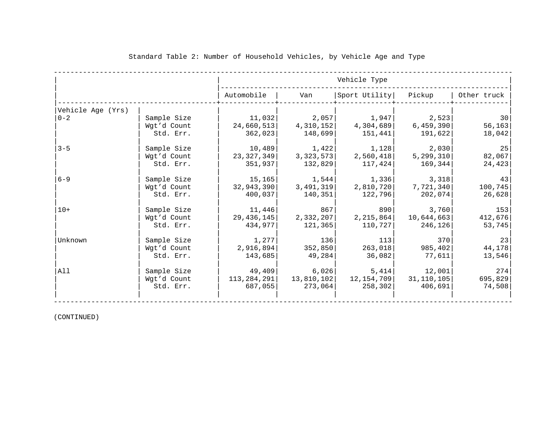|                   |             |                  |            | Vehicle Type  |              |             |
|-------------------|-------------|------------------|------------|---------------|--------------|-------------|
|                   |             | Automobile       | Van        | Sport Utility | Pickup       | Other truck |
| Vehicle Age (Yrs) |             |                  |            |               |              |             |
| $ 0-2 $           | Sample Size | 11,032           | 2,057      | 1,947         | 2,523        | 30          |
|                   | Wgt'd Count | 24,660,513       | 4,310,152  | 4,304,689     | 6,459,390    | 56, 163     |
|                   | Std. Err.   | 362,023          | 148,699    | 151,441       | 191,622      | 18,042      |
| $3 - 5$           | Sample Size | 10,489           | 1,422      | 1,128         | 2,030        | 25          |
|                   | Wgt'd Count | 23,327,349       | 3,323,573  | 2,560,418     | 5, 299, 310  | 82,067      |
|                   | Std. Err.   | 351,937          | 132,829    | 117,424       | 169,344      | 24, 423     |
| $6 - 9$           | Sample Size | 15, 165          | 1,544      | 1,336         | 3,318        | 43          |
|                   | Wgt'd Count | 32,943,390       | 3,491,319  | 2,810,720     | 7,721,340    | 100, 745    |
|                   | Std. Err.   | 400,037          | 140,351    | 122,796       | 202,074      | 26,628      |
| $10+$             | Sample Size | 11,446           | 867        | 890           | 3,760        | 153         |
|                   | Wqt'd Count | 29,436,145       | 2,332,207  | 2,215,864     | 10,644,663   | 412,676     |
|                   | Std. Err.   | 434,977          | 121,365    | 110,727       | 246,126      | 53,745      |
| Unknown           | Sample Size | $1$ , 277 $\mid$ | 136        | 113           | 370          | 23          |
|                   | Wgt'd Count | 2,916,894        | 352,850    | 263,018       | 985,402      | 44,178      |
|                   | Std. Err.   | 143,685          | 49,284     | 36,082        | 77,611       | 13,546      |
| All               | Sample Size | 49,409           | 6,026      | 5,414         | 12,001       | 274         |
|                   | Wgt'd Count | 113,284,291      | 13,810,102 | 12,154,709    | 31, 110, 105 | 695,829     |
|                   | Std. Err.   | 687,055          | 273,064    | 258,302       | 406,691      | 74,508      |
|                   |             |                  |            |               |              |             |

#### Standard Table 2: Number of Household Vehicles, by Vehicle Age and Type

(CONTINUED)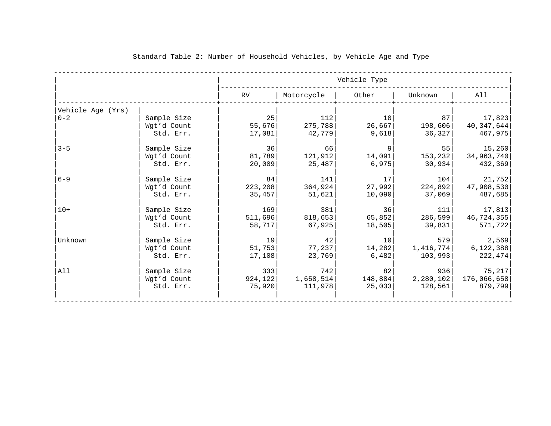|                   |                                         |                           |                              | Vehicle Type                       |                             |                                            |
|-------------------|-----------------------------------------|---------------------------|------------------------------|------------------------------------|-----------------------------|--------------------------------------------|
|                   |                                         | RV                        | Motorcycle                   | Other                              | Unknown                     | All                                        |
| Vehicle Age (Yrs) |                                         |                           |                              |                                    |                             |                                            |
| $0 - 2$           | Sample Size<br>Wgt'd Count<br>Std. Err. | 25<br>55,676<br>17,081    | 112<br>275,788<br>42,779     | 10<br>26,667<br>9,618              | 87 <br>198,606 <br>36,327   | 17,823<br>40,347,644<br>467,975            |
| $3 - 5$           | Sample Size<br>Wgt'd Count<br>Std. Err. | 36<br>81,789<br>20,009    | 66<br>121,912<br>25,487      | 14,091 <br>6,975                   | 55<br>153,232<br>30,934     | 15,260<br>34,963,740<br>432,369            |
| $6 - 9$           | Sample Size<br>Wgt'd Count<br>Std. Err. | 84<br>223, 208<br>35,457  | 141<br>364,924<br>51,621     | 17<br>27,992<br>10,090             | 104<br>224,892<br>37,069    | 21,752<br>47,908,530<br>487,685            |
| $10+$             | Sample Size<br>Wgt'd Count<br>Std. Err. | 169<br>511,696<br>58,717  | 381<br>818,653<br>67,925     | 36<br>65,852<br>18,505             | 111<br>286,599<br>39,831    | 17,813<br>46,724,355<br>571,722            |
| Unknown           | Sample Size<br>Wgt'd Count<br>Std. Err. | 19<br>51,753<br>17,108    | 42<br>77,237<br>23,769       | 10 <sup>°</sup><br>14,282<br>6,482 | 579<br>1,416,774<br>103,993 | 2,569<br>6,122,388<br>222,474              |
| All               | Sample Size<br>Wgt'd Count<br>Std. Err. | 333<br>924, 122<br>75,920 | 7421<br>1,658,514<br>111,978 | 82<br>148,884<br>25,033            | 936<br>128,561              | 75,217<br>2,280,102 176,066,658<br>879,799 |

#### Standard Table 2: Number of Household Vehicles, by Vehicle Age and Type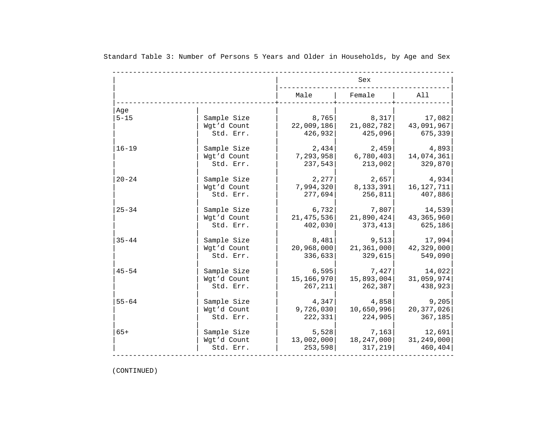|                 |                                         |                                | Sex                            |                                 |
|-----------------|-----------------------------------------|--------------------------------|--------------------------------|---------------------------------|
|                 |                                         | Male                           | Female                         | All                             |
| Aqe<br>$5 - 15$ | Sample Size<br>Wgt'd Count<br>Std. Err. | 8,765<br>22,009,186<br>426,932 | 8,317<br>21,082,782<br>425,096 | 17,082<br>43,091,967<br>675,339 |
| $16 - 19$       | Sample Size                             | 2,434                          | 2,459                          | 4,893                           |
|                 | Wgt'd Count                             | 7,293,958                      | 6,780,403                      | 14,074,361                      |
|                 | Std. Err.                               | 237,543                        | 213,002                        | 329,870                         |
| $20 - 24$       | Sample Size                             | 2,277                          | 2,657                          | 4,934                           |
|                 | Wgt'd Count                             | 7,994,320                      | 8,133,391                      | 16, 127, 711                    |
|                 | Std. Err.                               | 277,694                        | 256,811                        | 407,886                         |
| $25 - 34$       | Sample Size                             | 6,732                          | 7,807                          | 14,539                          |
|                 | Wgt'd Count                             | 21, 475, 536                   | 21,890,424                     | 43, 365, 960                    |
|                 | Std. Err.                               | 402,030                        | 373,413                        | 625,186                         |
| $35 - 44$       | Sample Size                             | 8,481                          | 9,513                          | 17,994                          |
|                 | Wgt'd Count                             | 20,968,000                     | 21,361,000                     | 42,329,000                      |
|                 | Std. Err.                               | 336,633                        | 329,615                        | 549,090                         |
| $45 - 54$       | Sample Size                             | 6,595                          | 7,427                          | 14,022                          |
|                 | Wgt'd Count                             | 15,166,970                     | 15,893,004                     | 31,059,974                      |
|                 | Std. Err.                               | 267,211                        | 262,387                        | 438,923                         |
| $55 - 64$       | Sample Size                             | 4,347                          | 4,858                          | 9,205                           |
|                 | Wqt'd Count                             | 9,726,030                      | 10,650,996                     | 20, 377, 026                    |
|                 | Std. Err.                               | 222,331                        | 224,905                        | 367,185                         |
| $65+$           | Sample Size                             | 5,528                          | 7,163                          | 12,691                          |
|                 | Wgt'd Count                             | 13,002,000                     | 18,247,000                     | 31,249,000                      |
|                 | Std. Err.                               | 253,598                        | 317, 219                       | 460,404                         |

Standard Table 3: Number of Persons 5 Years and Older in Households, by Age and Sex

(CONTINUED)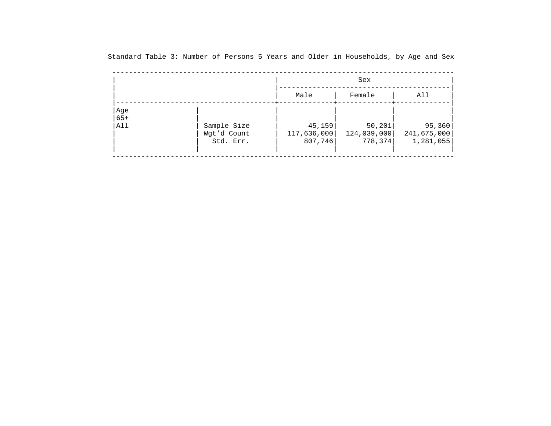|                     |                                         |                                  | Sex                                |                                    |
|---------------------|-----------------------------------------|----------------------------------|------------------------------------|------------------------------------|
|                     |                                         | Male                             | Female                             | All                                |
| Age<br>$65+$<br>All | Sample Size<br>Wgt'd Count<br>Std. Err. | 45,159<br>117,636,000<br>807,746 | 50, 201<br>124,039,000<br>778, 374 | 95,360<br>241,675,000<br>1,281,055 |

Standard Table 3: Number of Persons 5 Years and Older in Households, by Age and Sex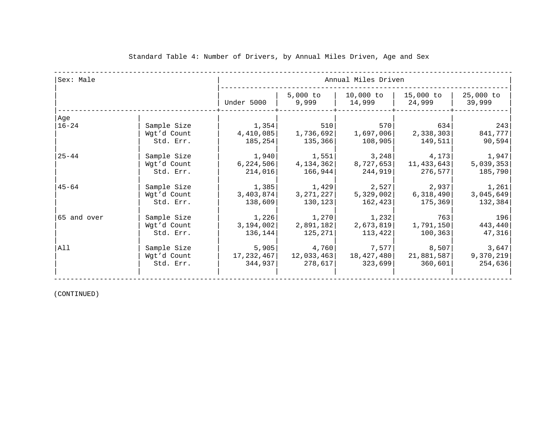| Sex: Male   |             |             | Annual Miles Driven |                                              |            |                     |  |  |  |
|-------------|-------------|-------------|---------------------|----------------------------------------------|------------|---------------------|--|--|--|
|             |             | Under 5000  | 9,999               | 5,000 to   10,000 to   15,000 to  <br>14,999 | 24,999     | 25,000 to<br>39,999 |  |  |  |
| Age         |             |             |                     |                                              |            |                     |  |  |  |
| $16 - 24$   | Sample Size | 1,354       | 510                 | 570                                          | 634        | 243                 |  |  |  |
|             | Wgt'd Count | 4,410,085   | 1,736,692           | 1,697,006                                    | 2,338,303  | 841,777             |  |  |  |
|             | Std. Err.   | 185,254     | 135,366             | 108,905                                      | 149,511    | 90,594              |  |  |  |
| $25 - 44$   | Sample Size | 1,940       | 1,551               | 3,248                                        | 4,173      | 1,947               |  |  |  |
|             | Wgt'd Count | 6, 224, 506 | 4,134,362           | 8,727,653                                    | 11,433,643 | 5,039,353           |  |  |  |
|             | Std. Err.   | 214,016     | 166,944             | 244,919                                      | 276,577    | 185,790             |  |  |  |
| $45 - 64$   | Sample Size | 1,385       | 1,429               | 2,527                                        | 2,937      | 1,261               |  |  |  |
|             | Wgt'd Count | 3,403,874   | 3,271,227           | 5,329,002                                    | 6,318,490  | 3,045,649           |  |  |  |
|             | Std. Err.   | 138,609     | 130,123             | 162,423                                      | 175,369    | 132,384             |  |  |  |
| 65 and over | Sample Size | 1,226       | 1,270               | 1,232                                        | 763        | 196                 |  |  |  |
|             | Wgt'd Count | 3,194,002   | 2,891,182           | 2,673,819                                    | 1,791,150  | 443,440             |  |  |  |
|             | Std. Err.   | 136,144     | 125,271             | 113,422                                      | 100, 363   | 47,316              |  |  |  |
| All         | Sample Size | 5,905       | 4,760               | 7,577                                        | 8,507      | 3,647               |  |  |  |
|             | Wgt'd Count | 17,232,467  | 12,033,463          | 18,427,480                                   | 21,881,587 | 9,370,219           |  |  |  |
|             | Std. Err.   | 344,937     | 278,617             | 323,699                                      | 360,601    | 254,636             |  |  |  |

(CONTINUED)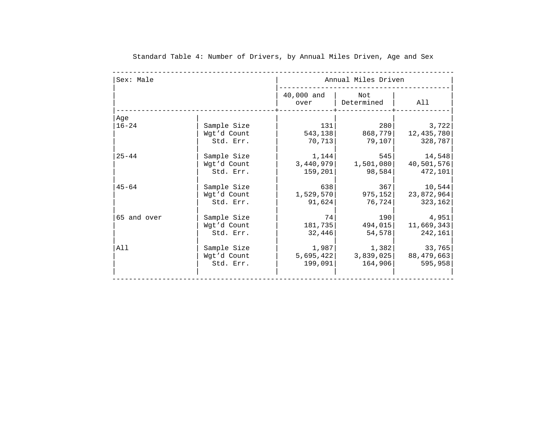| Sex: Male   |             |                    | Annual Miles Driven |            |
|-------------|-------------|--------------------|---------------------|------------|
|             |             | 40,000 and<br>over | Not<br>Determined   | All        |
| Age         |             |                    |                     |            |
| $16 - 24$   | Sample Size | 131                | 280                 | 3,722      |
|             | Wgt'd Count | 543, 138           | 868,779             | 12,435,780 |
|             | Std. Err.   | 70,713             | 79,107              | 328,787    |
| $25 - 44$   | Sample Size | 1,144              | 545                 | 14,548     |
|             | Wgt'd Count | 3,440,979          | 1,501,080           | 40,501,576 |
|             | Std. Err.   | 159,201            | 98,584              | 472,101    |
| $45 - 64$   | Sample Size | 638                | 367                 | 10,544     |
|             | Wgt'd Count | 1,529,570          | 975, 152            | 23,872,964 |
|             | Std. Err.   | 91,624             | 76,724              | 323,162    |
| 65 and over | Sample Size | 74                 | 190                 | 4,951      |
|             | Wgt'd Count | 181,735            | 494,015             | 11,669,343 |
|             | Std. Err.   | 32,446             | 54,578              | 242,161    |
| All         | Sample Size | 1,987              | 1,382               | 33,765     |
|             | Wgt'd Count | 5,695,422          | 3,839,025           | 88,479,663 |
|             | Std. Err.   | 199,091            | 164,906             | 595,958    |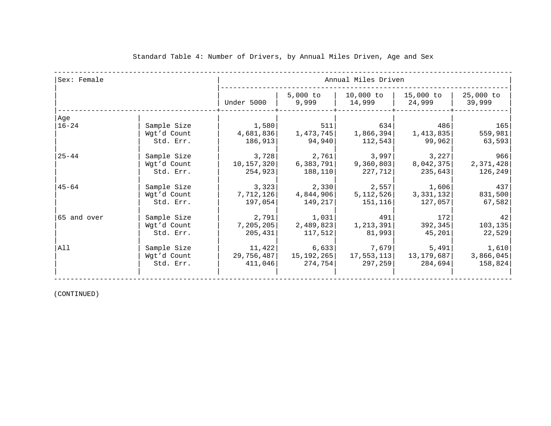| Sex: Female |             |              | Annual Miles Driven |                                  |                     |                     |  |  |  |
|-------------|-------------|--------------|---------------------|----------------------------------|---------------------|---------------------|--|--|--|
|             |             | Under 5000   | 9,999               | 5,000 to   10,000 to  <br>14,999 | 15,000 to<br>24,999 | 25,000 to<br>39,999 |  |  |  |
| Age         |             |              |                     |                                  |                     |                     |  |  |  |
| $16 - 24$   | Sample Size | 1,580        | 511                 | 634                              | 486                 | 165                 |  |  |  |
|             | Wgt'd Count | 4,681,836    | 1,473,745           | 1,866,394                        | 1,413,835           | 559,981             |  |  |  |
|             | Std. Err.   | 186,913      | 94,940              | 112,543                          | 99,962              | 63,593              |  |  |  |
| $25 - 44$   | Sample Size | 3,728        | 2,761               | 3,997                            | 3,227               | 966                 |  |  |  |
|             | Wgt'd Count | 10, 157, 320 | 6,383,791           | 9,360,803                        | 8,042,375           | 2,371,428           |  |  |  |
|             | Std. Err.   | 254,923      | 188,110             | 227,712                          | 235,643             | 126,249             |  |  |  |
| $45 - 64$   | Sample Size | 3,323        | 2,330               | 2,557                            | 1,606               | 437                 |  |  |  |
|             | Wgt'd Count | 7,712,126    | 4,844,906           | 5,112,526                        | 3,331,132           | 831,500             |  |  |  |
|             | Std. Err.   | 197,054      | 149,217             | 151,116                          | 127,057             | 67,582              |  |  |  |
| 65 and over | Sample Size | 2,791        | 1,031               | 491                              | 1721                | 42                  |  |  |  |
|             | Wgt'd Count | 7,205,205    | 2,489,823           | 1,213,391                        | 392, 345            | 103, 135            |  |  |  |
|             | Std. Err.   | 205,431      | 117,512             | 81,993                           | 45,201              | 22,529              |  |  |  |
| All         | Sample Size | 11,422       | 6,633               | 7,679                            | 5,491               | 1,610               |  |  |  |
|             | Wgt'd Count | 29,756,487   | 15,192,265          | 17,553,113                       | 13,179,687          | 3,866,045           |  |  |  |
|             | Std. Err.   | 411,046      | 274,754             | 297,259                          | 284,694             | 158,824             |  |  |  |

(CONTINUED)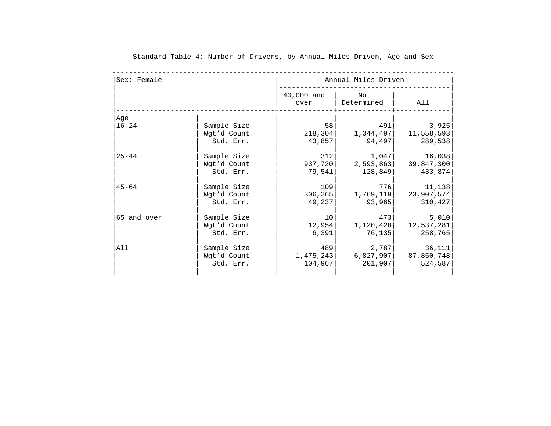| Sex: Female |                                         |                             | Annual Miles Driven            |                                 |
|-------------|-----------------------------------------|-----------------------------|--------------------------------|---------------------------------|
|             |                                         | 40,000 and<br>over          | Not<br>Determined              | All                             |
| Age         |                                         |                             |                                |                                 |
| $16 - 24$   | Sample Size<br>Wgt'd Count<br>Std. Err. | 58<br>218,304<br>43,857     | 491<br>1,344,497<br>94,497     | 3,925<br>11,558,593<br>289,538  |
| $25 - 44$   | Sample Size<br>Wgt'd Count<br>Std. Err. | 312<br>937,720<br>79,541    | 1,047 <br>2,593,863<br>128,849 | 16,038<br>39,847,300<br>433,874 |
| $45 - 64$   | Sample Size<br>Wgt'd Count<br>Std. Err. | 109<br>306, 265<br>49,237   | 776<br>1,769,119<br>93,965     | 11,138<br>23,907,574<br>310,427 |
| 65 and over | Sample Size<br>Wgt'd Count<br>Std. Err. | 10<br>12,954<br>6,391       | 473<br>1,120,428<br>76,135     | 5,010<br>12,537,281<br>258,765  |
| All         | Sample Size<br>Wgt'd Count<br>Std. Err. | 489<br>1,475,243<br>104,967 | 2,787 <br>6,827,907<br>201,907 | 36,111<br>87,850,748<br>524,587 |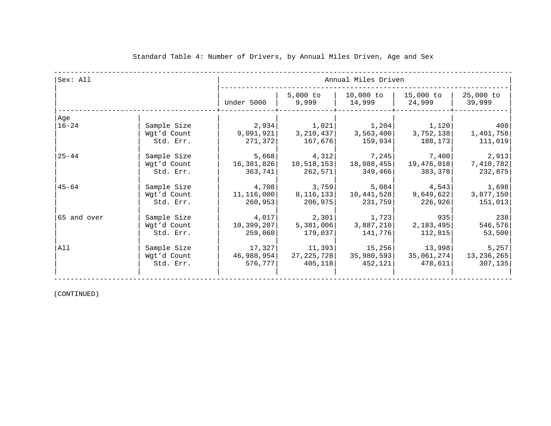| Sex: All    |                                         | Annual Miles Driven              |                                          |                                              |                                         |                                              |  |
|-------------|-----------------------------------------|----------------------------------|------------------------------------------|----------------------------------------------|-----------------------------------------|----------------------------------------------|--|
|             |                                         | Under 5000                       | 9,999                                    | 5,000 to   10,000 to   15,000 to  <br>14,999 | 24,999                                  | 25,000 to<br>39,999                          |  |
| Age         |                                         |                                  |                                          |                                              |                                         |                                              |  |
| $ 16-24 $   | Sample Size<br>Wgt'd Count<br>Std. Err. | 9,091,921 <br>271,372            | $2,934$ $1,021$<br>3,210,437 <br>167,676 | 3,563,400<br>159,934                         | $1,204$ $1,120$<br>3,752,138<br>188,173 | 408<br>1,401,758<br>111,019                  |  |
| $25 - 44$   | Sample Size<br>Wgt'd Count<br>Std. Err. | 5,668<br>16,381,826<br>363,741   | 4,312<br>10,518,153 <br>262,571          | 7,245<br>18,088,455 <br>349,466              | 7,400  <br>19,476,018 <br>383,378       | 2,913<br>7,410,782<br>232,875                |  |
| $45 - 64$   | Sample Size<br>Wgt'd Count<br>Std. Err. | 4,708<br>11, 116, 000<br>260,953 | 3,759<br>8,116,133<br>206,975            | 5,084<br>10,441,528<br>231,759               | 4,543<br>9,649,622<br>226,926           | 1,698<br>3,877,150<br>151,013                |  |
| 65 and over | Sample Size<br>Wgt'd Count<br>Std. Err. | 4,017<br>10,399,207<br>259,060   | 2,301<br>5,381,006<br>179,037            | 1,723<br>3,887,210<br>141,776                | 935<br>2,183,495<br>112,815             | 238<br>546,576<br>53,500                     |  |
| All         | Sample Size<br>Wgt'd Count<br>Std. Err. | 17,327<br>46,988,954 <br>576,777 | 11,393<br>27,225,728<br>405,118          | 15,256<br>35,980,593 <br>452,121             | 13,998 <br>478,611                      | 5,257<br>$35,061,274$ 13,236,265<br>307, 135 |  |

(CONTINUED)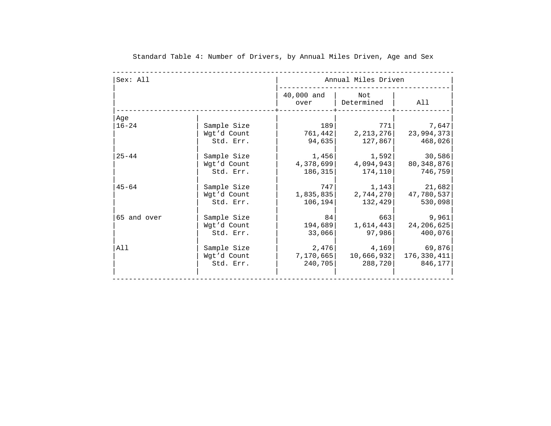| Sex: All    |             |                    | Annual Miles Driven | All         |  |  |
|-------------|-------------|--------------------|---------------------|-------------|--|--|
|             |             | 40,000 and<br>over | Not<br>Determined   |             |  |  |
| Age         |             |                    |                     |             |  |  |
| $16 - 24$   | Sample Size | 189                | 771                 | 7,647       |  |  |
|             | Wgt'd Count | 761,442            | 2, 213, 276         | 23,994,373  |  |  |
|             | Std. Err.   | 94,635             | 127,867             | 468,026     |  |  |
| $25 - 44$   | Sample Size | 1,456              | 1,592               | 30,586      |  |  |
|             | Wgt'd Count | 4,378,699          | 4,094,943           | 80,348,876  |  |  |
|             | Std. Err.   | 186, 315           | 174,110             | 746,759     |  |  |
| $45 - 64$   | Sample Size | 747                | 1,143               | 21,682      |  |  |
|             | Wgt'd Count | 1,835,835          | 2,744,270           | 47,780,537  |  |  |
|             | Std. Err.   | 106, 194           | 132,429             | 530,098     |  |  |
| 65 and over | Sample Size | 84                 | 663                 | 9,961       |  |  |
|             | Wgt'd Count | 194,689            | 1,614,443           | 24,206,625  |  |  |
|             | Std. Err.   | 33,066             | 97,986              | 400,076     |  |  |
| All         | Sample Size | 2,476              | 4,169               | 69,876      |  |  |
|             | Wgt'd Count | 7,170,665          | 10,666,932          | 176,330,411 |  |  |
|             | Std. Err.   | 240,705            | 288,720             | 846,177     |  |  |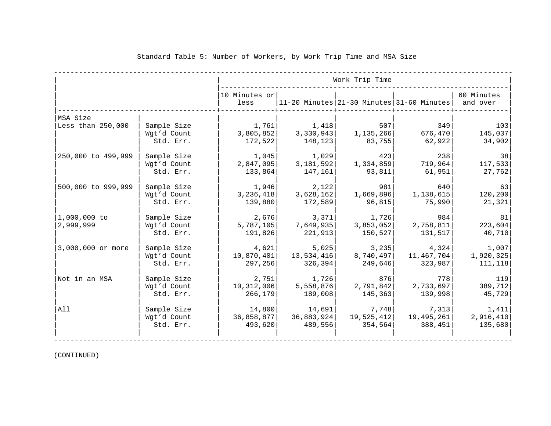|                    |             | Work Trip Time        |            |            |                                           |                        |
|--------------------|-------------|-----------------------|------------|------------|-------------------------------------------|------------------------|
|                    |             | 10 Minutes or<br>less |            |            | 11-20 Minutes 21-30 Minutes 31-60 Minutes | 60 Minutes<br>and over |
| MSA Size           |             |                       |            |            |                                           |                        |
| Less than 250,000  | Sample Size | 1,761                 | 1,418      | 507        | 349                                       | 103                    |
|                    | Wgt'd Count | 3,805,852             | 3,330,943  | 1,135,266  | 676,470                                   | 145,037                |
|                    | Std. Err.   | 172,522               | 148,123    | 83,755     | 62,922                                    | 34,902                 |
| 250,000 to 499,999 | Sample Size | 1,045                 | 1,029      | 423        | 238                                       | 38                     |
|                    | Wgt'd Count | 2,847,095             | 3,181,592  | 1,334,859  | 719,964                                   | 117,533                |
|                    | Std. Err.   | 133,864               | 147,161    | 93,811     | 61,951                                    | 27,762                 |
| 500,000 to 999,999 | Sample Size | 1,946                 | 2,122      | 981        | 640                                       | 63                     |
|                    | Wgt'd Count | 3,236,418             | 3,628,162  | 1,669,896  | 1,138,615                                 | 120,200                |
|                    | Std. Err.   | 139,880               | 172,589    | 96,815     | 75,990                                    | 21,321                 |
| 1,000,000 to       | Sample Size | 2,676                 | 3,371      | 1,726      | 984                                       | 81                     |
| 2,999,999          | Wgt'd Count | 5,787,105             | 7,649,935  | 3,853,052  | 2,758,811                                 | 223,604                |
|                    | Std. Err.   | 191,826               | 221,913    | 150, 527   | 131,517                                   | 40,710                 |
| 3,000,000 or more  | Sample Size | 4,621                 | 5,025      | 3, 235     | 4,324                                     | 1,007                  |
|                    | Wgt'd Count | 10,870,401            | 13,534,416 | 8,740,497  | 11,467,704                                | 1,920,325              |
|                    | Std. Err.   | 297,256               | 326,394    | 249,646    | 323,987                                   | 111,118                |
| Not in an MSA      | Sample Size | 2,751                 | 1,726      | 876        | 778                                       | 119                    |
|                    | Wgt'd Count | 10, 312, 006          | 5,558,876  | 2,791,842  | 2,733,697                                 | 389,712                |
|                    | Std. Err.   | 266,179               | 189,008    | 145,363    | 139,998                                   | 45,729                 |
| All                | Sample Size | 14,800                | 14,691     | 7,748      | 7,313                                     | 1,411                  |
|                    | Wgt'd Count | 36,858,877            | 36,883,924 | 19,525,412 | 19,495,261                                | 2,916,410              |
|                    | Std. Err.   | 493,620               | 489,556    | 354,564    | 388,451                                   | 135,680                |
|                    |             |                       |            |            |                                           |                        |

#### Standard Table 5: Number of Workers, by Work Trip Time and MSA Size

(CONTINUED)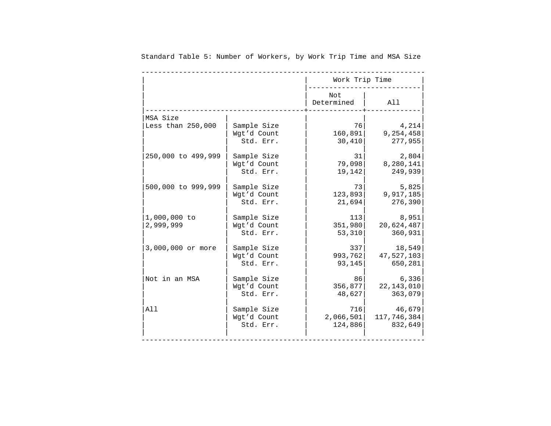|                           |                                         | Work Trip Time           |                                |
|---------------------------|-----------------------------------------|--------------------------|--------------------------------|
|                           |                                         | Not<br>Determined        | All                            |
| MSA Size                  |                                         |                          |                                |
| Less than 250,000         | Sample Size                             | 76                       | 4,214                          |
|                           | Wgt'd Count                             | 160,891                  | 9,254,458                      |
|                           | Std. Err.                               | 30,410                   | 277,955                        |
| 250,000 to 499,999        | Sample Size                             | 31                       | 2,804                          |
|                           | Wgt'd Count                             | 79,098                   | 8,280,141                      |
|                           | Std. Err.                               | 19,142                   | 249,939                        |
| 500,000 to 999,999        | Sample Size                             | 73                       | 5,825                          |
|                           | Wgt'd Count                             | 123,893                  | 9,917,185                      |
|                           | Std. Err.                               | 21,694                   | 276,390                        |
| 1,000,000 to<br>2,999,999 | Sample Size<br>Wgt'd Count<br>Std. Err. | 113<br>351,980<br>53,310 | 8,951<br>20,624,487<br>360,931 |
| 3,000,000 or more         | Sample Size                             | 337                      | 18,549                         |
|                           | Wgt'd Count                             | 993,762                  | 47,527,103                     |
|                           | Std. Err.                               | 93,145                   | 650,281                        |
| Not in an MSA             | Sample Size                             | 86                       | 6,336                          |
|                           | Wgt'd Count                             | 356,877                  | 22, 143, 010                   |
|                           | Std. Err.                               | 48,627                   | 363,079                        |
| All                       | Sample Size                             | 716                      | 46,679                         |
|                           | Wgt'd Count                             | 2,066,501                | 117,746,384                    |
|                           | Std. Err.                               | 124,886                  | 832,649                        |

Standard Table 5: Number of Workers, by Work Trip Time and MSA Size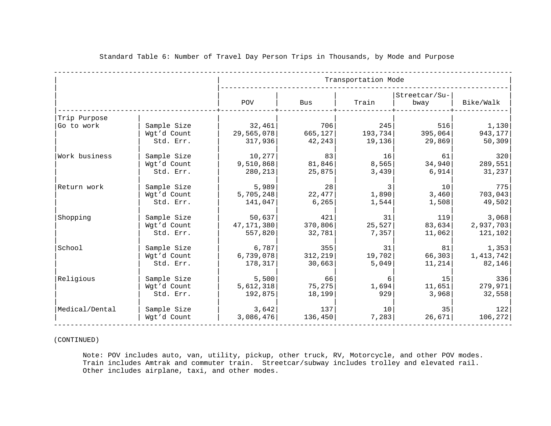|                |             | Transportation Mode |          |         |                       |           |
|----------------|-------------|---------------------|----------|---------|-----------------------|-----------|
|                |             | POV                 | Bus      | Train   | Streetcar/Su-<br>bway | Bike/Walk |
| Trip Purpose   |             |                     |          |         |                       |           |
| Go to work     | Sample Size | 32,461              | 706      | 245     | 516                   | 1,130     |
|                | Wgt'd Count | 29,565,078          | 665, 127 | 193,734 | 395,064               | 943, 177  |
|                | Std. Err.   | 317,936             | 42,243   | 19,136  | 29,869                | 50,309    |
| Work business  | Sample Size | 10,277              | 83       | 16      | 61                    | 320       |
|                | Wgt'd Count | 9,510,868           | 81,846   | 8,565   | 34,940                | 289,551   |
|                | Std. Err.   | 280,213             | 25,875   | 3,439   | 6,914                 | 31, 237   |
| Return work    | Sample Size | 5,989               | 28       | 3       | 10                    | 775       |
|                | Wgt'd Count | 5,705,248           | 22,477   | 1,890   | 3,460                 | 703,043   |
|                | Std. Err.   | 141,047             | 6,265    | 1,544   | 1,508                 | 49,502    |
| Shopping       | Sample Size | 50,637              | 421      | 31      | 119                   | 3,068     |
|                | Wgt'd Count | 47, 171, 380        | 370,806  | 25,527  | 83,634                | 2,937,703 |
|                | Std. Err.   | 557,820             | 32,781   | 7,357   | 11,062                | 121,102   |
| School         | Sample Size | 6,787               | 355      | 31      | 81                    | 1,353     |
|                | Wgt'd Count | 6,739,078           | 312,219  | 19,702  | 66,303                | 1,413,742 |
|                | Std. Err.   | 178,317             | 30,663   | 5,049   | 11,214                | 82,146    |
| Religious      | Sample Size | 5,500               | 66       | 6       | 15                    | 336       |
|                | Wgt'd Count | 5,612,318           | 75, 275  | 1,694   | 11,651                | 279,971   |
|                | Std. Err.   | 192,875             | 18,199   | 929     | 3,968                 | 32,558    |
| Medical/Dental | Sample Size | 3,642               | 137      | 10      | 35                    | 122       |
|                | Wgt'd Count | 3,086,476           | 136,450  | 7,283   | 26,671                | 106, 272  |

#### Standard Table 6: Number of Travel Day Person Trips in Thousands, by Mode and Purpose

(CONTINUED)

 Note: POV includes auto, van, utility, pickup, other truck, RV, Motorcycle, and other POV modes. Train includes Amtrak and commuter train. Streetcar/subway includes trolley and elevated rail. Other includes airplane, taxi, and other modes.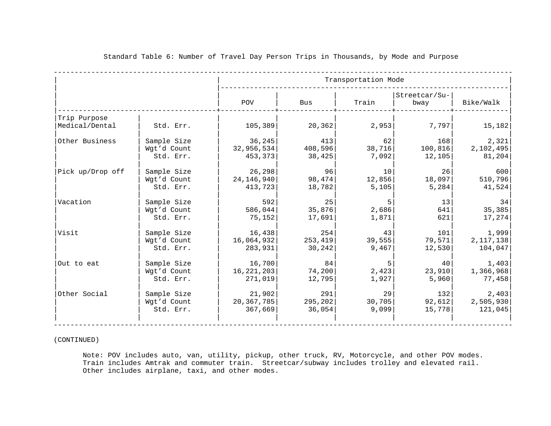|                                |             |              |          | Transportation Mode |                       |             |
|--------------------------------|-------------|--------------|----------|---------------------|-----------------------|-------------|
|                                |             | POV          | Bus      | Train               | Streetcar/Su-<br>bway | Bike/Walk   |
| Trip Purpose<br>Medical/Dental | Std. Err.   | 105,389      | 20, 362  | 2,953               | 7,797                 | 15,182      |
| Other Business                 | Sample Size | 36, 245      | 413      | 62                  | 168                   | 2,321       |
|                                | Wgt'd Count | 32,956,534   | 408,596  | 38,716              | 100, 816              | 2,102,495   |
|                                | Std. Err.   | 453,373      | 38,425   | 7,092               | 12,105                | 81,204      |
| Pick up/Drop off               | Sample Size | 26,298       | 96       | 10                  | 26                    | 600         |
|                                | Wgt'd Count | 24, 146, 940 | 98,474   | 12,856              | 18,097                | 510,796     |
|                                | Std. Err.   | 413,723      | 18,782   | 5,105               | 5,284                 | 41,524      |
| Vacation                       | Sample Size | 592          | 25       | 5                   | 13                    | 34          |
|                                | Wgt'd Count | 586,044      | 35,876   | 2,686               | 641                   | 35,385      |
|                                | Std. Err.   | 75,152       | 17,691   | 1,871               | 621                   | 17,274      |
| Visit                          | Sample Size | 16,438       | 254      | 43                  | 101                   | 1,999       |
|                                | Wgt'd Count | 16,064,932   | 253, 419 | 39,555              | 79,571                | 2, 117, 138 |
|                                | Std. Err.   | 283,931      | 30,242   | 9,467               | 12,530                | 104,047     |
| Out to eat                     | Sample Size | 16,700       | 84       | 5                   | 40                    | 1,403       |
|                                | Wgt'd Count | 16, 221, 203 | 74, 200  | 2,423               | 23,910                | 1,366,968   |
|                                | Std. Err.   | 271,019      | 12,795   | 1,927               | 5,960                 | 77,458      |
| Other Social                   | Sample Size | 21,902       | 291      | 29                  | 132                   | 2,403       |
|                                | Wgt'd Count | 20, 367, 785 | 295,202  | 30,705              | 92,612                | 2,505,930   |
|                                | Std. Err.   | 367,669      | 36,054   | 9,099               | 15,778                | 121,045     |

(CONTINUED)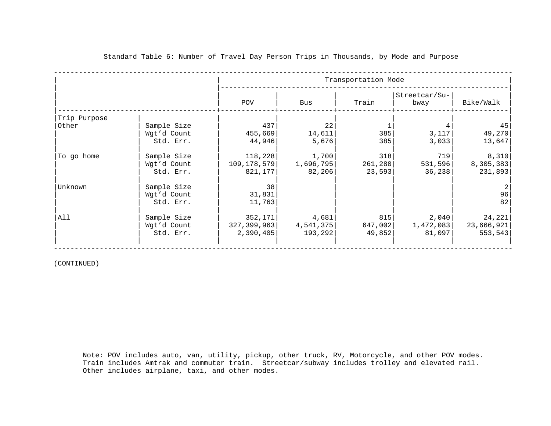|              |                                         |                                       |                                | Transportation Mode      |                              |                                 |
|--------------|-----------------------------------------|---------------------------------------|--------------------------------|--------------------------|------------------------------|---------------------------------|
|              |                                         | POV                                   | Bus                            | Train                    | Streetcar/Su-<br>bway        | Bike/Walk                       |
| Trip Purpose |                                         |                                       |                                |                          |                              |                                 |
| Other        | Sample Size<br>Wgt'd Count<br>Std. Err. | 437<br>455,669<br>44,946              | 22<br>14,611<br>5,676          | 385<br>385               | 3,117<br>3,033               | 45<br>49,270<br>13,647          |
| To go home   | Sample Size<br>Wgt'd Count<br>Std. Err. | 118,228<br>109, 178, 579<br>821,177   | 1,700 <br>1,696,795 <br>82,206 | 318<br>261,280<br>23,593 | 719<br>531,596<br>36, 238    | 8,310<br>8,305,383<br>231,893   |
| Unknown      | Sample Size<br>Wgt'd Count<br>Std. Err. | 38<br>31,831<br>11,763                |                                |                          |                              | 2<br>96<br>82                   |
| All          | Sample Size<br>Wgt'd Count<br>Std. Err. | 352,171<br>327, 399, 963<br>2,390,405 | 4,681 <br>4,541,375<br>193,292 | 815<br>647,002<br>49,852 | 2,040<br>1,472,083<br>81,097 | 24,221<br>23,666,921<br>553,543 |

(CONTINUED)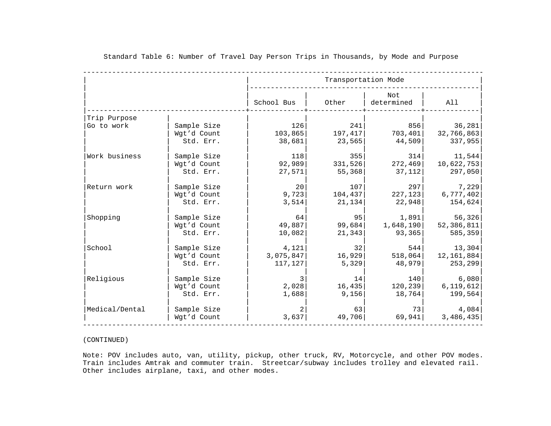|                |             |                         | Transportation Mode |                                                                                |              |
|----------------|-------------|-------------------------|---------------------|--------------------------------------------------------------------------------|--------------|
|                |             | School Bus              | Other               | Not<br>determined                                                              | All          |
| Trip Purpose   |             |                         |                     |                                                                                |              |
| Go to work     | Sample Size | 126                     | 241                 | 856                                                                            | 36,281       |
|                | Wgt'd Count | 103,865                 | 197,417             | 703,401                                                                        | 32,766,863   |
|                | Std. Err.   | 38,681                  | 23,565              | 44,509                                                                         | 337,955      |
| Work business  | Sample Size | 118                     | 355                 | 314                                                                            | 11,544       |
|                | Wgt'd Count | 92,989                  | 331,526             | 272, 469                                                                       | 10,622,753   |
|                | Std. Err.   | 27,571                  | 55,368              | 37,112                                                                         | 297,050      |
| Return work    | Sample Size | 20                      | 107                 |                                                                                | 297<br>7,229 |
|                | Wgt'd Count | 9,723                   | 104,437             | 227, 123                                                                       | 6,777,402    |
|                | Std. Err.   | 3,514                   | 21,134              | 22,948                                                                         | 154,624      |
| Shopping       | Sample Size | 64                      | 95                  | 1,891                                                                          | 56,326       |
|                | Wgt'd Count | 49,887                  | 99,684              | $\begin{array}{ c c c c c } \hline \quad & 1,648,190 & 52,386,811 \end{array}$ |              |
|                | Std. Err.   | 10,082                  | 21,343              | 93,365                                                                         | 585,359      |
| School         | Sample Size | 4,121                   | 32                  | 544                                                                            | 13,304       |
|                | Wgt'd Count | 3,075,847               | 16,929              | 518,064                                                                        | 12,161,884   |
|                | Std. Err.   | 117,127                 | 5,329               | 48,979                                                                         | 253,299      |
| Religious      | Sample Size | $\overline{\mathbf{3}}$ | 14                  | 140                                                                            | 6,080        |
|                | Wgt'd Count | 2,028                   | 16,435              | 120, 239                                                                       | 6,119,612    |
|                | Std. Err.   | 1,688                   | 9,156               | 18,764                                                                         | 199,564      |
| Medical/Dental | Sample Size | $\overline{2}$          | 63                  | 73                                                                             | 4,084        |
|                | Wgt'd Count | 3,637                   | 49,706              | 69,941                                                                         | 3,486,435    |

#### (CONTINUED)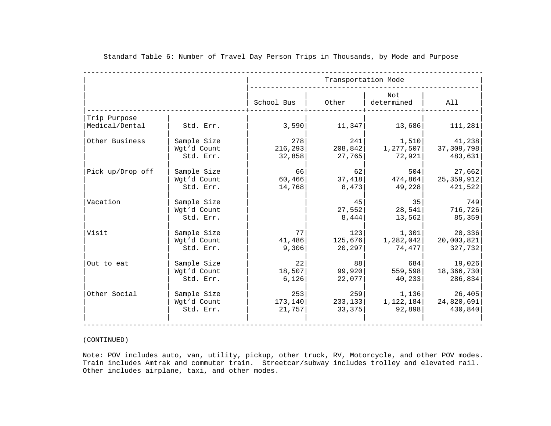|                  |             |            | Transportation Mode |                   |            |  |  |
|------------------|-------------|------------|---------------------|-------------------|------------|--|--|
|                  |             | School Bus | Other               | Not<br>determined | All        |  |  |
| Trip Purpose     |             |            |                     |                   |            |  |  |
| Medical/Dental   | Std. Err.   | 3,590      | 11,347              | 13,686            | 111,281    |  |  |
| Other Business   | Sample Size | 278        | 241                 | 1,510             | 41,238     |  |  |
|                  | Wgt'd Count | 216, 293   | 208,842             | 1,277,507         | 37,309,798 |  |  |
|                  | Std. Err.   | 32,858     | 27,765              | 72,921            | 483,631    |  |  |
| Pick up/Drop off | Sample Size | 66         | 62                  | 504               | 27,662     |  |  |
|                  | Wgt'd Count | 60,466     | 37,418              | 474,864           | 25,359,912 |  |  |
|                  | Std. Err.   | 14,768     | 8,473               | 49,228            | 421,522    |  |  |
| Vacation         | Sample Size |            | 45                  | 35                |            |  |  |
|                  | Wgt'd Count |            | 27,552              | 28,541            | 716,726    |  |  |
|                  | Std. Err.   |            | 8,444               | 13,562            | 85,359     |  |  |
| Visit            | Sample Size | 77 I       | 123                 | 1,301             | 20,336     |  |  |
|                  | Wgt'd Count | 41,486     | 125,676             | 1,282,042         | 20,003,821 |  |  |
|                  | Std. Err.   | 9,306      | 20, 297             | 74,477            | 327,732    |  |  |
| Out to eat       | Sample Size | 22         | 88                  | 684               | 19,026     |  |  |
|                  | Wgt'd Count | 18,507     | 99,920              | 559,598           | 18,366,730 |  |  |
|                  | Std. Err.   | 6,126      | 22,077              | 40,233            | 286,834    |  |  |
| Other Social     | Sample Size | 253        | 259                 | 1,136             | 26,405     |  |  |
|                  | Wgt'd Count | 173,140    | 233, 133            | 1,122,184         | 24,820,691 |  |  |
|                  | Std. Err.   | 21,757     | 33,375              | 92,898            | 430,840    |  |  |

#### (CONTINUED)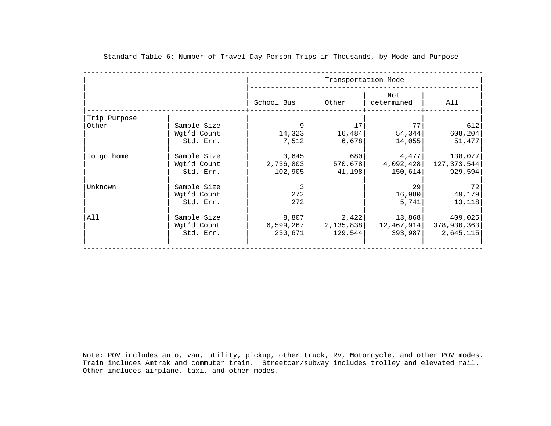|              |             |            | Transportation Mode |                   |             |  |  |
|--------------|-------------|------------|---------------------|-------------------|-------------|--|--|
|              |             | School Bus | Other               | Not<br>determined | All         |  |  |
| Trip Purpose |             |            |                     |                   |             |  |  |
| Other        | Sample Size | 9          | 17                  | 77                |             |  |  |
|              | Wgt'd Count | 14,323     | 16,484              | 54, 344           | 608,204     |  |  |
|              | Std. Err.   | 7,512      | 6,678               | 14,055            | 51,477      |  |  |
| To go home   | Sample Size | 3,645      | 680                 | 4,477             | 138,077     |  |  |
|              | Wgt'd Count | 2,736,803  | 570,678             | 4,092,428         | 127,373,544 |  |  |
|              | Std. Err.   | 102,905    | 41,198              | 150,614           | 929,594     |  |  |
| Unknown      | Sample Size | 3          |                     | 29                |             |  |  |
|              | Wgt'd Count | 272        |                     | 16,980            | 49,179      |  |  |
|              | Std. Err.   | 272        |                     | 5,741             | 13,118      |  |  |
| All          | Sample Size | 8,807      | 2,422               | 13,868            | 409,025     |  |  |
|              | Wgt'd Count | 6,599,267  | 2,135,838           | 12,467,914        | 378,930,363 |  |  |
|              | Std. Err.   | 230,671    | 129,544             | 393,987           | 2,645,115   |  |  |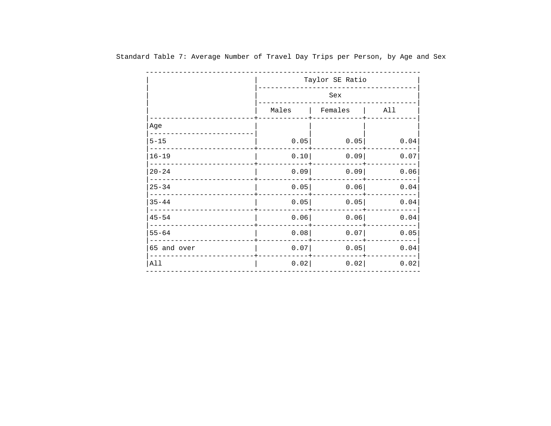|             | Taylor SE Ratio |         |      |  |  |  |
|-------------|-----------------|---------|------|--|--|--|
|             | Sex             |         |      |  |  |  |
|             | Males           | Females | All  |  |  |  |
| Age         |                 |         |      |  |  |  |
| $5 - 15$    | 0.05            | 0.05    | 0.04 |  |  |  |
| $16 - 19$   | 0.10            | 0.09    | 0.07 |  |  |  |
| $20 - 24$   | 0.09            | 0.09    | 0.06 |  |  |  |
| $25 - 34$   | 0.05            | 0.06    | 0.04 |  |  |  |
| $35 - 44$   | 0.05            | 0.05    | 0.04 |  |  |  |
| $45 - 54$   | 0.06            | 0.06    | 0.04 |  |  |  |
| $55 - 64$   | 0.08            | 0.07    | 0.05 |  |  |  |
| 65 and over | 0.07            | 0.05    | 0.04 |  |  |  |
| All         | 0.02            | 0.02    | 0.02 |  |  |  |

Standard Table 7: Average Number of Travel Day Trips per Person, by Age and Sex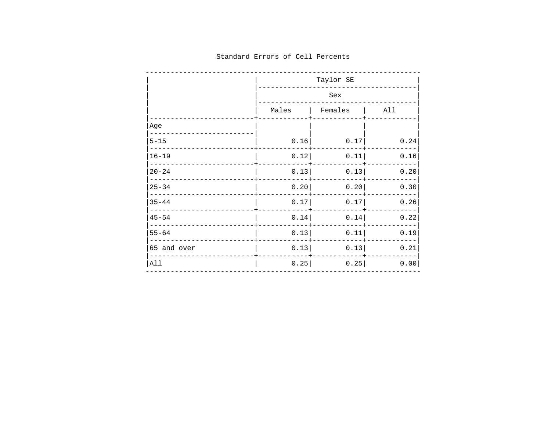|             | Taylor SE |                 |      |  |  |  |  |
|-------------|-----------|-----------------|------|--|--|--|--|
|             | Sex       |                 |      |  |  |  |  |
|             |           | Males   Females | All  |  |  |  |  |
| Age         |           |                 |      |  |  |  |  |
| $5 - 15$    | 0.16      | 0.17            | 0.24 |  |  |  |  |
| $16 - 19$   | 0.12      | 0.11            | 0.16 |  |  |  |  |
| $20 - 24$   | 0.13      | 0.13            | 0.20 |  |  |  |  |
| $25 - 34$   | 0.20      | 0.20            | 0.30 |  |  |  |  |
| $35 - 44$   | 0.17      | 0.17            | 0.26 |  |  |  |  |
| $45 - 54$   | 0.14      | 0.14            | 0.22 |  |  |  |  |
| $55 - 64$   | 0.13      | 0.11            | 0.19 |  |  |  |  |
| 65 and over | 0.13      | 0.13            | 0.21 |  |  |  |  |
| All         | 0.25      | 0.25            | 0.00 |  |  |  |  |

## Standard Errors of Cell Percents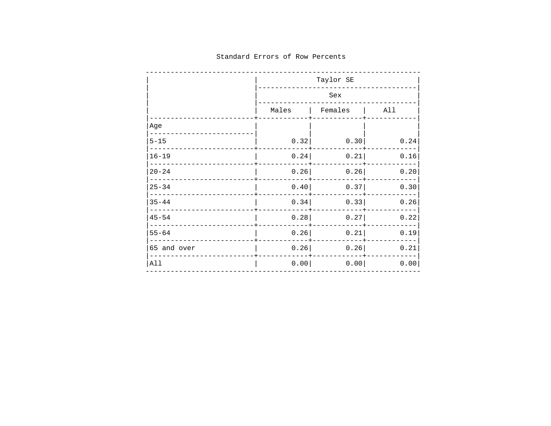## Standard Errors of Row Percents

|             | Taylor SE |         |             |  |  |  |  |
|-------------|-----------|---------|-------------|--|--|--|--|
|             | Sex       |         |             |  |  |  |  |
|             | Males     | Females | $\vert$ All |  |  |  |  |
| Age         |           |         |             |  |  |  |  |
| $5 - 15$    | 0.32      | 0.30    | 0.24        |  |  |  |  |
| $16 - 19$   | 0.24      | 0.21    | 0.16        |  |  |  |  |
| $20 - 24$   | 0.26      | 0.26    | 0.20        |  |  |  |  |
| $25 - 34$   | 0.40      | 0.37    | 0.30        |  |  |  |  |
| $35 - 44$   | 0.34      | 0.33    | 0.26        |  |  |  |  |
| $45 - 54$   | 0.28      | 0.27    | 0.22        |  |  |  |  |
| $55 - 64$   | 0.26      | 0.21    | 0.19        |  |  |  |  |
| 65 and over | 0.26      | 0.26    | 0.21        |  |  |  |  |
| All         | 0.00      | 0.00    | 0.00        |  |  |  |  |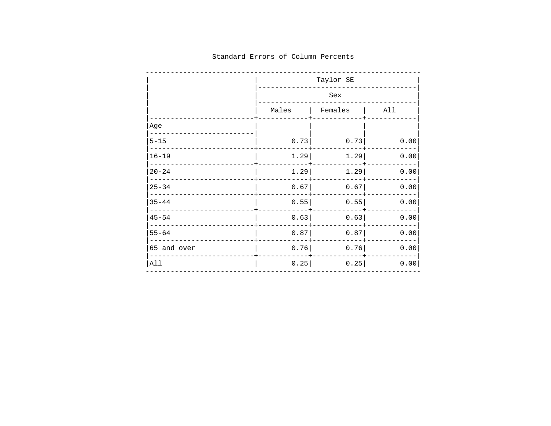|             | Taylor SE |         |      |  |  |  |  |
|-------------|-----------|---------|------|--|--|--|--|
|             | Sex       |         |      |  |  |  |  |
|             | Males     | Females | All  |  |  |  |  |
| Age         |           |         |      |  |  |  |  |
| $5 - 15$    | 0.73      | 0.73    | 0.00 |  |  |  |  |
| $16 - 19$   | 1.29      | 1.29    | 0.00 |  |  |  |  |
| $20 - 24$   | 1.29      | 1.29    | 0.00 |  |  |  |  |
| $25 - 34$   | 0.67      | 0.67    | 0.00 |  |  |  |  |
| $35 - 44$   | 0.55      | 0.55    | 0.00 |  |  |  |  |
| $45 - 54$   | 0.63      | 0.63    | 0.00 |  |  |  |  |
| $55 - 64$   | 0.87      | 0.87    | 0.00 |  |  |  |  |
| 65 and over | 0.76      | 0.76    | 0.00 |  |  |  |  |
| All         | 0.25      | 0.25    | 0.00 |  |  |  |  |

## Standard Errors of Column Percents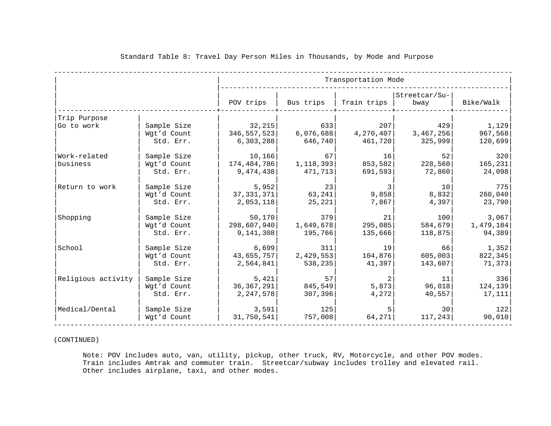|                    |                                         |                                      |                             | Transportation Mode         |                             |                             |
|--------------------|-----------------------------------------|--------------------------------------|-----------------------------|-----------------------------|-----------------------------|-----------------------------|
|                    |                                         | POV trips                            | Bus trips                   | Train trips                 | Streetcar/Su-<br>bway       | Bike/Walk                   |
| Trip Purpose       |                                         |                                      |                             |                             |                             |                             |
| Go to work         | Sample Size<br>Wgt'd Count<br>Std. Err. | 32,215<br>346, 557, 523<br>6,303,288 | 633<br>6,076,688<br>646,740 | 207<br>4,270,407<br>461,720 | 429<br>3,467,256<br>325,999 | 1,129<br>967,568<br>120,699 |
| Work-related       | Sample Size                             | 10,166                               | 67                          | 16                          | 52                          | 320                         |
| business           | Wgt'd Count                             | 174,484,786                          | 1,118,393                   | 853,582                     | 228,560                     | 165, 231                    |
|                    | Std. Err.                               | 9,474,438                            | 471,713                     | 691,593                     | 72,860                      | 24,098                      |
| Return to work     | Sample Size                             | 5,952                                | 23                          | 3                           | 10                          | 775                         |
|                    | Wgt'd Count                             | 37, 331, 371                         | 63, 241                     | 9,858                       | 8,832                       | 260,040                     |
|                    | Std. Err.                               | 2,053,118                            | 25, 221                     | 7,867                       | 4,397                       | 23,790                      |
| Shopping           | Sample Size                             | 50, 170                              | 379                         | 21                          | 100                         | 3,067                       |
|                    | Wgt'd Count                             | 298,607,940                          | 1,649,678                   | 295,085                     | 584,679                     | 1,479,184                   |
|                    | Std. Err.                               | 9,141,308                            | 195,766                     | 135,666                     | 118,875                     | 94,389                      |
| School             | Sample Size                             | 6,699                                | 311                         | 19                          | 66                          | 1,352                       |
|                    | Wgt'd Count                             | 43,655,757                           | 2,429,553                   | 104,876                     | 605,003                     | 822, 345                    |
|                    | Std. Err.                               | 2,564,841                            | 538,235                     | 41,397                      | 143,607                     | 71,373                      |
| Religious activity | Sample Size                             | 5,421                                | 57                          | 2                           | 11                          | 336                         |
|                    | Wgt'd Count                             | 36, 367, 291                         | 845,549                     | 5,873                       | 96,018                      | 124, 139                    |
|                    | Std. Err.                               | 2,247,578                            | 307,396                     | 4,272                       | 40,557                      | 17,111                      |
| Medical/Dental     | Sample Size                             | 3,591                                | 125                         | 5                           | 30                          | 122                         |
|                    | Wgt'd Count                             | 31,750,541                           | 757,008                     | 64, 271                     | 117, 243                    | 90,010                      |

(CONTINUED)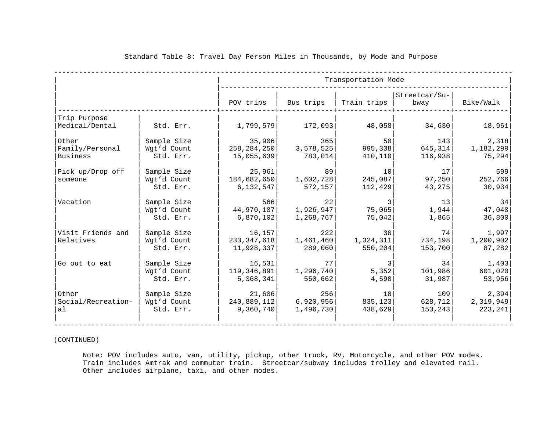|                                      |                                         |                                        |                                | Transportation Mode                      |                            |                                |
|--------------------------------------|-----------------------------------------|----------------------------------------|--------------------------------|------------------------------------------|----------------------------|--------------------------------|
|                                      |                                         | POV trips                              | Bus trips                      | Train trips                              | Streetcar/Su-<br>bway      | Bike/Walk                      |
| Trip Purpose<br>Medical/Dental       | Std. Err.                               | 1,799,579                              | 172,093                        | 48,058                                   | 34,630                     | 18,961                         |
| Other<br>Family/Personal<br>Business | Sample Size<br>Wgt'd Count<br>Std. Err. | 35,906<br>258, 284, 250<br>15,055,639  | 365<br>3,578,525<br>783,014    | 50<br>995,338<br>410,110                 | 143<br>645, 314<br>116,938 | 2,318<br>1,182,299<br>75,294   |
| Pick up/Drop off<br>someone          | Sample Size<br>Wgt'd Count<br>Std. Err. | 25,961<br>184,682,650<br>6,132,547     | -89 I<br>1,602,728<br>572, 157 | 10<br>245,087<br>112, 429                | 17<br>97,250<br>43,275     | 599<br>252,766<br>30,934       |
| Vacation                             | Sample Size<br>Wgt'd Count<br>Std. Err. | 566<br>44,970,187<br>6,870,102         | 22<br>1,926,947<br>1,268,767   | 75,065<br>75,042                         | 13<br>1,944<br>1,865       | 34<br>47,048<br>36,800         |
| Visit Friends and<br>Relatives       | Sample Size<br>Wat'd Count<br>Std. Err. | 16, 157<br>233, 347, 618<br>11,928,337 | 222<br>1,461,460<br>289,060    | 30 <sup>1</sup><br>1,324,311<br>550, 204 | 74<br>734, 198<br>153,700  | 1,997<br>1,200,902<br>87,282   |
| Go out to eat                        | Sample Size<br>Wgt'd Count<br>Std. Err. | 16,531<br>119, 346, 891<br>5,368,341   | 77<br>1,296,740<br>550,662     | $\overline{3}$<br>5,352<br>4,590         | 34<br>101,986<br>31,987    | 1,403<br>601,020<br>53,956     |
| Other<br>Social/Recreation-<br>al    | Sample Size<br>Wgt'd Count<br>Std. Err. | 21,606<br>240,889,112<br>9,360,740     | 256<br>6,920,956<br>1,496,730  | 18<br>835, 123<br>438,629                | 109<br>628, 712<br>153,243 | 2,394<br>2,319,949<br>223, 241 |

#### (CONTINUED)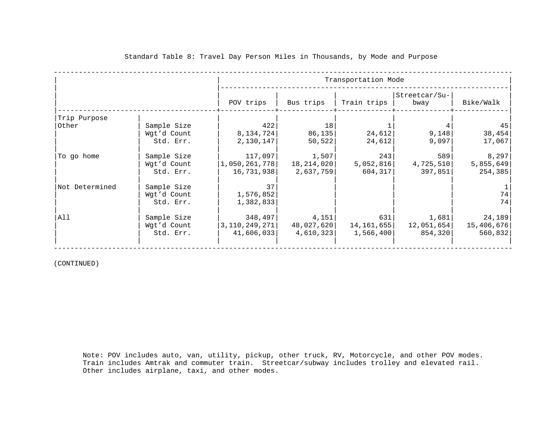|                       |                                         |                                                          | Transportation Mode                |                                 |                                 |                                  |  |
|-----------------------|-----------------------------------------|----------------------------------------------------------|------------------------------------|---------------------------------|---------------------------------|----------------------------------|--|
|                       |                                         | POV trips                                                | Bus trips                          | Train trips                     | Streetcar/Su-<br>bway           | Bike/Walk                        |  |
| Trip Purpose<br>Other | Sample Size                             | 422                                                      | 18                                 |                                 |                                 | 45                               |  |
|                       | Wgt'd Count<br>Std. Err.                | 8,134,724<br>2,130,147                                   | 86,135<br>50, 522                  | 24,612<br>24,612                | 9,148<br>9,097                  | 38,454<br>17,067                 |  |
| To go home            | Sample Size<br>Wgt'd Count<br>Std. Err. | 117,097 <br>$\vert 1$ ,050,261,778 $\vert$<br>16,731,938 | 1,507 <br>18,214,020 <br>2,637,759 | 243<br>5,052,816<br>604,317     | 589<br>4,725,510<br>397,851     | 8, 297<br>5,855,649<br>254, 385  |  |
| Not Determined        | Sample Size<br>Wgt'd Count<br>Std. Err. | 37<br>1,576,852<br>1,382,833                             |                                    |                                 |                                 | 74<br>74                         |  |
| All                   | Sample Size<br>Wgt'd Count<br>Std. Err. | 348,497 <br> 3,110,249,271 <br>41,606,033                | 4,151<br>48,027,620 <br>4,610,323  | 631<br>14,161,655 <br>1,566,400 | 1,681 <br>12,051,654<br>854,320 | 24, 189<br>15,406,676<br>560,832 |  |

(CONTINUED)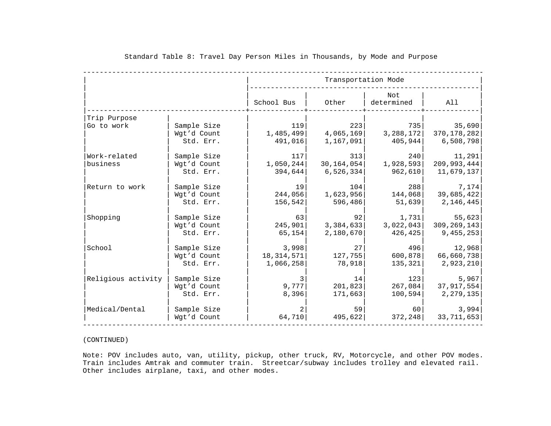|                    |             |                | Transportation Mode |                   |              |
|--------------------|-------------|----------------|---------------------|-------------------|--------------|
|                    |             | School Bus     | Other               | Not<br>determined | All          |
| Trip Purpose       |             |                |                     |                   |              |
| Go to work         | Sample Size | 119            | 223                 | 735               | 35,690       |
|                    | Wgt'd Count | 1,485,499      | 4,065,169           | 3,288,172         | 370,178,282  |
|                    | Std. Err.   | 491,016        | 1,167,091           | 405,944           | 6,508,798    |
| Work-related       | Sample Size | 117            | 313                 | 240               | 11,291       |
| business           | Wgt'd Count | 1,050,244      | 30, 164, 054        | 1,928,593         | 209,993,444  |
|                    | Std. Err.   | 394,644        | 6,526,334           | 962,610           | 11,679,137   |
| Return to work     | Sample Size | 19             | 104                 | 288               | 7,174        |
|                    | Wgt'd Count | 244,056        | 1,623,956           | 144,068           | 39,685,422   |
|                    | Std. Err.   | 156,542        | 596,486             | 51,639            | 2,146,445    |
| Shopping           | Sample Size | 63             | 92                  | 1,731             | 55,623       |
|                    | Wgt'd Count | 245,901        | 3,384,633           | 3,022,043         | 309,269,143  |
|                    | Std. Err.   | 65,154         | 2,180,670           | 426,425           | 9,455,253    |
| School             | Sample Size | 3,998          | 27                  | 496               | 12,968       |
|                    | Wgt'd Count | 18, 314, 571   | 127,755             | 600, 878          | 66,660,738   |
|                    | Std. Err.   | 1,066,258      | 78,918              | 135,321           | 2,923,210    |
| Religious activity | Sample Size | 3              | 14                  | 123               | 5,967        |
|                    | Wgt'd Count | 9,777          | 201,823             | 267,084           | 37,917,554   |
|                    | Std. Err.   | 8,396          | 171,663             | 100,594           | 2, 279, 135  |
| Medical/Dental     | Sample Size | $\overline{a}$ | 59                  | 60                | 3,994        |
|                    | Wgt'd Count | 64,710         | 495,622             | 372, 248          | 33, 711, 653 |

#### (CONTINUED)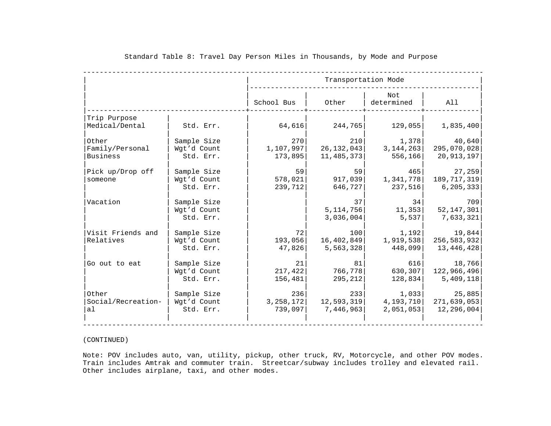|                    |             |             | Transportation Mode |                   |              |  |  |  |
|--------------------|-------------|-------------|---------------------|-------------------|--------------|--|--|--|
|                    |             | School Bus  | Other               | Not<br>determined | All          |  |  |  |
| Trip Purpose       |             |             |                     |                   |              |  |  |  |
| Medical/Dental     | Std. Err.   | 64,616      | 244,765             | 129,055           | 1,835,400    |  |  |  |
| Other              | Sample Size | 270         | 210                 | 1,378             | 40,640       |  |  |  |
| Family/Personal    | Wgt'd Count | 1,107,997   | 26, 132, 043        | 3, 144, 263       | 295,070,028  |  |  |  |
| <b>Business</b>    | Std. Err.   | 173,895     | 11,485,373          | 556, 166          | 20,913,197   |  |  |  |
| Pick up/Drop off   | Sample Size | 59          | 59                  | 465               | 27,259       |  |  |  |
| someone            | Wgt'd Count | 578,021     | 917,039             | 1,341,778         | 189,717,319  |  |  |  |
|                    | Std. Err.   | 239,712     | 646,727             | 237,516           | 6,205,333    |  |  |  |
| Vacation           | Sample Size |             | 37                  | 34                |              |  |  |  |
|                    | Wgt'd Count |             | 5,114,756           | 11,353            | 52, 147, 301 |  |  |  |
|                    | Std. Err.   |             | 3,036,004           | 5,537             | 7,633,321    |  |  |  |
| Visit Friends and  | Sample Size | 72          | 100                 | 1,192             | 19,844       |  |  |  |
| Relatives          | Wgt'd Count | 193,056     | 16,402,849          | 1,919,538         | 256,583,932  |  |  |  |
|                    | Std. Err.   | 47,826      | 5,563,328           | 448,099           | 13,446,428   |  |  |  |
| Go out to eat      | Sample Size | 21          | 81                  | 616               | 18,766       |  |  |  |
|                    | Wgt'd Count | 217, 422    | 766,778             | 630, 307          | 122,966,496  |  |  |  |
|                    | Std. Err.   | 156,481     | 295, 212            | 128,834           | 5,409,118    |  |  |  |
| Other              | Sample Size | 236         | 233                 | 1,033             | 25,885       |  |  |  |
| Social/Recreation- | Wgt'd Count | 3, 258, 172 | 12,593,319          | 4,193,710         | 271,639,053  |  |  |  |
| al                 | Std. Err.   | 739,097     | 7,446,963           | 2,051,053         | 12,296,004   |  |  |  |

#### (CONTINUED)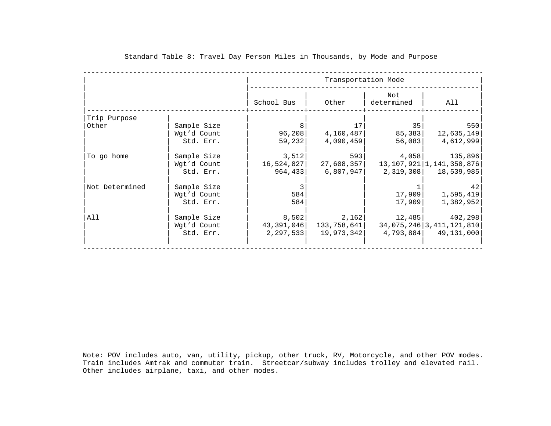|                |             |            | Transportation Mode |                            |                    |  |  |  |
|----------------|-------------|------------|---------------------|----------------------------|--------------------|--|--|--|
|                |             | School Bus | Other               | Not<br>determined          | All                |  |  |  |
| Trip Purpose   |             |            |                     |                            |                    |  |  |  |
| Other          | Sample Size | 8          | 17                  | 35                         |                    |  |  |  |
|                | Wgt'd Count | 96, 208    | 4,160,487           | 85,383                     | 12,635,149         |  |  |  |
|                | Std. Err.   | 59, 232    | 4,090,459           | 56,083                     | 4,612,999          |  |  |  |
| To go home     | Sample Size | 3,512      | 593                 |                            | 4,058 135,896      |  |  |  |
|                | Wgt'd Count | 16,524,827 | 27,608,357          | 13,107,921   1,141,350,876 |                    |  |  |  |
|                | Std. Err.   | 964, 433   | 6,807,947           | 2,319,308 18,539,985       |                    |  |  |  |
| Not Determined | Sample Size | 3          |                     |                            |                    |  |  |  |
|                | Wgt'd Count | 584        |                     | 17,909                     | 1,595,419          |  |  |  |
|                | Std. Err.   | 584        |                     | 17,909                     | 1,382,952          |  |  |  |
| All            | Sample Size | 8,502      | 2,162               |                            | $12,485$ $402,298$ |  |  |  |
|                | Wgt'd Count | 43,391,046 | 133,758,641         | 34,075,246 3,411,121,810   |                    |  |  |  |
|                | Std. Err.   | 2,297,533  | 19,973,342          | 4,793,884 49,131,000       |                    |  |  |  |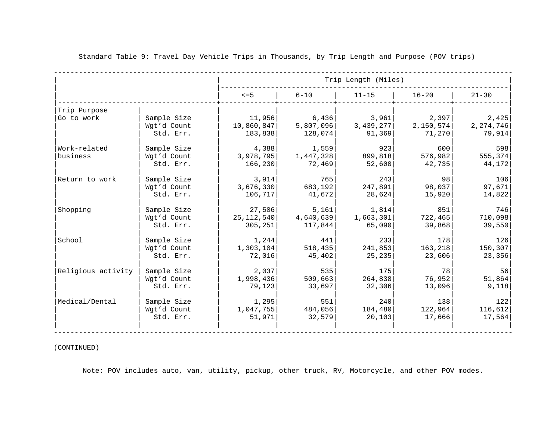|                          |                                         |                               |                              | Trip Length (Miles)      |                          |                          |
|--------------------------|-----------------------------------------|-------------------------------|------------------------------|--------------------------|--------------------------|--------------------------|
|                          |                                         | $\leq$ =5                     | $6 - 10$                     | $11 - 15$                | $16 - 20$                | $21 - 30$                |
| Trip Purpose             |                                         |                               |                              |                          |                          |                          |
| Go to work               | Sample Size                             | 11,956                        | 6,436                        | 3,961                    | 2,397                    | 2,425                    |
|                          | Wgt'd Count                             | 10,860,847                    | 5,807,096                    | 3,439,277                | 2,150,574                | 2, 274, 746              |
|                          | Std. Err.                               | 183,838                       | 128,074                      | 91,369                   | 71,270                   | 79,914                   |
| Work-related<br>business | Sample Size<br>Wgt'd Count<br>Std. Err. | 4,388<br>3,978,795<br>166,230 | 1,559<br>1,447,328<br>72,469 | 923<br>899,818<br>52,600 | 600<br>576,982<br>42,735 | 598<br>555,374<br>44,172 |
| Return to work           | Sample Size                             | 3,914                         | 765                          | 243                      | 98                       | 106                      |
|                          | Wgt'd Count                             | 3,676,330                     | 683,192                      | 247,891                  | 98,037                   | 97,671                   |
|                          | Std. Err.                               | 106,717                       | 41,672                       | 28,624                   | 15,920                   | 14,822                   |
| Shopping                 | Sample Size                             | 27,506                        | 5,161                        | 1,814                    | 851                      | 746                      |
|                          | Wgt'd Count                             | 25, 112, 540                  | 4,640,639                    | 1,663,301                | 722,465                  | 710,098                  |
|                          | Std. Err.                               | 305,251                       | 117,844                      | 65,090                   | 39,868                   | 39,550                   |
| School                   | Sample Size                             | 1,244                         | 441                          | 233                      | 178                      | 126                      |
|                          | Wgt'd Count                             | 1,303,104                     | 518, 435                     | 241,853                  | 163,218                  | 150, 307                 |
|                          | Std. Err.                               | 72,016                        | 45,402                       | 25,235                   | 23,606                   | 23,356                   |
| Religious activity       | Sample Size                             | 2,037                         | 535                          | 175                      | 78                       | 56                       |
|                          | Wgt'd Count                             | 1,998,436                     | 509,663                      | 264,838                  | 76,952                   | 51,864                   |
|                          | Std. Err.                               | 79,123                        | 33,697                       | 32,306                   | 13,096                   | 9,118                    |
| Medical/Dental           | Sample Size                             | 1,295                         | 551                          | 240                      | 138                      | 122                      |
|                          | Wgt'd Count                             | 1,047,755                     | 484,056                      | 184,480                  | 122,964                  | 116,612                  |
|                          | Std. Err.                               | 51,971                        | 32,579                       | 20, 103                  | 17,666                   | 17,564                   |

### (CONTINUED)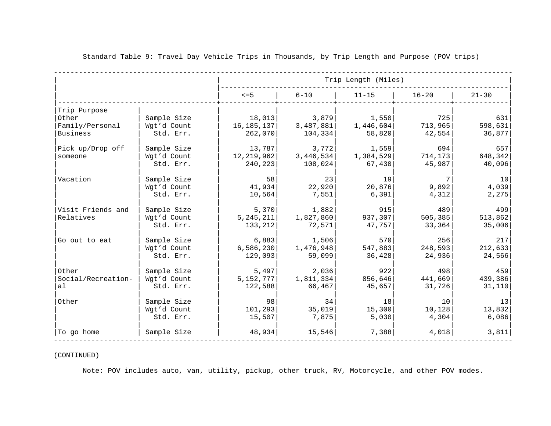|                    |             |              |           | Trip Length (Miles) |                 |           |
|--------------------|-------------|--------------|-----------|---------------------|-----------------|-----------|
|                    |             | $\leq$ =5    | $6 - 10$  | $11 - 15$           | $16 - 20$       | $21 - 30$ |
| Trip Purpose       |             |              |           |                     |                 |           |
| Other              | Sample Size | 18,013       | 3,879     | 1,550               | 725             | 631       |
| Family/Personal    | Wgt'd Count | 16, 185, 137 | 3,487,881 | 1,446,604           | 713,965         | 598,631   |
| Business           | Std. Err.   | 262,070      | 104,334   | 58,820              | 42,554          | 36,877    |
| Pick up/Drop off   | Sample Size | 13,787       | 3,772     | 1,559               | 694             | 657       |
| someone            | Wgt'd Count | 12, 219, 962 | 3,446,534 | 1,384,529           | 714, 173        | 648,342   |
|                    | Std. Err.   | 240,223      | 108,024   | 67,430              | 45,987          | 40,096    |
| Vacation           | Sample Size | 58           | 23        | 19                  | 7               | 10        |
|                    | Wgt'd Count | 41,934       | 22,920    | 20,876              | 9,892           | 4,039     |
|                    | Std. Err.   | 10,564       | 7,551     | 6,391               | 4,312           | 2,275     |
| Visit Friends and  | Sample Size | 5,370        | 1,882     | 915                 | 489             | 499       |
| Relatives          | Wgt'd Count | 5, 245, 211  | 1,827,860 | 937,307             | 505, 385        | 513,862   |
|                    | Std. Err.   | 133,212      | 72,571    | 47,757              | 33,364          | 35,006    |
| Go out to eat      | Sample Size | 6,883        | 1,506     | 570                 | 256             | 217       |
|                    | Wgt'd Count | 6,586,230    | 1,476,948 | 547,883             | 248,593         | 212,633   |
|                    | Std. Err.   | 129,093      | 59,099    | 36,428              | 24,936          | 24,566    |
| Other              | Sample Size | 5,497        | 2,036     | 922                 | 498             | 459       |
| Social/Recreation- | Wgt'd Count | 5, 152, 777  | 1,811,334 | 856,646             | 441,669         | 439,386   |
| al                 | Std. Err.   | 122,588      | 66,467    | 45,657              | 31,726          | 31,110    |
| Other              | Sample Size | 98           | 34        | 18                  | 10 <sup>°</sup> | 13        |
|                    | Wgt'd Count | 101, 293     | 35,019    | 15,300              | 10, 128         | 13,832    |
|                    | Std. Err.   | 15,507       | 7,875     | 5,030               | 4,304           | 6,086     |
| To go home         | Sample Size | 48,934       | 15,546    | 7,388               | 4,018           | 3,811     |

## (CONTINUED)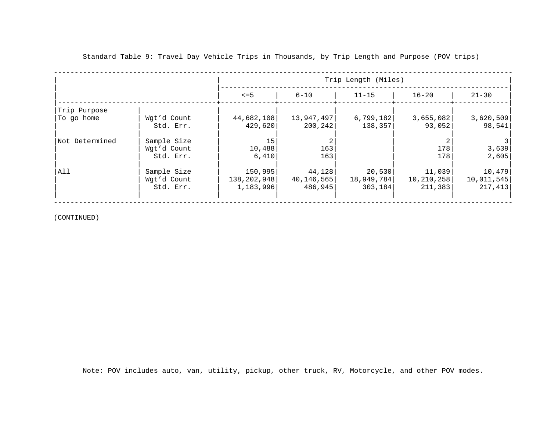|                |             | Trip Length (Miles) |            |            |              |            |  |
|----------------|-------------|---------------------|------------|------------|--------------|------------|--|
|                |             | $\leq$ =5           | $6 - 10$   | $11 - 15$  | $16 - 20$    | $21 - 30$  |  |
| Trip Purpose   |             |                     |            |            |              |            |  |
| 'To go home    | Wgt'd Count | 44,682,108          | 13,947,497 | 6,799,182  | 3,655,082    | 3,620,509  |  |
|                | Std. Err.   | 429,620             | 200,242    | 138,357    | 93,052       | 98,541     |  |
| Not Determined | Sample Size | 15                  |            |            |              |            |  |
|                | Wgt'd Count | 10,488              | 163        |            | 178          | 3,639      |  |
|                | Std. Err.   | 6,410               | 163        |            | 178          | 2,605      |  |
| All            | Sample Size | 150,995             | 44,128     | 20,530     | 11,039       | 10,479     |  |
|                | Wgt'd Count | 138,202,948         | 40,146,565 | 18,949,784 | 10, 210, 258 | 10,011,545 |  |
|                | Std. Err.   | 1,183,996           | 486,945    | 303, 184   | 211,383      | 217,413    |  |
|                |             |                     |            |            |              |            |  |

(CONTINUED)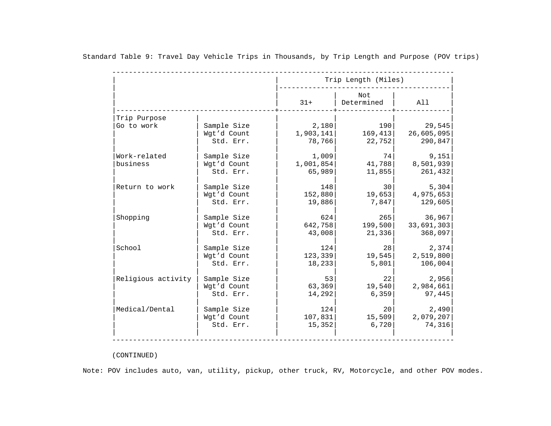|                    |             |           | Trip Length (Miles) |            |
|--------------------|-------------|-----------|---------------------|------------|
|                    |             | $31+$     | Not<br>Determined   | All        |
| Trip Purpose       |             |           |                     |            |
| Go to work         | Sample Size | 2,180     | 190                 | 29,545     |
|                    | Wgt'd Count | 1,903,141 | 169, 413            | 26,605,095 |
|                    | Std. Err.   | 78,766    | 22,752              | 290,847    |
| Work-related       | Sample Size | 1,009     | 74                  | 9,151      |
| business           | Wgt'd Count | 1,001,854 | 41,788              | 8,501,939  |
|                    | Std. Err.   | 65,989    | 11,855              | 261,432    |
| Return to work     | Sample Size | 148       | 30                  | 5,304      |
|                    | Wqt'd Count | 152,880   | 19,653              | 4,975,653  |
|                    | Std. Err.   | 19,886    | 7,847               | 129,605    |
| Shopping           | Sample Size | 624       | 265                 | 36,967     |
|                    | Wgt'd Count | 642,758   | 199,500             | 33,691,303 |
|                    | Std. Err.   | 43,008    | 21,336              | 368,097    |
| School             | Sample Size | 124       | 28                  | 2,374      |
|                    | Wgt'd Count | 123,339   | 19,545              | 2,519,800  |
|                    | Std. Err.   | 18,233    | 5,801               | 106,004    |
| Religious activity | Sample Size | 53        | 22                  | 2,956      |
|                    | Wgt'd Count | 63,369    | 19,540              | 2,984,661  |
|                    | Std. Err.   | 14,292    | 6,359               | 97,445     |
| Medical/Dental     | Sample Size | 124       | 20                  | 2,490      |
|                    | Wgt'd Count | 107,831   | 15,509              | 2,079,207  |
|                    | Std. Err.   | 15,352    | 6,720               | 74,316     |

# (CONTINUED)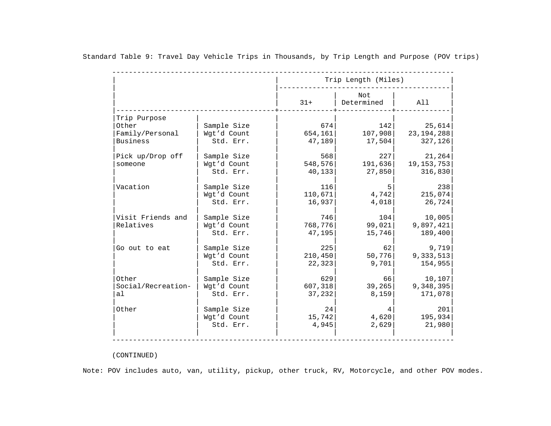|                    |             |          | Trip Length (Miles) |              |  |  |
|--------------------|-------------|----------|---------------------|--------------|--|--|
|                    |             | $31+$    | Not<br>Determined   | All          |  |  |
| Trip Purpose       |             |          |                     |              |  |  |
| Other              | Sample Size | 674      | 142                 | 25,614       |  |  |
| Family/Personal    | Wgt'd Count | 654, 161 | 107,908             | 23, 194, 288 |  |  |
| <b>Business</b>    | Std. Err.   | 47,189   | 17,504              | 327,126      |  |  |
| Pick up/Drop off   | Sample Size | 568      | 227                 | 21,264       |  |  |
| someone            | Wgt'd Count | 548,576  | 191,636             | 19, 153, 753 |  |  |
|                    | Std. Err.   | 40,133   | 27,850              | 316,830      |  |  |
| Vacation           | Sample Size | 116      | 5                   |              |  |  |
|                    | Wgt'd Count | 110,671  | 4,742               | 215,074      |  |  |
|                    | Std. Err.   | 16,937   | 4,018               | 26,724       |  |  |
| Visit Friends and  | Sample Size | 746      | 104                 | 10,005       |  |  |
| Relatives          | Wgt'd Count | 768,776  | 99,021              | 9,897,421    |  |  |
|                    | Std. Err.   | 47,195   | 15,746              | 189,400      |  |  |
| Go out to eat      | Sample Size | 225      | 62                  | 9,719        |  |  |
|                    | Wgt'd Count | 210, 450 | 50,776              | 9,333,513    |  |  |
|                    | Std. Err.   | 22,323   | 9,701               | 154,955      |  |  |
| Other              | Sample Size | 629      | 66                  | 10,107       |  |  |
| Social/Recreation- | Wgt'd Count | 607,318  | 39, 265             | 9,348,395    |  |  |
| al                 | Std. Err.   | 37,232   | 8,159               | 171,078      |  |  |
| Other              | Sample Size | 24       | 4                   |              |  |  |
|                    | Wgt'd Count | 15,742   | 4,620               | 195,934      |  |  |
|                    | Std. Err.   | 4,945    | 2,629               | 21,980       |  |  |

# (CONTINUED)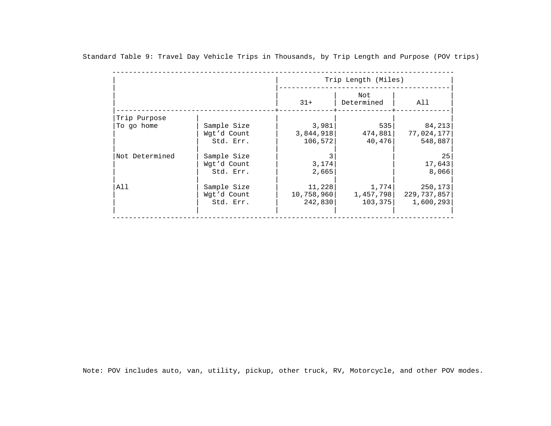|                |             | Trip Length (Miles)               |           |               |  |  |
|----------------|-------------|-----------------------------------|-----------|---------------|--|--|
|                |             | Not<br>$31+$<br>Determined<br>All |           |               |  |  |
| Trip Purpose   |             |                                   |           |               |  |  |
| To go home     | Sample Size | 3,981                             | 535       | 84,213        |  |  |
|                | Wgt'd Count | 3,844,918                         | 474,881   | 77,024,177    |  |  |
|                | Std. Err.   | 106,572                           | 40,476    | 548,887       |  |  |
| Not Determined | Sample Size |                                   |           |               |  |  |
|                | Wgt'd Count | 3,174                             |           | 17,643        |  |  |
|                | Std. Err.   | 2,665                             |           | 8,066         |  |  |
| All            | Sample Size | 11,228                            | 1,774     | 250, 173      |  |  |
|                | Wgt'd Count | 10,758,960                        | 1,457,798 | 229, 737, 857 |  |  |
|                | Std. Err.   | 242,830                           | 103, 375  | 1,600,293     |  |  |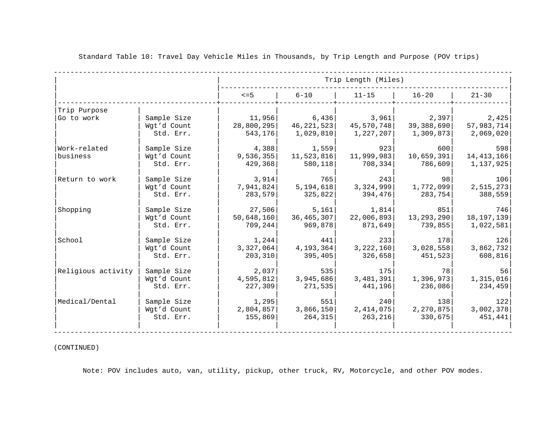|                    |             |            |             | Trip Length (Miles) |              |              |
|--------------------|-------------|------------|-------------|---------------------|--------------|--------------|
|                    |             | $\leq$ =5  | $6 - 10$    | $11 - 15$           | $16 - 20$    | $21 - 30$    |
| Trip Purpose       |             |            |             |                     |              |              |
| Go to work         | Sample Size | 11,956     | 6,436       | 3,961               | 2,397        | 2,425        |
|                    | Wgt'd Count | 28,800,295 | 46,221,523  | 45,570,748          | 39,388,690   | 57,983,714   |
|                    | Std. Err.   | 543,176    | 1,029,810   | 1,227,207           | 1,309,873    | 2,069,020    |
| Work-related       | Sample Size | 4,388      | 1,559       | 923                 | 600          | 598          |
| business           | Wgt'd Count | 9,536,355  | 11,523,816  | 11,999,983          | 10,659,391   | 14, 413, 166 |
|                    | Std. Err.   | 429,368    | 580,118     | 708,334             | 786,609      | 1,137,925    |
| Return to work     | Sample Size | 3,914      | 765         | 243                 | 981          | 106          |
|                    | Wgt'd Count | 7,941,824  | 5,194,618   | 3,324,999           | 1,772,099    | 2,515,273    |
|                    | Std. Err.   | 283,579    | 325,822     | 394,476             | 283,754      | 388,559      |
| Shopping           | Sample Size | 27,506     | 5,161       | 1,814               | 851          | 746          |
|                    | Wgt'd Count | 50,648,160 | 36,465,307  | 22,006,893          | 13, 293, 290 | 18, 197, 139 |
|                    | Std. Err.   | 709,244    | 969,878     | 871,649             | 739,855      | 1,022,581    |
| School             | Sample Size | 1,244      | 441         | 2331                | 178          | 126          |
|                    | Wgt'd Count | 3,327,064  | 4, 193, 364 | 3,222,160           | 3,028,558    | 3,862,732    |
|                    | Std. Err.   | 203,310    | 395,405     | 326,658             | 451,523      | 608, 816     |
| Religious activity | Sample Size | 2,037      | 535         | 175                 | 78 I         | 56           |
|                    | Wgt'd Count | 4,595,812  | 3,945,686   | 3,481,391           | 1,396,973    | 1,315,016    |
|                    | Std. Err.   | 227,309    | 271,535     | 441,196             | 236,086      | 234,459      |
| Medical/Dental     | Sample Size | 1,295      | 551         | 240                 | 138          | 122          |
|                    | Wgt'd Count | 2,804,857  | 3,866,150   | 2,414,075           | 2, 270, 875  | 3,002,378    |
|                    | Std. Err.   | 155,869    | 264, 315    | 263, 216            | 330,675      | 451,441      |

### (CONTINUED)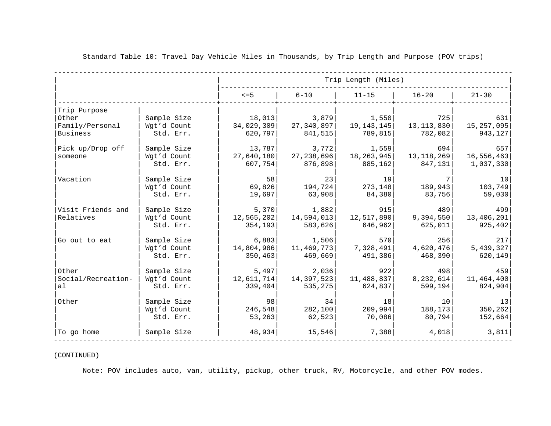|                                                      |                                         |                                 |                                 | Trip Length (Miles)            |                                      |                                 |
|------------------------------------------------------|-----------------------------------------|---------------------------------|---------------------------------|--------------------------------|--------------------------------------|---------------------------------|
|                                                      |                                         | $\leq$ =5                       | $6 - 10$                        | $11 - 15$                      | $16 - 20$                            | $21 - 30$                       |
| Trip Purpose<br>Other<br>Family/Personal<br>Business | Sample Size<br>Wgt'd Count<br>Std. Err. | 18,013<br>34,029,309<br>620,797 | 3,879<br>27,340,897<br>841,515  | 1,550<br>19,143,145<br>789,815 | 725<br>13, 113, 830<br>782,082       | 631<br>15, 257, 095<br>943, 127 |
| Pick up/Drop off<br>someone                          | Sample Size<br>Wgt'd Count<br>Std. Err. | 13,787<br>27,640,180<br>607,754 | 3,772<br>27,238,696<br>876,898  | 1,559<br>18,263,945<br>885,162 | 694<br>13, 118, 269<br>847,131       | 657<br>16,556,463<br>1,037,330  |
| Vacation                                             | Sample Size<br>Wgt'd Count<br>Std. Err. | 58<br>69,826<br>19,697          | 23<br>194,724<br>63,908         | 19<br>273, 148<br>84,380       | 7<br>189,943<br>83,756               | 10<br>103,749<br>59,030         |
| Visit Friends and<br>Relatives                       | Sample Size<br>Wqt'd Count<br>Std. Err. | 5,370<br>12,565,202<br>354,193  | 1,882<br>14,594,013<br>583,626  | 915<br>12,517,890<br>646,962   | 489<br>9,394,550<br>625,011          | 499<br>13,406,201<br>925, 402   |
| Go out to eat                                        | Sample Size<br>Wgt'd Count<br>Std. Err. | 6,883<br>14,804,986<br>350, 463 | 1,506<br>11,469,773 <br>469,669 | 570<br>7,328,491 <br>491,386   | 256<br>4,620,476<br>468,390          | 217<br>5,439,327<br>620, 149    |
| Other<br>Social/Recreation-<br>al                    | Sample Size<br>Wgt'd Count<br>Std. Err. | 5,497<br>12,611,714<br>339,404  | 2,036<br>14,397,523<br>535,275  | 922<br>11,488,837<br>624,837   | 498<br>8,232,614<br>599, 194         | 459<br>11,464,400<br>824,904    |
| Other                                                | Sample Size<br>Wgt'd Count<br>Std. Err. | 98<br>246,548<br>53, 263        | 34<br>282,100<br>62,523         | 18<br>209,994<br>70,086        | 10 <sup>1</sup><br>188,173<br>80,794 | 13<br>350, 262<br>152,664       |
| To go home                                           | Sample Size                             | 48,934                          | 15,546                          | 7,388                          | 4,018                                | 3,811                           |

## (CONTINUED)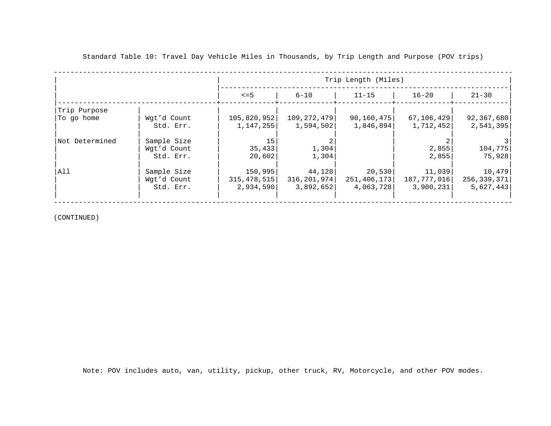|                |             | Trip Length (Miles) |               |              |              |             |
|----------------|-------------|---------------------|---------------|--------------|--------------|-------------|
|                |             | $\leq$ =5           | 6-10          | $11 - 15$    | $16 - 20$    | $21 - 30$   |
| Trip Purpose   |             |                     |               |              |              |             |
| 'To go home    | Wgt'd Count | 105,820,952         | 109,272,479   | 90, 160, 475 | 67, 106, 429 | 92,367,680  |
|                | Std. Err.   | 1,147,255           | 1,594,502     | 1,846,894    | 1,712,452    | 2,541,395   |
| Not Determined | Sample Size | 15                  |               |              |              |             |
|                | Wgt'd Count | 35,433              | 1,304         |              | 2,855        | 104,775     |
|                | Std. Err.   | 20,602              | 1,304         |              | 2.855        | 75,928      |
| All            | Sample Size | 150,995             | 44,128        | 20,530       | 11,039       | 10,479      |
|                | Wgt'd Count | 315, 478, 515       | 316, 201, 974 | 251,406,173  | 187,777,016  | 256,339,371 |
|                | Std. Err.   | 2,934,590           | 3.892.652     | 4,063,728    | 3,900,231    | 5,627,443   |
|                |             |                     |               |              |              |             |

(CONTINUED)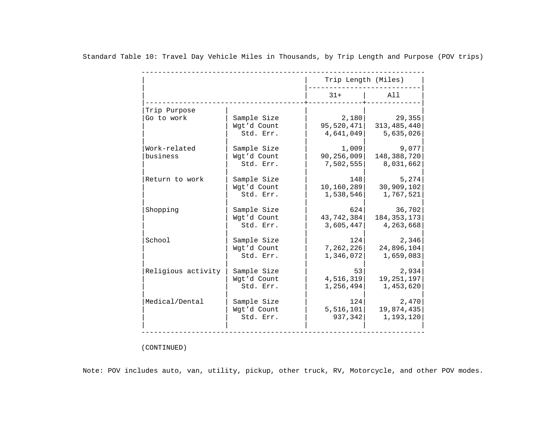|                    |             | Trip Length (Miles) |               |
|--------------------|-------------|---------------------|---------------|
|                    |             | $31+$               | All           |
| Trip Purpose       |             |                     |               |
| Go to work         | Sample Size | 2,180               | 29,355        |
|                    | Wgt'd Count | 95,520,471          | 313, 485, 440 |
|                    | Std. Err.   | 4,641,049           | 5,635,026     |
| Work-related       | Sample Size | 1,009               | 9,077         |
| business           | Wgt'd Count | 90,256,009          | 148,388,720   |
|                    | Std. Err.   | 7,502,555           | 8,031,662     |
| Return to work     | Sample Size | 148                 | 5,274         |
|                    | Wgt'd Count | 10,160,289          | 30,909,102    |
|                    | Std. Err.   | 1,538,546           | 1,767,521     |
| Shopping           | Sample Size | 624                 | 36,702        |
|                    | Wgt'd Count | 43,742,384          | 184, 353, 173 |
|                    | Std. Err.   | 3,605,447           | 4,263,668     |
| School             | Sample Size | 124                 | 2,346         |
|                    | Wgt'd Count | 7,262,226           | 24,896,104    |
|                    | Std. Err.   | 1,346,072           | 1,659,083     |
| Religious activity | Sample Size | 53                  | 2,934         |
|                    | Wgt'd Count | 4,516,319           | 19, 251, 197  |
|                    | Std. Err.   | 1,256,494           | 1,453,620     |
| Medical/Dental     | Sample Size | 124                 | 2,470         |
|                    | Wgt'd Count | 5,516,101           | 19,874,435    |
|                    | Std. Err.   | 937,342             | 1,193,120     |

(CONTINUED)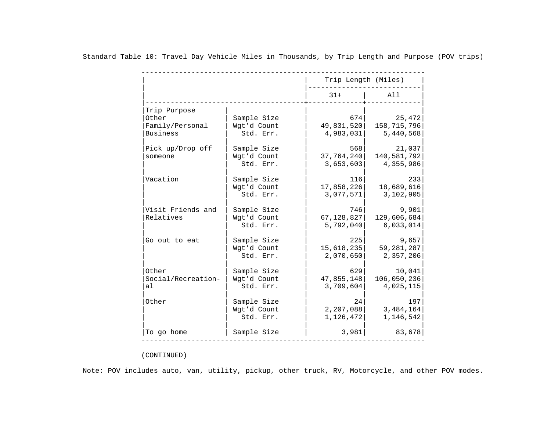|                    |             | Trip Length (Miles) |              |
|--------------------|-------------|---------------------|--------------|
|                    |             | $31+$               | All          |
| Trip Purpose       |             |                     |              |
| Other              | Sample Size | 674                 | 25,472       |
| Family/Personal    | Wgt'd Count | 49,831,520          | 158,715,796  |
| <b>Business</b>    | Std. Err.   | 4,983,031           | 5,440,568    |
| Pick up/Drop off   | Sample Size | 568                 | 21,037       |
| someone            | Wgt'd Count | 37, 764, 240        | 140,581,792  |
|                    | Std. Err.   | 3,653,603           | 4,355,986    |
| Vacation           | Sample Size | 116                 | 233          |
|                    | Wgt'd Count | 17,858,226          | 18,689,616   |
|                    | Std. Err.   | 3,077,571           | 3,102,905    |
| Visit Friends and  | Sample Size | 746                 | 9,901        |
| Relatives          | Wgt'd Count | 67,128,827          | 129,606,684  |
|                    | Std. Err.   | 5,792,040           | 6,033,014    |
| Go out to eat      | Sample Size | 225                 | 9,657        |
|                    | Wgt'd Count | 15,618,235          | 59, 281, 287 |
|                    | Std. Err.   | 2,070,650           | 2,357,206    |
| Other              | Sample Size | 629                 | 10,041       |
| Social/Recreation- | Wgt'd Count | 47,855,148          | 106,050,236  |
| al                 | Std. Err.   | 3,709,604           | 4,025,115    |
| Other              | Sample Size | 24                  | 197          |
|                    | Wgt'd Count | 2,207,088           | 3,484,164    |
|                    | Std. Err.   | 1,126,472           | 1,146,542    |
| To go home         | Sample Size | 3,981               | 83,678       |

# (CONTINUED)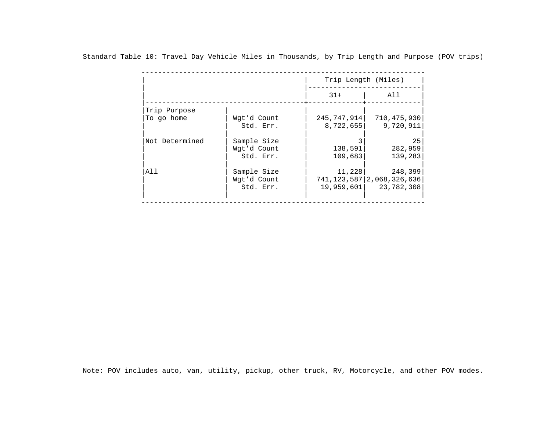|                |             | Trip Length (Miles) |                                  |  |
|----------------|-------------|---------------------|----------------------------------|--|
|                |             | $31+$               | All                              |  |
| Trip Purpose   |             |                     |                                  |  |
| To go home     | Wgt'd Count | 245,747,914         | 710,475,930                      |  |
|                | Std. Err.   | 8,722,655           | 9,720,911                        |  |
| Not Determined | Sample Size |                     | 25                               |  |
|                | Wgt'd Count | 138,591             | 282,959                          |  |
|                | Std. Err.   | 109,683             | 139,283                          |  |
| All            | Sample Size | 11,228              | 248,399                          |  |
|                | Wgt'd Count |                     | 741, 123, 587   2, 068, 326, 636 |  |
|                | Std. Err.   | 19,959,601          | 23,782,308                       |  |
|                |             |                     |                                  |  |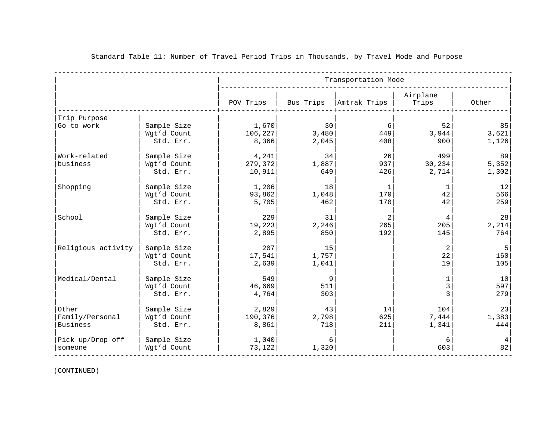|                                      |                                         |                            |                      | Transportation Mode       |                            |                      |
|--------------------------------------|-----------------------------------------|----------------------------|----------------------|---------------------------|----------------------------|----------------------|
|                                      |                                         | POV Trips                  | Bus Trips            | Amtrak Trips              | Airplane<br>Trips          | Other                |
| Trip Purpose                         |                                         |                            |                      |                           |                            |                      |
| Go to work                           | Sample Size<br>Wgt'd Count<br>Std. Err. | 1,670<br>106,227<br>8,366  | 30<br>3,480<br>2,045 | 6<br>449<br>408           | 52<br>3,944<br>900         | 85<br>3,621<br>1,126 |
| Work-related<br>business             | Sample Size<br>Wgt'd Count<br>Std. Err. | 4,241<br>279,372<br>10,911 | 34<br>1,887<br>649   | 26<br>937<br>426          | 499<br>30,234<br>2,714     | 89<br>5,352<br>1,302 |
| Shopping                             | Sample Size<br>Wgt'd Count<br>Std. Err. | 1,206<br>93,862<br>5,705   | 18<br>1,048<br>462   | $\mathbf 1$<br>170<br>170 | 1<br>42<br>42              | 12<br>566<br>259     |
| School                               | Sample Size<br>Wgt'd Count<br>Std. Err. | 229<br>19,223<br>2,895     | 31<br>2,246<br>850   | 2<br>265<br>192           | 4<br>205<br>145            | 28<br>2,214<br>764   |
| Religious activity                   | Sample Size<br>Wgt'd Count<br>Std. Err. | 207<br>17,541<br>2,639     | 15<br>1,757<br>1,041 |                           | $\overline{a}$<br>22<br>19 | 5<br>160<br>105      |
| Medical/Dental                       | Sample Size<br>Wgt'd Count<br>Std. Err. | 549<br>46,669<br>4,764     | 9<br>511<br>303      |                           | 1<br>3<br>3                | 10<br>597<br>279     |
| Other<br>Family/Personal<br>Business | Sample Size<br>Wgt'd Count<br>Std. Err. | 2,829<br>190,376<br>8,861  | 43<br>2,798<br>718   | 14<br>625<br>211          | 104<br>7,444<br>1,341      | 23<br>1,383<br>444   |
| Pick up/Drop off<br>someone          | Sample Size<br>Wgt'd Count              | 1,040<br>73, 122           | 6<br>1,320           |                           | 6<br>603                   | 4<br>82              |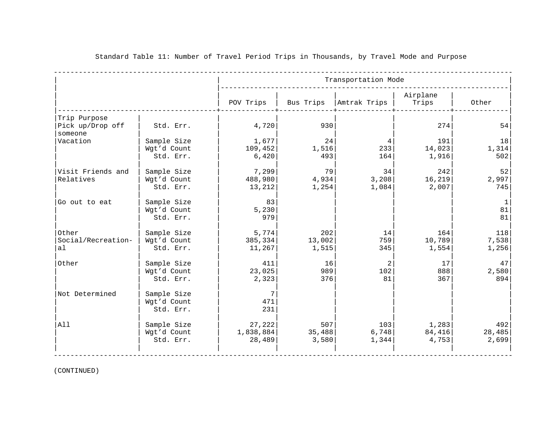|                                                         |                                         | Transportation Mode           |                        |                             |                          |                        |
|---------------------------------------------------------|-----------------------------------------|-------------------------------|------------------------|-----------------------------|--------------------------|------------------------|
|                                                         |                                         | POV Trips                     | Bus Trips              | Amtrak Trips                | Airplane<br>Trips        | Other                  |
| Trip Purpose<br>Pick up/Drop off<br>someone<br>Vacation | Std. Err.<br>Sample Size                | 4,720<br>1,677                | 930<br>24              | $\overline{4}$              | 274<br>191               | 54<br>18               |
|                                                         | Wgt'd Count<br>Std. Err.                | 109,452<br>6,420              | 1,516<br>493           | 233<br>164                  | 14,023<br>1,916          | 1,314<br>502           |
| Visit Friends and<br>Relatives                          | Sample Size<br>Wgt'd Count<br>Std. Err. | 7,299<br>488,980<br>13,212    | 79<br>4,934<br>1,254   | 34<br>3,208<br>1,084        | 242<br>16, 219<br>2,007  | 52<br>2,997<br>745     |
| Go out to eat                                           | Sample Size<br>Wgt'd Count<br>Std. Err. | 83<br>5,230<br>979            |                        |                             |                          | 1<br>81<br>81          |
| Other<br>Social/Recreation-<br>al                       | Sample Size<br>Wgt'd Count<br>Std. Err. | 5,774<br>385,334<br>11,267    | 202<br>13,002<br>1,515 | 14<br>759<br>345            | 164<br>10,789<br>1,554   | 118<br>7,538<br>1,256  |
| Other                                                   | Sample Size<br>Wgt'd Count<br>Std. Err. | 411<br>23,025<br>2,323        | 16<br>989<br>376       | $\overline{2}$<br>102<br>81 | 17<br>888<br>367         | 47<br>2,580<br>894     |
| Not Determined                                          | Sample Size<br>Wgt'd Count<br>Std. Err. | 7<br>471<br>231               |                        |                             |                          |                        |
| All                                                     | Sample Size<br>Wgt'd Count<br>Std. Err. | 27,222<br>1,838,884<br>28,489 | 507<br>35,488<br>3,580 | 103<br>6,748<br>1,344       | 1,283<br>84,416<br>4,753 | 492<br>28,485<br>2,699 |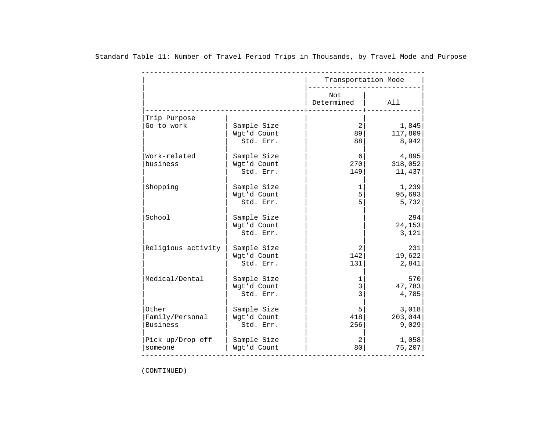|                            |                                         | Transportation Mode |                            |
|----------------------------|-----------------------------------------|---------------------|----------------------------|
|                            |                                         | Not<br>Determined   | All                        |
| Trip Purpose<br>Go to work | Sample Size<br>Wgt'd Count<br>Std. Err. | 2<br>89<br>88       | 1,845<br>117,809<br>8,942  |
| Work-related<br>business   | Sample Size<br>Wgt'd Count<br>Std. Err. | 6<br>270<br>149     | 4,895<br>318,052<br>11,437 |
| Shopping                   | Sample Size                             | 1                   | 1,239                      |
|                            | Wgt'd Count                             | 5                   | 95,693                     |
|                            | Std. Err.                               | 5                   | 5,732                      |
| School                     | Sample Size<br>Wgt'd Count<br>Std. Err. |                     | 294<br>24,153<br>3,121     |
| Religious activity         | Sample Size                             | 2                   | 231                        |
|                            | Wgt'd Count                             | 142                 | 19,622                     |
|                            | Std. Err.                               | 131                 | 2,841                      |
| Medical/Dental             | Sample Size                             | 1                   | 570                        |
|                            | Wgt'd Count                             | 3                   | 47,783                     |
|                            | Std. Err.                               | 3                   | 4,785                      |
| Other                      | Sample Size                             | 5                   | 3,018                      |
| Family/Personal            | Wgt'd Count                             | 418                 | 203,044                    |
| <b>Business</b>            | Std. Err.                               | 256                 | 9,029                      |
| Pick up/Drop off           | Sample Size                             | 2                   | 1,058                      |
| someone                    | Wgt'd Count                             | 80                  | 75, 207                    |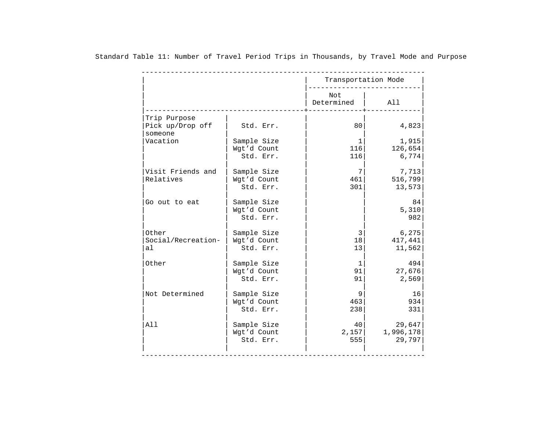|                                   |                                         | Transportation Mode       |                               |
|-----------------------------------|-----------------------------------------|---------------------------|-------------------------------|
|                                   |                                         | Not<br>Determined         | All                           |
| Trip Purpose<br>Pick up/Drop off  | Std. Err.                               | 80                        | 4,823                         |
| someone<br>Vacation               | Sample Size<br>Wgt'd Count<br>Std. Err. | $\mathbf 1$<br>116<br>116 | 1,915<br>126,654              |
| Visit Friends and                 | Sample Size                             | 7                         | 6,774<br>7,713                |
| Relatives                         | Wgt'd Count<br>Std. Err.                | 461<br>301                | 516,799<br>13,573             |
| Go out to eat                     | Sample Size<br>Wgt'd Count<br>Std. Err. |                           | 84<br>5,310<br>982            |
| Other<br>Social/Recreation-<br>al | Sample Size<br>Wgt'd Count<br>Std. Err. | 3<br>18<br>13             | 6,275<br>417,441<br>11,562    |
| Other                             | Sample Size<br>Wgt'd Count<br>Std. Err. | $\mathbf{1}$<br>91<br>91  | 494<br>27,676<br>2,569        |
| Not Determined                    | Sample Size<br>Wgt'd Count<br>Std. Err. | 9<br>463<br>238           | 16<br>934<br>331              |
| All                               | Sample Size<br>Wgt'd Count<br>Std. Err. | 40<br>2,157<br>555        | 29,647<br>1,996,178<br>29,797 |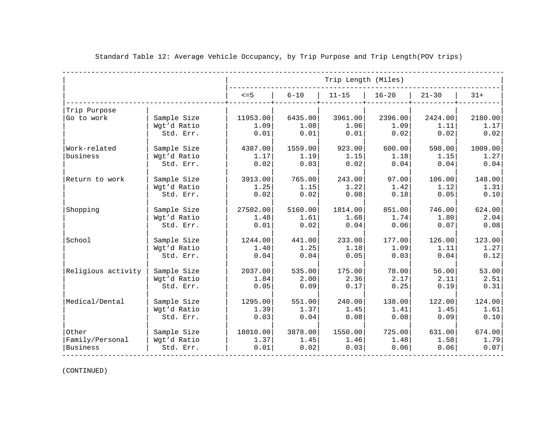|                    |             |           | Trip Length (Miles) |           |           |           |         |
|--------------------|-------------|-----------|---------------------|-----------|-----------|-----------|---------|
|                    |             | $\leq$ =5 | $6 - 10$            | $11 - 15$ | $16 - 20$ | $21 - 30$ | $31+$   |
| Trip Purpose       |             |           |                     |           |           |           |         |
| Go to work         | Sample Size | 11953.00  | 6435.00             | 3961.00   | 2396.00   | 2424.00   | 2180.00 |
|                    | Wqt'd Ratio | 1.09      | 1.08                | 1.06      | 1.09      | 1.11      | 1.17    |
|                    | Std. Err.   | 0.01      | 0.01                | 0.01      | 0.02      | 0.02      | 0.02    |
| Work-related       | Sample Size | 4387.00   | 1559.00             | 923.00    | 600.00    | 598.00    | 1009.00 |
| business           | Wgt'd Ratio | 1.17      | 1.19                | 1.15      | 1.18      | 1.15      | 1.27    |
|                    | Std. Err.   | 0.02      | 0.03                | 0.02      | 0.04      | 0.04      | 0.04    |
| Return to work     | Sample Size | 3913.00   | 765.00              | 243.00    | 97.00     | 106.00    | 148.00  |
|                    | Wgt'd Ratio | 1.25      | 1.15                | 1.22      | 1.42      | 1.12      | 1.31    |
|                    | Std. Err.   | 0.02      | 0.02                | 0.08      | 0.18      | 0.05      | 0.10    |
| Shopping           | Sample Size | 27502.00  | 5160.00             | 1814.00   | 851.00    | 746.00    | 624.00  |
|                    | Wqt'd Ratio | 1.48      | 1.61                | 1.68      | 1.74      | 1.80      | 2.04    |
|                    | Std. Err.   | 0.01      | 0.02                | 0.04      | 0.06      | 0.07      | 0.08    |
| School             | Sample Size | 1244.00   | 441.00              | 233.00    | 177.00    | 126.00    | 123.00  |
|                    | Wqt'd Ratio | 1.40      | 1.25                | 1.18      | 1.09      | 1.11      | 1.27    |
|                    | Std. Err.   | 0.04      | 0.04                | 0.05      | 0.03      | 0.04      | 0.12    |
| Religious activity | Sample Size | 2037.00   | 535.00              | 175.00    | 78.00     | 56.00     | 53.00   |
|                    | Wgt'd Ratio | 1.84      | 2.00                | 2.36      | 2.17      | 2.11      | 2.51    |
|                    | Std. Err.   | 0.05      | 0.09                | 0.17      | 0.25      | 0.19      | 0.31    |
| Medical/Dental     | Sample Size | 1295.00   | 551.00              | 240.00    | 138.00    | 122.00    | 124.00  |
|                    | Wqt'd Ratio | 1.39      | 1.37                | 1.45      | 1.41      | 1.45      | 1.61    |
|                    | Std. Err.   | 0.03      | 0.04                | 0.08      | 0.08      | 0.09      | 0.10    |
| Other              | Sample Size | 18010.00  | 3878.00             | 1550.00   | 725.00    | 631.00    | 674.00  |
| Family/Personal    | Wgt'd Ratio | 1.37      | 1.45                | 1.46      | 1.48      | 1.58      | 1.79    |
| Business           | Std. Err.   | 0.01      | 0.02                | 0.03      | 0.06      | 0.06      | 0.07    |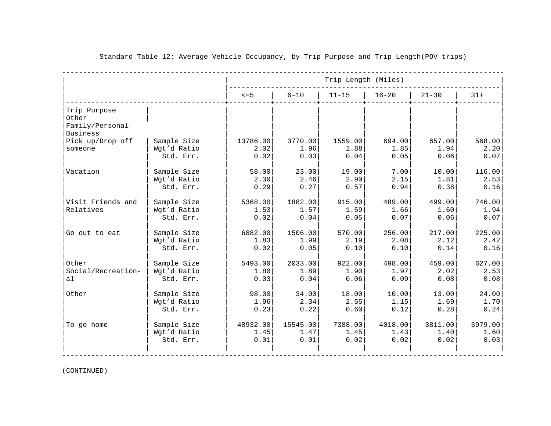| Trip Length (Miles) |           |           |           |          |                  |                            |                    |
|---------------------|-----------|-----------|-----------|----------|------------------|----------------------------|--------------------|
| $31+$               | $21 - 30$ | $16 - 20$ | $11 - 15$ | $6 - 10$ | $\leq$ =5        |                            |                    |
|                     |           |           |           |          |                  |                            | Trip Purpose       |
|                     |           |           |           |          |                  |                            | Other              |
|                     |           |           |           |          |                  |                            | Family/Personal    |
|                     |           |           |           |          |                  |                            | Business           |
| 657.00<br>568.00    |           | 694.00    | 1559.00   | 3770.00  | 13786.00         | Sample Size                | Pick up/Drop off   |
| 1.94<br>2.20        | 1.85      |           | 1.88      | 1.96     | 2.02             | Wgt'd Ratio                | someone            |
| 0.06<br>0.07        | 0.05      |           | 0.04      | 0.03     | 0.02             | Std. Err.                  |                    |
| 116.00<br>10.00     | 7.00      |           | 19.00     | 23.00    | 58.00            | Sample Size                | Vacation           |
| 1.81<br>2.53        | 2.15      |           | 2.90      | 2.46     | 2.30             | Wgt'd Ratio                |                    |
| 0.38<br>0.16        | 0.94      |           | 0.57      | 0.27     | 0.29             | Std. Err.                  |                    |
| 746.00<br>499.00    |           | 489.00    | 915.00    | 1882.00  | 5368.00          | Sample Size                | Visit Friends and  |
| 1.60<br>1.94        | 1.66      |           | 1.59      | 1.57     | 1.53             | Wgt'd Ratio                | Relatives          |
| 0.06<br>0.07        | 0.07      |           | 0.05      | 0.04     | 0.02             | Std. Err.                  |                    |
| 225.00<br>217.00    |           | 256.00    | 570.00    | 1506.00  | 6882.00          | Sample Size                | Go out to eat      |
| 2.12<br>2.42        | 2.08      |           | 2.19      | 1.99     | 1.83             | Wgt'd Ratio                |                    |
| 0.14<br>0.16        | 0.10      |           | 0.10      | 0.05     | 0.02             | Std. Err.                  |                    |
| 627.00<br>459.00    |           | 498.00    | 922.00    | 2033.00  | 5493.00          | Sample Size                | Other              |
| 2.02<br>2.53        | 1.97      |           | 1.90      | 1.89     | 1.80             | Wgt'd Ratio                | Social/Recreation- |
| 0.08<br>0.08        | 0.09      |           | 0.06      | 0.04     | 0.03             | Std. Err.                  | al                 |
| 24.00<br>13.00      |           | 10.00     | 18.00     | 34.00    | 98.00            | Sample Size                | Other              |
| 1.69<br>1.70        | 1.15      |           | 2.55      | 2.34     | 1.96             | Wgt'd Ratio                |                    |
| 0.28<br>0.24        | 0.12      |           | 0.60      | 0.22     | 0.23             | Std. Err.                  |                    |
| 3979.00<br>3811.00  |           |           | 7388.00   | 15545.00 |                  |                            |                    |
| 1.40<br>1.60        | 1.43      |           | 1.45      | 1.47     |                  |                            |                    |
| 0.02<br>0.03        | 0.02      |           | 0.02      | 0.01     | 0.01             | Std. Err.                  |                    |
|                     |           | 4018.00   |           |          | 48932.00<br>1.45 | Sample Size<br>Wgt'd Ratio | To go home         |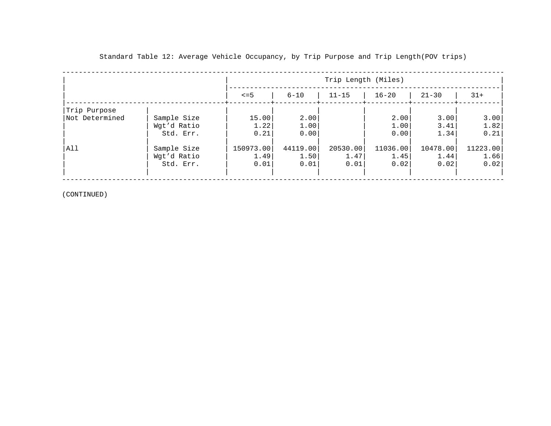|                |                                         |                           |                          | Trip Length (Miles)      |                          |                          |                          |
|----------------|-----------------------------------------|---------------------------|--------------------------|--------------------------|--------------------------|--------------------------|--------------------------|
|                |                                         | $\leq$ = 5                | $6 - 10$                 | $11 - 15$                | $16 - 20$                | $21 - 30$                | $31+$                    |
| Trip Purpose   |                                         |                           |                          |                          |                          |                          |                          |
| Not Determined | Sample Size<br>Wgt'd Ratio<br>Std. Err. | 15.00<br>1.22<br>0.21     | 2.00<br>1.00<br>0.00     |                          | 2.00<br>1.00<br>0.00     | 3.001<br>3.41<br>1.34    | 3.00<br>1.82<br>0.21     |
| All            | Sample Size<br>Wgt'd Ratio<br>Std. Err. | 150973.00<br>1.49<br>0.01 | 44119.00<br>1.50<br>0.01 | 20530.00<br>1.47<br>0.01 | 11036.00<br>1.45<br>0.02 | 10478.00<br>1.44<br>0.02 | 11223.00<br>1.66<br>0.02 |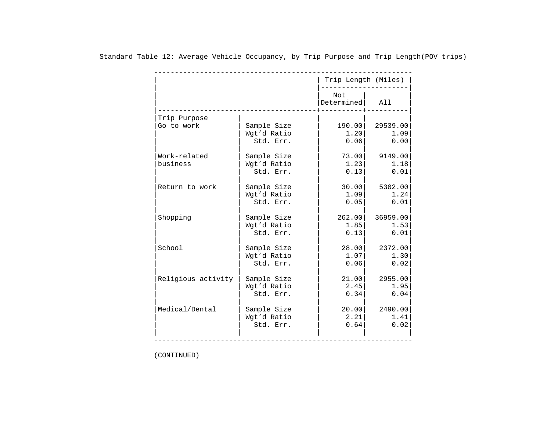|                    |             | Trip Length (Miles) |          |
|--------------------|-------------|---------------------|----------|
|                    |             | Not<br>Determined   | All      |
| Trip Purpose       |             |                     |          |
| Go to work         | Sample Size | 190.00              | 29539.00 |
|                    | Wgt'd Ratio | 1.20                | 1.09     |
|                    | Std. Err.   | 0.06                | 0.00     |
| Work-related       | Sample Size | 73.00               | 9149.00  |
| business           | Wgt'd Ratio | 1.23                | 1.18     |
|                    | Std. Err.   | 0.13                | 0.01     |
| Return to work     | Sample Size | 30.00               | 5302.00  |
|                    | Wgt'd Ratio | 1.09                | 1.24     |
|                    | Std. Err.   | 0.05                | 0.01     |
| Shopping           | Sample Size | 262.00              | 36959.00 |
|                    | Wgt'd Ratio | 1.85                | 1.53     |
|                    | Std. Err.   | 0.13                | 0.01     |
| School             | Sample Size | 28.00               | 2372.00  |
|                    | Wqt'd Ratio | 1.07                | 1.30     |
|                    | Std. Err.   | 0.06                | 0.02     |
| Religious activity | Sample Size | 21.00               | 2955.00  |
|                    | Wqt'd Ratio | 2.45                | 1.95     |
|                    | Std. Err.   | 0.34                | 0.04     |
| Medical/Dental     | Sample Size | 20.00               | 2490.00  |
|                    | Wgt'd Ratio | 2.21                | 1.41     |
|                    | Std. Err.   | 0.64                | 0.02     |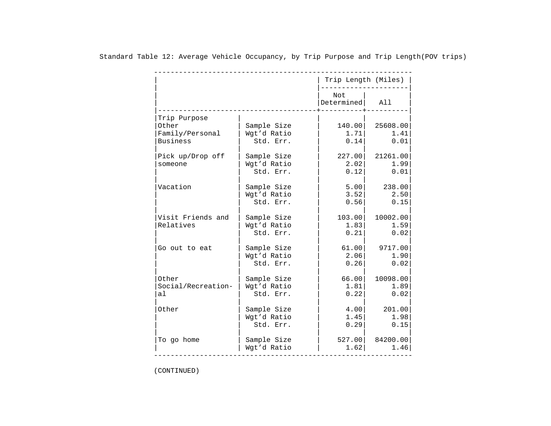|    |                                                             |                                         | Trip Length (Miles)    |                          |
|----|-------------------------------------------------------------|-----------------------------------------|------------------------|--------------------------|
|    |                                                             |                                         | Not<br>Determined      | All                      |
|    | Trip Purpose<br>Other<br>Family/Personal<br><b>Business</b> | Sample Size<br>Wgt'd Ratio<br>Std. Err. | 140.00<br>1.71<br>0.14 | 25608.00<br>1.41<br>0.01 |
|    | Pick up/Drop off<br>someone                                 | Sample Size<br>Wgt'd Ratio<br>Std. Err. | 227.00<br>2.02<br>0.12 | 21261.00<br>1.99<br>0.01 |
|    | Vacation                                                    | Sample Size<br>Wqt'd Ratio<br>Std. Err. | 5.00<br>3.52<br>0.56   | 238.00<br>2.50<br>0.15   |
|    | Visit Friends and<br>Relatives                              | Sample Size<br>Wqt'd Ratio<br>Std. Err. | 103.00<br>1.83<br>0.21 | 10002.00<br>1.59<br>0.02 |
|    | Go out to eat                                               | Sample Size<br>Wgt'd Ratio<br>Std. Err. | 61.00<br>2.06<br>0.26  | 9717.00<br>1.90<br>0.02  |
| al | Other<br>Social/Recreation-                                 | Sample Size<br>Wgt'd Ratio<br>Std. Err. | 66.00<br>1.81<br>0.22  | 10098.00<br>1.89<br>0.02 |
|    | Other                                                       | Sample Size<br>Wgt'd Ratio<br>Std. Err. | 4.00<br>1.45<br>0.29   | 201.00<br>1.98<br>0.15   |
|    | To go home                                                  | Sample Size<br>Wgt'd Ratio              | 527.00<br>1.62         | 84200.00<br>1.46         |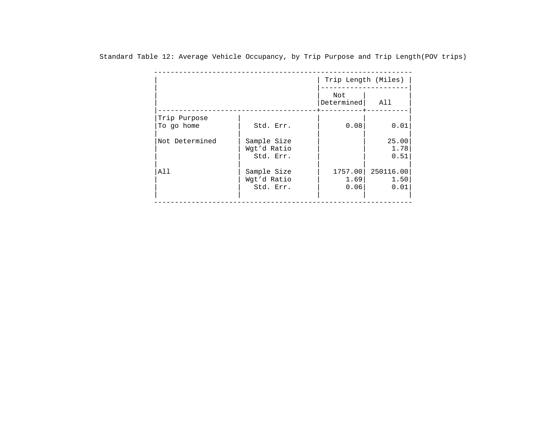| Std. Err.   | Not<br>Determined<br>0.08 | All<br>0.01 |
|-------------|---------------------------|-------------|
|             |                           |             |
|             |                           |             |
|             |                           |             |
| Sample Size |                           | 25.00       |
| Wgt'd Ratio |                           | 1.78        |
| Std. Err.   |                           | 0.51        |
| Sample Size | 1757.00                   | 250116.00   |
| Wgt'd Ratio | 1.69                      | 1.50        |
| Std. Err.   | 0.06                      | 0.01        |
|             |                           |             |

Standard Table 12: Average Vehicle Occupancy, by Trip Purpose and Trip Length(POV trips)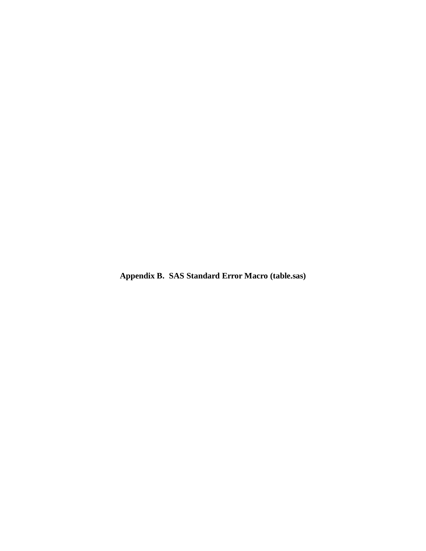**Appendix B. SAS Standard Error Macro (table.sas)**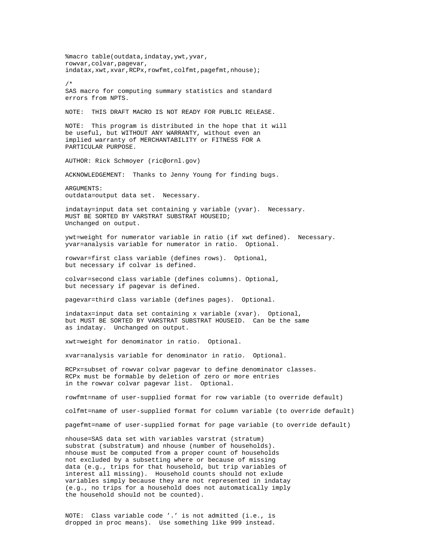%macro table(outdata, indatay, ywt, yvar, rowvar,colvar,pagevar, indatax,xwt,xvar,RCPx,rowfmt,colfmt,pagefmt,nhouse); /\* SAS macro for computing summary statistics and standard errors from NPTS. NOTE: THIS DRAFT MACRO IS NOT READY FOR PUBLIC RELEASE. NOTE: This program is distributed in the hope that it will be useful, but WITHOUT ANY WARRANTY, without even an implied warranty of MERCHANTABILITY or FITNESS FOR A PARTICULAR PURPOSE. AUTHOR: Rick Schmoyer (ric@ornl.gov) ACKNOWLEDGEMENT: Thanks to Jenny Young for finding bugs. ARGUMENTS: outdata=output data set. Necessary. indatay=input data set containing y variable (yvar). Necessary. MUST BE SORTED BY VARSTRAT SUBSTRAT HOUSEID; Unchanged on output. ywt=weight for numerator variable in ratio (if xwt defined). Necessary. yvar=analysis variable for numerator in ratio. Optional. rowvar=first class variable (defines rows). Optional, but necessary if colvar is defined. colvar=second class variable (defines columns). Optional, but necessary if pagevar is defined. pagevar=third class variable (defines pages). Optional. indatax=input data set containing x variable (xvar). Optional, but MUST BE SORTED BY VARSTRAT SUBSTRAT HOUSEID. Can be the same as indatay. Unchanged on output. xwt=weight for denominator in ratio. Optional. xvar=analysis variable for denominator in ratio. Optional. RCPx=subset of rowvar colvar pagevar to define denominator classes. RCPx must be formable by deletion of zero or more entries in the rowvar colvar pagevar list. Optional. rowfmt=name of user-supplied format for row variable (to override default) colfmt=name of user-supplied format for column variable (to override default) pagefmt=name of user-supplied format for page variable (to override default) nhouse=SAS data set with variables varstrat (stratum) substrat (substratum) and nhouse (number of households). nhouse must be computed from a proper count of households not excluded by a subsetting where or because of missing data (e.g., trips for that household, but trip variables of interest all missing). Household counts should not exlude variables simply because they are not represented in indatay (e.g., no trips for a household does not automatically imply the household should not be counted).

NOTE: Class variable code '.' is not admitted (i.e., is dropped in proc means). Use something like 999 instead.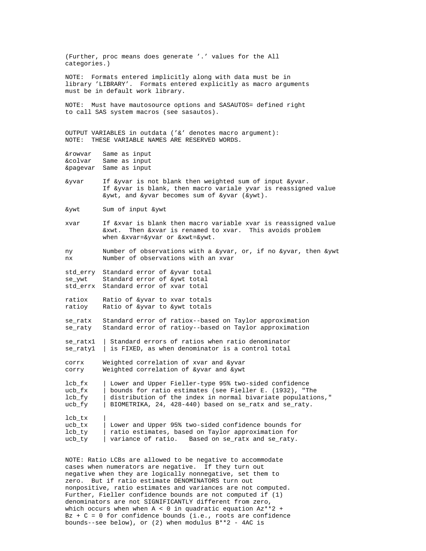(Further, proc means does generate '.' values for the All categories.) NOTE: Formats entered implicitly along with data must be in library 'LIBRARY'. Formats entered explicitly as macro arguments must be in default work library. NOTE: Must have mautosource options and SASAUTOS= defined right to call SAS system macros (see sasautos). OUTPUT VARIABLES in outdata ('&' denotes macro argument): NOTE: THESE VARIABLE NAMES ARE RESERVED WORDS. &rowvar Same as input &colvar Same as input &pagevar Same as input &yvar If &yvar is not blank then weighted sum of input &yvar. If &yvar is blank, then macro variale yvar is reassigned value &ywt, and &yvar becomes sum of &yvar (&ywt). &ywt Sum of input &ywt xvar If &xvar is blank then macro variable xvar is reassigned value &xwt. Then &xvar is renamed to xvar. This avoids problem when &xvar=&yvar or &xwt=&ywt. ny Number of observations with a &yvar, or, if no &yvar, then &ywt nx Number of observations with an xvar std\_erry Standard error of &yvar total se\_ywt Standard error of &ywt total std\_errx Standard error of xvar total ratiox Ratio of &yvar to xvar totals ratioy Ratio of &yvar to &ywt totals se\_ratx Standard error of ratiox--based on Taylor approximation se\_raty Standard error of ratioy--based on Taylor approximation se\_ratx1 | Standard errors of ratios when ratio denominator se\_raty1 | is FIXED, as when denominator is a control total corrx Weighted correlation of xvar and &yvar corry Weighted correlation of &yvar and &ywt lcb\_fx | Lower and Upper Fieller-type 95% two-sided confidence ucb\_fx | bounds for ratio estimates (see Fieller E. (1932), "The  $1cb_fy$  | distribution of the index in normal bivariate population  $\vert$  distribution of the index in normal bivariate populations," ucb\_fy | BIOMETRIKA, 24, 428-440) based on se\_ratx and se\_raty. lcb\_tx | ucb\_tx | Lower and Upper 95% two-sided confidence bounds for<br>lcb ty | ratio estimates, based on Taylor approximation for ratio estimates, based on Taylor approximation for ucb\_ty | variance of ratio. Based on se\_ratx and se\_raty. NOTE: Ratio LCBs are allowed to be negative to accommodate cases when numerators are negative. If they turn out negative when they are logically nonnegative, set them to zero. But if ratio estimate DENOMINATORS turn out nonpositive, ratio estimates and variances are not computed. Further, Fieller confidence bounds are not computed if (1) denominators are not SIGNIFICANTLY different from zero,

which occurs when when  $A < 0$  in quadratic equation  $Az**2$  + Bz + C = 0 for confidence bounds (i.e., roots are confidence

bounds--see below), or (2) when modulus B\*\*2 - 4AC is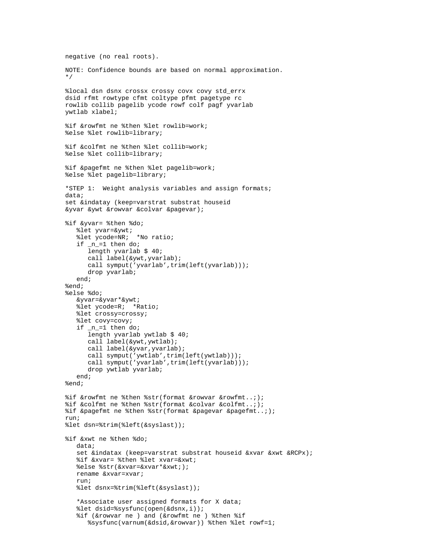```
negative (no real roots).
NOTE: Confidence bounds are based on normal approximation.
*/
%local dsn dsnx crossx crossy covx covy std_errx
dsid rfmt rowtype cfmt coltype pfmt pagetype rc
rowlib collib pagelib ycode rowf colf pagf yvarlab
ywtlab xlabel;
%if &rowfmt ne %then %let rowlib=work;
%else %let rowlib=library;
%if &colfmt ne %then %let collib=work;
%else %let collib=library;
%if &pagefmt ne %then %let pagelib=work;
%else %let pagelib=library;
*STEP 1: Weight analysis variables and assign formats;
data;
set &indatay (keep=varstrat substrat houseid
&yvar &ywt &rowvar &colvar &pagevar);
%if &yvar= %then %do;
    %let yvar=&ywt;
    %let ycode=NR; *No ratio;
   if n=1 then do;
       length yvarlab $ 40;
       call label(&ywt,yvarlab);
      call symput('yvarlab',trim(left(yvarlab)));
       drop yvarlab;
    end;
%end;
%else %do;
    &yvar=&yvar*&ywt;
    %let ycode=R; *Ratio;
    %let crossy=crossy;
    %let covy=covy;
    if _n_=1 then do;
       length yvarlab ywtlab $ 40;
       call label(&ywt,ywtlab);
       call label(&yvar,yvarlab);
      call symput('ywtlab',trim(left(ywtlab)));
      call symput('yvarlab',trim(left(yvarlab)));
       drop ywtlab yvarlab;
    end;
%end;
%if &rowfmt ne %then %str(format &rowvar &rowfmt..;);
%if &colfmt ne %then %str(format &colvar &colfmt..;);
%if &pagefmt ne %then %str(format &pagevar &pagefmt..;);
run;
%let dsn=%trim(%left(&syslast));
%if &xwt ne %then %do;
    data;
    set &indatax (keep=varstrat substrat houseid &xvar &xwt &RCPx);
    %if &xvar= %then %let xvar=&xwt;
    %else %str(&xvar=&xvar*&xwt;);
    rename &xvar=xvar;
    run;
    %let dsnx=%trim(%left(&syslast));
    *Associate user assigned formats for X data;
    %let dsid=%sysfunc(open(&dsnx,i));
    %if (&rowvar ne ) and (&rowfmt ne ) %then %if
       %sysfunc(varnum(&dsid,&rowvar)) %then %let rowf=1;
```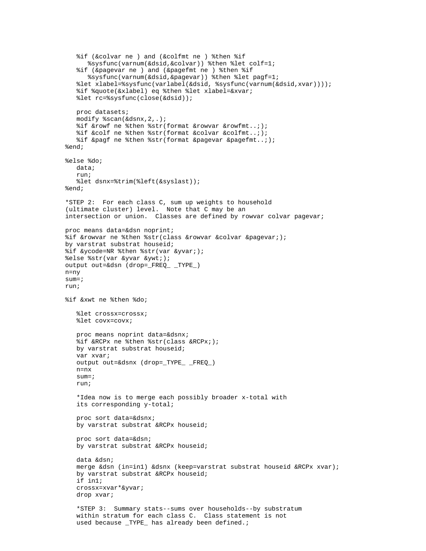```
 %if (&colvar ne ) and (&colfmt ne ) %then %if
       %sysfunc(varnum(&dsid,&colvar)) %then %let colf=1;
    %if (&pagevar ne ) and (&pagefmt ne ) %then %if
 %sysfunc(varnum(&dsid,&pagevar)) %then %let pagf=1;
 %let xlabel=%sysfunc(varlabel(&dsid, %sysfunc(varnum(&dsid,xvar))));
    %if %quote(&xlabel) eq %then %let xlabel=&xvar;
    %let rc=%sysfunc(close(&dsid));
    proc datasets;
    modify %scan(&dsnx,2,.);
    %if &rowf ne %then %str(format &rowvar &rowfmt..;);
    %if &colf ne %then %str(format &colvar &colfmt..;);
    %if &pagf ne %then %str(format &pagevar &pagefmt..;);
%end;
%else %do;
    data;
    run;
    %let dsnx=%trim(%left(&syslast));
%end;
*STEP 2: For each class C, sum up weights to household
(ultimate cluster) level. Note that C may be an
intersection or union. Classes are defined by rowvar colvar pagevar;
proc means data=&dsn noprint;
%if &rowvar ne %then %str(class &rowvar &colvar &pagevar;);
by varstrat substrat houseid;
%if &ycode=NR %then %str(var &yvar;);
%else %str(var &yvar &ywt;);
output out=&dsn (drop=_FREQ_ _TYPE_)
n=ny
sum=;
run;
%if &xwt ne %then %do;
    %let crossx=crossx;
    %let covx=covx;
    proc means noprint data=&dsnx;
    %if &RCPx ne %then %str(class &RCPx;);
    by varstrat substrat houseid; 
    var xvar;
    output out=&dsnx (drop=_TYPE_ _FREQ_)
    n=nx
    sum=;
    run;
    *Idea now is to merge each possibly broader x-total with
    its corresponding y-total;
    proc sort data=&dsnx;
    by varstrat substrat &RCPx houseid;
    proc sort data=&dsn;
    by varstrat substrat &RCPx houseid;
    data &dsn;
    merge &dsn (in=in1) &dsnx (keep=varstrat substrat houseid &RCPx xvar);
    by varstrat substrat &RCPx houseid;
    if in1;
    crossx=xvar*&yvar;
    drop xvar;
    *STEP 3: Summary stats--sums over households--by substratum
    within stratum for each class C. Class statement is not
   used because _TYPE_ has already been defined.;
```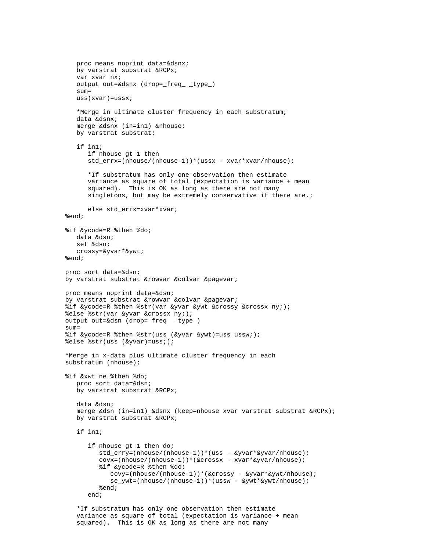```
 proc means noprint data=&dsnx;
    by varstrat substrat &RCPx;
    var xvar nx;
    output out=&dsnx (drop=_freq_ _type_)
    sum=
    uss(xvar)=ussx;
    *Merge in ultimate cluster frequency in each substratum;
    data &dsnx;
    merge &dsnx (in=in1) &nhouse;
    by varstrat substrat;
    if in1;
       if nhouse gt 1 then
       std_errx=(nhouse/(nhouse-1))*(ussx - xvar*xvar/nhouse);
       *If substratum has only one observation then estimate
       variance as square of total (expectation is variance + mean
       squared). This is OK as long as there are not many
       singletons, but may be extremely conservative if there are.;
      else std errx=xvar*xvar;
%end;
%if &ycode=R %then %do;
    data &dsn;
    set &dsn;
    crossy=&yvar*&ywt;
%end;
proc sort data=&dsn;
by varstrat substrat &rowvar &colvar &pagevar;
proc means noprint data=&dsn;
by varstrat substrat &rowvar &colvar &pagevar;
%if &ycode=R %then %str(var &yvar &ywt &crossy &crossx ny;);
%else %str(var &yvar &crossx ny;);
output out=&dsn (drop=_freq_ _type_)
sum =%if &ycode=R %then %str(uss (&yvar &ywt)=uss ussw;);
%else %str(uss (&yvar)=uss;);
*Merge in x-data plus ultimate cluster frequency in each
substratum (nhouse);
%if &xwt ne %then %do;
    proc sort data=&dsn;
    by varstrat substrat &RCPx;
    data &dsn;
    merge &dsn (in=in1) &dsnx (keep=nhouse xvar varstrat substrat &RCPx);
    by varstrat substrat &RCPx;
    if in1;
       if nhouse gt 1 then do;
          std_erry=(nhouse/(nhouse-1))*(uss - &yvar*&yvar/nhouse);
          covx=(nhouse/(nhouse-1))*(&crossx - xvar*&yvar/nhouse);
          %if &ycode=R %then %do;
             covy=(nhouse/(nhouse-1))*(&crossy - &yvar*&ywt/nhouse);
             se_ywt=(nhouse/(nhouse-1))*(ussw - &ywt*&ywt/nhouse);
          %end;
       end;
    *If substratum has only one observation then estimate
    variance as square of total (expectation is variance + mean
```
squared). This is OK as long as there are not many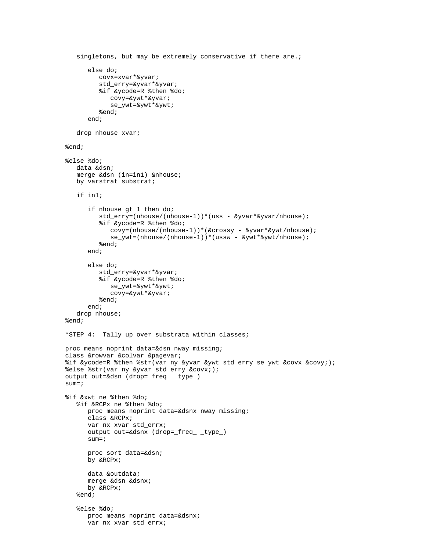```
 singletons, but may be extremely conservative if there are.;
       else do;
          covx=xvar*&yvar;
          std_erry=&yvar*&yvar;
          %if &ycode=R %then %do;
             covy=&ywt*&yvar;
             se_ywt=&ywt*&ywt;
          %end;
       end;
    drop nhouse xvar;
%end;
%else %do;
    data &dsn;
    merge &dsn (in=in1) &nhouse;
    by varstrat substrat;
    if in1;
       if nhouse gt 1 then do;
          std_erry=(nhouse/(nhouse-1))*(uss - &yvar*&yvar/nhouse);
          %if &ycode=R %then %do;
             covy=(nhouse/(nhouse-1))*(&crossy - &yvar*&ywt/nhouse);
             se_ywt=(nhouse/(nhouse-1))*(ussw - &ywt*&ywt/nhouse);
          %end;
       end;
       else do;
          std_erry=&yvar*&yvar;
          %if &ycode=R %then %do;
             se_ywt=&ywt*&ywt;
             covy=&ywt*&yvar;
          %end;
       end;
    drop nhouse;
%end;
*STEP 4: Tally up over substrata within classes;
proc means noprint data=&dsn nway missing;
class &rowvar &colvar &pagevar;
%if &ycode=R %then %str(var ny &yvar &ywt std_erry se_ywt &covx &covy;);
%else %str(var ny &yvar std_erry &covx;);
output out=&dsn (drop=_freq_ _type_)
sum=;
%if &xwt ne %then %do;
    %if &RCPx ne %then %do;
       proc means noprint data=&dsnx nway missing;
       class &RCPx;
       var nx xvar std_errx;
       output out=&dsnx (drop=_freq_ _type_)
       sum=;
       proc sort data=&dsn;
       by &RCPx;
       data &outdata;
       merge &dsn &dsnx;
       by &RCPx;
    %end;
    %else %do;
       proc means noprint data=&dsnx;
       var nx xvar std_errx;
```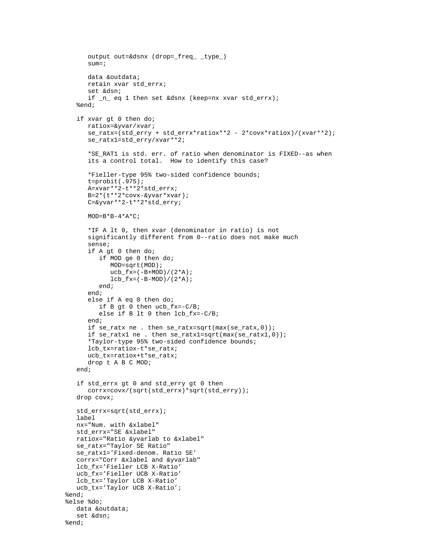```
 output out=&dsnx (drop=_freq_ _type_)
     sum=; data &outdata;
      retain xvar std_errx;
       set &dsn;
      if _n_ eq 1 then set &dsnx (keep=nx xvar std_errx);
    %end;
    if xvar gt 0 then do;
      ratiox=&yvar/xvar;
      se_ratx=(std_erry + std_errx*ratiox**2 - 2*covx*ratiox)/(xvar**2);
      se_ratx1=std_erry/xvar**2;
 *SE_RAT1 is std. err. of ratio when denominator is FIXED--as when
 its a control total. How to identify this case?
       *Fieller-type 95% two-sided confidence bounds;
      t=probit(.975);
      A=xvar**2-t**2*std_errx;
     B=2*(t**2*covx-\&yvar* xvar); C=&yvar**2-t**2*std_erry;
     MOD=B*B-4*A*C; *IF A lt 0, then xvar (denominator in ratio) is not
      significantly different from 0--ratio does not make much
      sense;
      if A gt 0 then do;
          if MOD ge 0 then do;
             MOD=sqrt(MOD);
            ucb_fx=(-B+MOD)/(2*A);lcb_fx=(-B-MOD)/(2*A); end;
       end;
       else if A eq 0 then do;
         if B qt 0 then ucb_fx=-C/B;
          else if B lt 0 then lcb_fx=-C/B;
       end;
       if se_ratx ne . then se_ratx=sqrt(max(se_ratx,0));
      if se_ratx1 ne . then se_ratx1=sqrt(max(se_ratx1,0));
       *Taylor-type 95% two-sided confidence bounds;
       lcb_tx=ratiox-t*se_ratx;
      ucb_tx=ratiox+t*se_ratx;
      drop t A B C MOD;
    end;
    if std_errx gt 0 and std_erry gt 0 then
      corrx=covx/(sqrt(std_errx)*sqrt(std_erry));
   drop covx;
   std_errx=sqrt(std_errx);
   label
   nx="Num. with &xlabel"
   std_errx="SE &xlabel"
   ratiox="Ratio &yvarlab to &xlabel"
   se_ratx="Taylor SE Ratio"
   se_ratx1='Fixed-denom. Ratio SE'
   corrx="Corr &xlabel and &yvarlab" 
   lcb_fx='Fieller LCB X-Ratio'
   ucb_fx='Fieller UCB X-Ratio'
   lcb_tx='Taylor LCB X-Ratio'
   ucb_tx='Taylor UCB X-Ratio';
%end;
%else %do;
   data &outdata;
   set &dsn;
%end;
```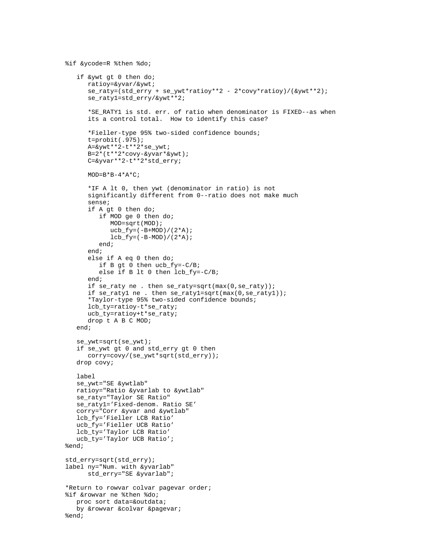```
 if &ywt gt 0 then do;
       ratioy=&yvar/&ywt;
       se_raty=(std_erry + se_ywt*ratioy**2 - 2*covy*ratioy)/(&ywt**2);
       se_raty1=std_erry/&ywt**2;
       *SE_RATY1 is std. err. of ratio when denominator is FIXED--as when
       its a control total. How to identify this case?
       *Fieller-type 95% two-sided confidence bounds;
       t=probit(.975);
      A = \&ywt**2-t**2*se ywt;
       B=2*(t**2*covy-&yvar*&ywt);
       C=&yvar**2-t**2*std_erry;
      MOD=B*B-4*A*C; *IF A lt 0, then ywt (denominator in ratio) is not
       significantly different from 0--ratio does not make much
       sense;
       if A gt 0 then do;
          if MOD ge 0 then do;
             MOD=sqrt(MOD);
            ucb_fy = (-B+MOD)/(2*A);lcb_fy = (-B-MOD)/(2*A); end;
       end;
       else if A eq 0 then do;
          if B gt 0 then ucb_fy=-C/B;
          else if B lt 0 then lcb_fy=-C/B;
       end;
       if se_raty ne . then se_raty=sqrt(max(0,se_raty));
       if se_raty1 ne . then se_raty1=sqrt(max(0,se_raty1));
       *Taylor-type 95% two-sided confidence bounds;
       lcb_ty=ratioy-t*se_raty;
       ucb_ty=ratioy+t*se_raty;
       drop t A B C MOD;
    end;
    se_ywt=sqrt(se_ywt);
    if se_ywt gt 0 and std_erry gt 0 then
       corry=covy/(se_ywt*sqrt(std_erry));
    drop covy;
    label
    se_ywt="SE &ywtlab"
    ratioy="Ratio &yvarlab to &ywtlab"
    se_raty="Taylor SE Ratio"
    se_raty1='Fixed-denom. Ratio SE'
    corry="Corr &yvar and &ywtlab" 
    lcb_fy='Fieller LCB Ratio' 
    ucb_fy='Fieller UCB Ratio' 
    lcb_ty='Taylor LCB Ratio'
    ucb_ty='Taylor UCB Ratio';
%end;
std_erry=sqrt(std_erry);
label ny="Num. with &yvarlab"
       std_erry="SE &yvarlab";
*Return to rowvar colvar pagevar order;
%if &rowvar ne %then %do;
   proc sort data=&outdata;
   by &rowvar &colvar &pagevar;
%end;
```
%if &ycode=R %then %do;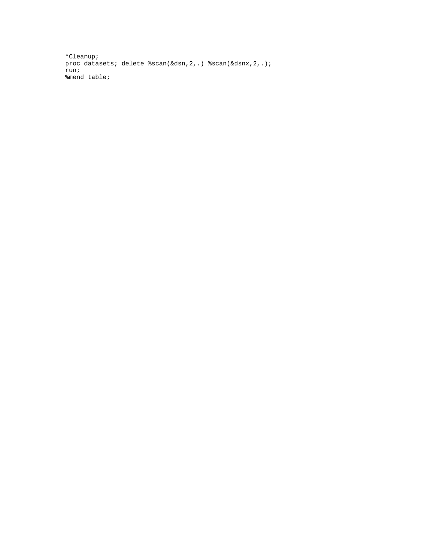\*Cleanup; proc datasets; delete %scan(&dsn, 2, .) %scan(&dsnx, 2, .); run; %mend table;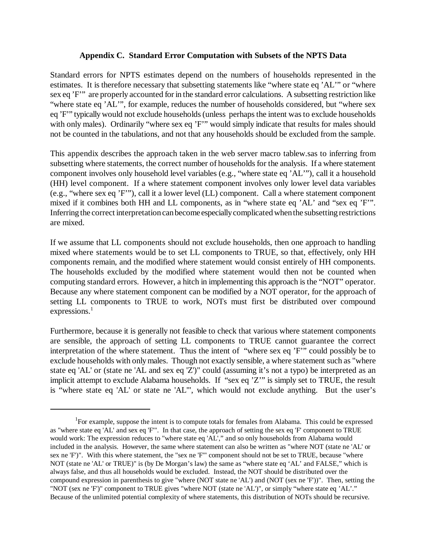## **Appendix C. Standard Error Computation with Subsets of the NPTS Data**

Standard errors for NPTS estimates depend on the numbers of households represented in the estimates. It is therefore necessary that subsetting statements like "where state eq 'AL'" or "where sex eq 'F'" are properly accounted for in the standard error calculations. A subsetting restriction like "where state eq 'AL'", for example, reduces the number of households considered, but "where sex eq 'F'" typically would not exclude households (unless perhaps the intent was to exclude households with only males). Ordinarily "where sex eq 'F'" would simply indicate that results for males should not be counted in the tabulations, and not that any households should be excluded from the sample.

This appendix describes the approach taken in the web server macro tablew.sas to inferring from subsetting where statements, the correct number of households for the analysis. If a where statement component involves only household level variables (e.g., "where state eq 'AL'"), call it a household (HH) level component. If a where statement component involves only lower level data variables (e.g., "where sex eq 'F'"), call it a lower level (LL) component. Call a where statement component mixed if it combines both HH and LL components, as in "where state eq 'AL' and "sex eq 'F'". Inferring the correct interpretation can become especially complicated when the subsetting restrictions are mixed.

If we assume that LL components should not exclude households, then one approach to handling mixed where statements would be to set LL components to TRUE, so that, effectively, only HH components remain, and the modified where statement would consist entirely of HH components. The households excluded by the modified where statement would then not be counted when computing standard errors. However, a hitch in implementing this approach is the "NOT" operator. Because any where statement component can be modified by a NOT operator, for the approach of setting LL components to TRUE to work, NOTs must first be distributed over compound expressions.<sup>1</sup>

Furthermore, because it is generally not feasible to check that various where statement components are sensible, the approach of setting LL components to TRUE cannot guarantee the correct interpretation of the where statement. Thus the intent of "where sex eq 'F'" could possibly be to exclude households with only males. Though not exactly sensible, a where statement such as "where state eq 'AL' or (state ne 'AL and sex eq 'Z')" could (assuming it's not a typo) be interpreted as an implicit attempt to exclude Alabama households. If "sex eq 'Z'" is simply set to TRUE, the result is "where state eq 'AL' or state ne 'AL'", which would not exclude anything. But the user's

<sup>&</sup>lt;sup>1</sup>For example, suppose the intent is to compute totals for females from Alabama. This could be expressed as "where state eq 'AL' and sex eq 'F'". In that case, the approach of setting the sex eq 'F' component to TRUE would work: The expression reduces to "where state eq 'AL'," and so only households from Alabama would included in the analysis. However, the same where statement can also be written as "where NOT (state ne 'AL' or sex ne 'F')". With this where statement, the "sex ne 'F'" component should not be set to TRUE, because "where NOT (state ne 'AL' or TRUE)" is (by De Morgan's law) the same as "where state eq 'AL' and FALSE," which is always false, and thus all households would be excluded. Instead, the NOT should be distributed over the compound expression in parenthesis to give "where (NOT state ne 'AL') and (NOT (sex ne 'F'))". Then, setting the "NOT (sex ne 'F')" component to TRUE gives "where NOT (state ne 'AL')", or simply "where state eq 'AL'." Because of the unlimited potential complexity of where statements, this distribution of NOTs should be recursive.